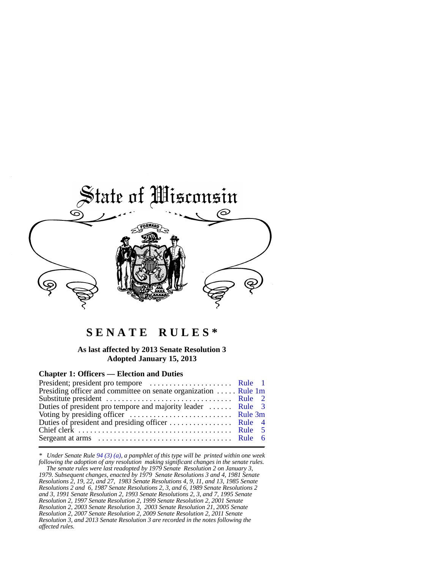

# **S E N A T E R U L E S \***

### **As last affected by 2013 Senate Resolution 3 Adopted January 15, 2013**

### **Chapter 1: Officers — Election and Duties**

| Presiding officer and committee on senate organization  Rule 1m                   |  |
|-----------------------------------------------------------------------------------|--|
|                                                                                   |  |
| Duties of president pro tempore and majority leader  Rule 3                       |  |
| Voting by presiding officer $\dots \dots \dots \dots \dots \dots \dots$ . Rule 3m |  |
|                                                                                   |  |
|                                                                                   |  |
|                                                                                   |  |
|                                                                                   |  |

*\* Under Senate Rule [94 \(3\) \(a\)](https://docs.legis.wisconsin.gov/document/legislativerules/2013/sr94(3)(a)), a pamphlet of this type will be printed within one week following the adoption of any resolution making significant changes in the senate rules.*

 *The senate rules were last readopted by 1979 Senate Resolution 2 on January 3, 1979. Subsequent changes, enacted by 1979 Senate Resolutions 3 and 4, 1981 Senate Resolutions 2, 19, 22, and 27, 1983 Senate Resolutions 4, 9, 11, and 13, 1985 Senate Resolutions 2 and 6, 1987 Senate Resolutions 2, 3, and 6, 1989 Senate Resolutions 2 and 3, 1991 Senate Resolution 2, 1993 Senate Resolutions 2, 3, and 7, 1995 Senate Resolution 2, 1997 Senate Resolution 2, 1999 Senate Resolution 2, 2001 Senate Resolution 2, 2003 Senate Resolution 3, 2003 Senate Resolution 21, 2005 Senate Resolution 2, 2007 Senate Resolution 2, 2009 Senate Resolution 2, 2011 Senate Resolution 3, and 2013 Senate Resolution 3 are recorded in the notes following the affected rules.*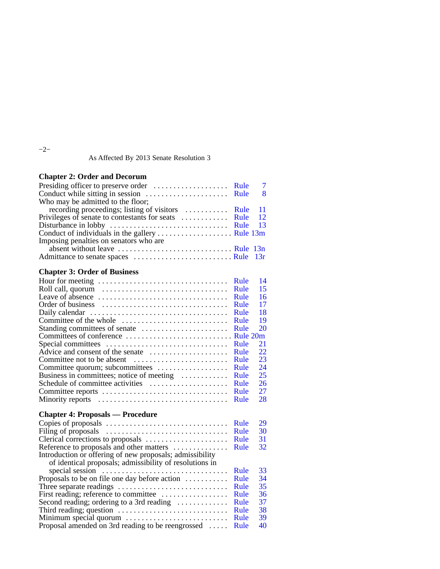−2−

As Affected By 2013 Senate Resolution 3

## **Chapter 2: Order and Decorum**

|                                                                                   | $\overline{7}$ |
|-----------------------------------------------------------------------------------|----------------|
|                                                                                   | <b>8</b>       |
| Who may be admitted to the floor;                                                 |                |
| recording proceedings; listing of visitors  Rule 11                               |                |
|                                                                                   |                |
| Disturbance in lobby $\dots \dots \dots \dots \dots \dots \dots \dots$ Rule 13    |                |
| Conduct of individuals in the gallery $\dots \dots \dots \dots \dots$ . Rule 13m  |                |
| Imposing penalties on senators who are                                            |                |
| absent without leave $\dots \dots \dots \dots \dots \dots \dots \dots$ . Rule 13n |                |
|                                                                                   |                |

## **Chapter 3: Order of Business**

|                                                                                 | Rule | 14 |
|---------------------------------------------------------------------------------|------|----|
|                                                                                 | Rule | 15 |
| Leave of absence $\dots\dots\dots\dots\dots\dots\dots\dots\dots\dots\dots\dots$ | Rule | 16 |
|                                                                                 | Rule | 17 |
|                                                                                 | Rule | 18 |
| Committee of the whole                                                          | Rule | 19 |
| Standing committees of senate                                                   | Rule | 20 |
|                                                                                 |      |    |
| Special committees                                                              | Rule | 21 |
| Advice and consent of the senate                                                | Rule | 22 |
|                                                                                 | Rule | 23 |
| Committee quorum; subcommittees                                                 | Rule | 24 |
| Business in committees; notice of meeting                                       | Rule | 25 |
| Schedule of committee activities                                                | Rule | 26 |
| Committee reports                                                               | Rule | 27 |
| Minority reports                                                                | Rule | 28 |
|                                                                                 |      |    |
| <b>Chapter 4: Proposals — Procedure</b>                                         |      |    |
|                                                                                 | Rule | 29 |
|                                                                                 | Rule | 30 |
|                                                                                 | Rule | 31 |
| Reference to proposals and other matters                                        | Rule | 32 |
| Introduction or offering of new proposals; admissibility                        |      |    |
| of identical proposals; admissibility of resolutions in                         |      |    |
| special session $\dots \dots \dots \dots \dots \dots \dots \dots \dots \dots$   | Rule | 33 |
| Proposals to be on file one day before action                                   | Rule | 34 |
| Three separate readings $\dots \dots \dots \dots \dots \dots \dots \dots \dots$ | Rule | 35 |
| First reading; reference to committee                                           | Rule | 36 |
| Second reading; ordering to a 3rd reading                                       | Rule | 37 |
|                                                                                 | Rule | 38 |
| Minimum special quorum                                                          | Rule | 39 |
| Proposal amended on 3rd reading to be reengrossed                               | Rule | 40 |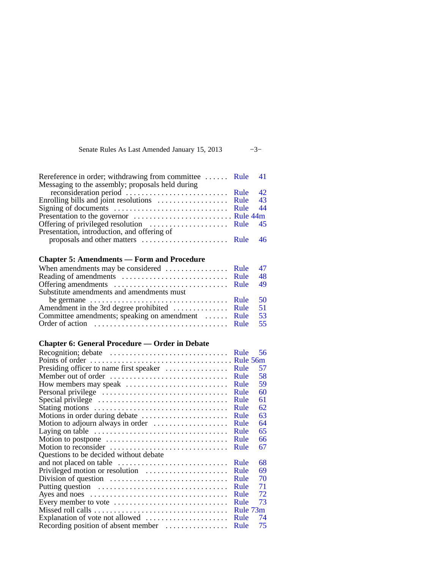Senate Rules As Last Amended January 15, 2013 −3−

| Rereference in order; withdrawing from committee  Rule 41                     |  |
|-------------------------------------------------------------------------------|--|
| Messaging to the assembly; proposals held during                              |  |
|                                                                               |  |
| Enrolling bills and joint resolutions $\dots \dots \dots \dots \dots$ Rule 43 |  |
|                                                                               |  |
|                                                                               |  |
|                                                                               |  |
| Presentation, introduction, and offering of                                   |  |
|                                                                               |  |
|                                                                               |  |

## **Chapter 5: Amendments — Form and Procedure**

| be germane $\dots \dots \dots \dots \dots \dots \dots \dots \dots$ . Rule 50<br>Amendment in the 3rd degree prohibited  Rule 51 | When amendments may be considered $\dots \dots \dots \dots$ Rule 47 |  |
|---------------------------------------------------------------------------------------------------------------------------------|---------------------------------------------------------------------|--|
|                                                                                                                                 |                                                                     |  |
|                                                                                                                                 |                                                                     |  |
|                                                                                                                                 | Substitute amendments and amendments must                           |  |
|                                                                                                                                 |                                                                     |  |
|                                                                                                                                 |                                                                     |  |
|                                                                                                                                 | Committee amendments; speaking on amendment  Rule 53                |  |
|                                                                                                                                 |                                                                     |  |

## **Chapter 6: General Procedure — Order in Debate**

|                                         | Rule | 56       |
|-----------------------------------------|------|----------|
|                                         |      |          |
| Presiding officer to name first speaker | Rule | 57       |
| Member out of order                     | Rule | 58       |
| How members may speak                   | Rule | 59       |
|                                         | Rule | 60       |
|                                         | Rule | 61       |
|                                         | Rule | 62       |
|                                         | Rule | 63       |
| Motion to adjourn always in order       | Rule | 64       |
|                                         | Rule | 65       |
|                                         | Rule | 66       |
|                                         | Rule | 67       |
| Questions to be decided without debate  |      |          |
|                                         | Rule | 68       |
| Privileged motion or resolution         | Rule | 69       |
|                                         | Rule | 70       |
|                                         | Rule | 71       |
|                                         | Rule | 72       |
| Every member to vote                    | Rule | 73       |
|                                         |      | Rule 73m |
| Explanation of vote not allowed         | Rule | 74       |
| Recording position of absent member     | Rule | 75       |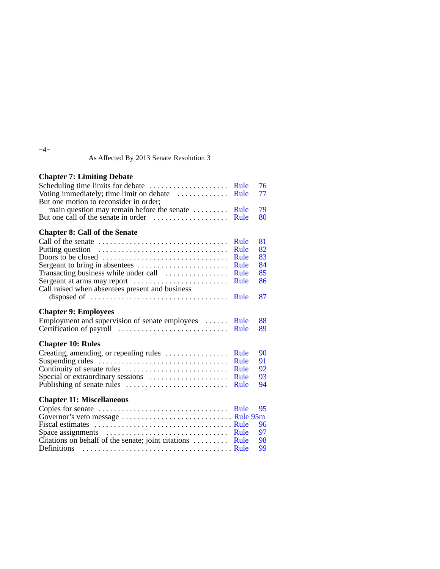−4−

As Affected By 2013 Senate Resolution 3

## **Chapter 7: Limiting Debate**

| Scheduling time limits for debate<br>Voting immediately; time limit on debate<br>But one motion to reconsider in order; | Rule<br>Rule | 76<br>77 |
|-------------------------------------------------------------------------------------------------------------------------|--------------|----------|
| main question may remain before the senate                                                                              | Rule         | 79       |
| But one call of the senate in order $\dots\dots\dots\dots\dots\dots$                                                    | Rule         | 80       |
|                                                                                                                         |              |          |
| <b>Chapter 8: Call of the Senate</b>                                                                                    |              |          |
| Call of the senate                                                                                                      | Rule         | 81       |
| Putting question                                                                                                        | Rule         | 82       |
| Doors to be closed                                                                                                      | Rule         | 83       |
| Sergeant to bring in absentees                                                                                          | Rule         | 84       |
| Transacting business while under call                                                                                   | Rule         | 85       |
| Sergeant at arms may report                                                                                             | Rule         | 86       |
| Call raised when absentees present and business                                                                         |              |          |
| disposed of $\dots \dots \dots \dots \dots \dots \dots \dots \dots \dots \dots$                                         | Rule         | 87       |
|                                                                                                                         |              |          |
| <b>Chapter 9: Employees</b>                                                                                             |              |          |
| Employment and supervision of senate employees                                                                          | Rule         | 88       |
|                                                                                                                         | Rule         | 89       |
|                                                                                                                         |              |          |
| <b>Chapter 10: Rules</b>                                                                                                |              |          |
| Creating, amending, or repealing rules                                                                                  | Rule         | 90       |
| Suspending rules                                                                                                        | Rule         | 91       |
|                                                                                                                         | Rule         | 92       |
| Special or extraordinary sessions                                                                                       | Rule         | 93       |
|                                                                                                                         | Rule         | 94       |
| <b>Chapter 11: Miscellaneous</b>                                                                                        |              |          |

| Citations on behalf of the senate; joint citations $\dots \dots$ Rule 98 |  |
|--------------------------------------------------------------------------|--|
|                                                                          |  |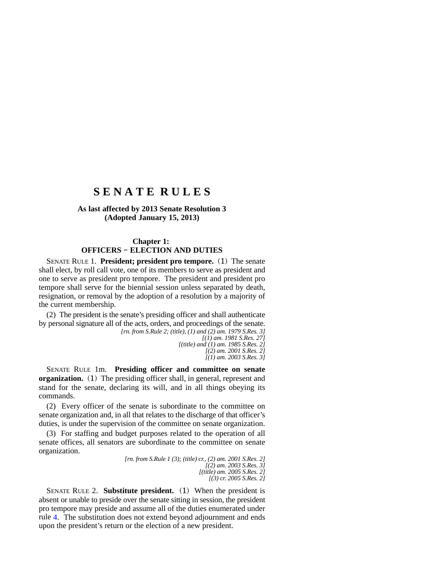## **S E N A T E R U L E S**

## **As last affected by 2013 Senate Resolution 3 (Adopted January 15, 2013)**

### **Chapter 1: OFFICERS − ELECTION AND DUTIES**

SENATE RULE 1. **President; president pro tempore.** (1) The senate shall elect, by roll call vote, one of its members to serve as president and one to serve as president pro tempore. The president and president pro tempore shall serve for the biennial session unless separated by death, resignation, or removal by the adoption of a resolution by a majority of the current membership.

(2) The president is the senate's presiding officer and shall authenticate by personal signature all of the acts, orders, and proceedings of the senate.

*[rn. from S.Rule 2; (title), (1) and (2) am. 1979 S.Res. 3] [(1) am. 1981 S.Res. 27] [(title) and (1) am. 1985 S.Res. 2] [(2) am. 2001 S.Res. 2] [(1) am. 2003 S.Res. 3]*

SENATE RULE 1m. **Presiding officer and committee on senate organization.** (1) The presiding officer shall, in general, represent and stand for the senate, declaring its will, and in all things obeying its commands.

(2) Every officer of the senate is subordinate to the committee on senate organization and, in all that relates to the discharge of that officer's duties, is under the supervision of the committee on senate organization.

(3) For staffing and budget purposes related to the operation of all senate offices, all senators are subordinate to the committee on senate organization.

> *[rn. from S.Rule 1 (3); (title) cr., (2) am. 2001 S.Res. 2] [(2) am. 2003 S.Res. 3] [(title) am. 2005 S.Res. 2] [(3) cr. 2005 S.Res. 2]*

SENATE RULE 2. **Substitute president.** (1) When the president is absent or unable to preside over the senate sitting in session, the president pro tempore may preside and assume all of the duties enumerated under rule [4.](https://docs.legis.wisconsin.gov/document/legislativerules/2013/sr4) The substitution does not extend beyond adjournment and ends upon the president's return or the election of a new president.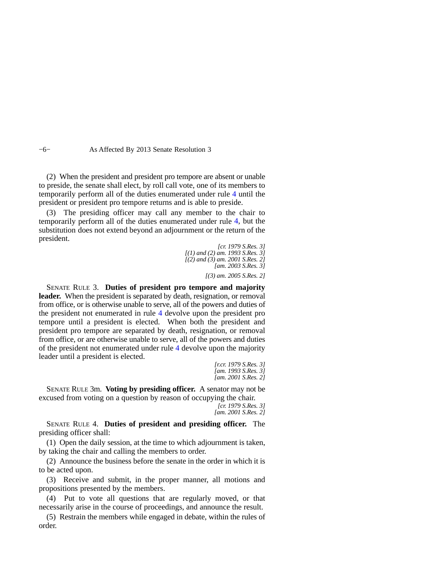−6− As Affected By 2013 Senate Resolution 3

(2) When the president and president pro tempore are absent or unable to preside, the senate shall elect, by roll call vote, one of its members to temporarily perform all of the duties enumerated under rule [4](https://docs.legis.wisconsin.gov/document/legislativerules/2013/sr4) until the president or president pro tempore returns and is able to preside.

(3) The presiding officer may call any member to the chair to temporarily perform all of the duties enumerated under rule [4,](https://docs.legis.wisconsin.gov/document/legislativerules/2013/sr4) but the substitution does not extend beyond an adjournment or the return of the president.

*[cr. 1979 S.Res. 3] [(1) and (2) am. 1993 S.Res. 3] [(2) and (3) am. 2001 S.Res. 2] [am. 2003 S.Res. 3]*

*[(3) am. 2005 S.Res. 2]*

SENATE RULE 3. **Duties of president pro tempore and majority** leader. When the president is separated by death, resignation, or removal from office, or is otherwise unable to serve, all of the powers and duties of the president not enumerated in rule [4](https://docs.legis.wisconsin.gov/document/legislativerules/2013/sr4) devolve upon the president pro tempore until a president is elected. When both the president and president pro tempore are separated by death, resignation, or removal from office, or are otherwise unable to serve, all of the powers and duties of the president not enumerated under rule [4](https://docs.legis.wisconsin.gov/document/legislativerules/2013/sr4) devolve upon the majority leader until a president is elected.

*[r.cr. 1979 S.Res. 3] [am. 1993 S.Res. 3] [am. 2001 S.Res. 2]*

SENATE RULE 3m. **Voting by presiding officer.** A senator may not be excused from voting on a question by reason of occupying the chair.

> *[cr. 1979 S.Res. 3] [am. 2001 S.Res. 2]*

SENATE RULE 4. **Duties of president and presiding officer.** The presiding officer shall:

(1) Open the daily session, at the time to which adjournment is taken, by taking the chair and calling the members to order.

(2) Announce the business before the senate in the order in which it is to be acted upon.

(3) Receive and submit, in the proper manner, all motions and propositions presented by the members.

(4) Put to vote all questions that are regularly moved, or that necessarily arise in the course of proceedings, and announce the result.

(5) Restrain the members while engaged in debate, within the rules of order.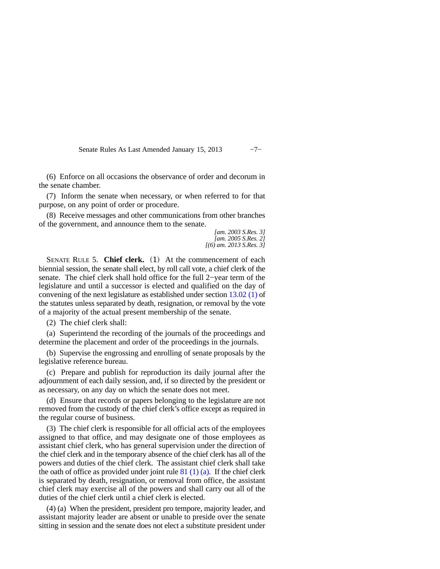Senate Rules As Last Amended January 15, 2013 -7−

(6) Enforce on all occasions the observance of order and decorum in the senate chamber.

(7) Inform the senate when necessary, or when referred to for that purpose, on any point of order or procedure.

(8) Receive messages and other communications from other branches of the government, and announce them to the senate.

*[am. 2003 S.Res. 3] [am. 2005 S.Res. 2] [(6) am. 2013 S.Res. 3]*

SENATE RULE 5. **Chief clerk.** (1) At the commencement of each biennial session, the senate shall elect, by roll call vote, a chief clerk of the senate. The chief clerk shall hold office for the full 2−year term of the legislature and until a successor is elected and qualified on the day of convening of the next legislature as established under section [13.02 \(1\)](https://docs.legis.wisconsin.gov/document/statutes/13.02(1)) of the statutes unless separated by death, resignation, or removal by the vote of a majority of the actual present membership of the senate.

(2) The chief clerk shall:

(a) Superintend the recording of the journals of the proceedings and determine the placement and order of the proceedings in the journals.

(b) Supervise the engrossing and enrolling of senate proposals by the legislative reference bureau.

(c) Prepare and publish for reproduction its daily journal after the adjournment of each daily session, and, if so directed by the president or as necessary, on any day on which the senate does not meet.

(d) Ensure that records or papers belonging to the legislature are not removed from the custody of the chief clerk's office except as required in the regular course of business.

(3) The chief clerk is responsible for all official acts of the employees assigned to that office, and may designate one of those employees as assistant chief clerk, who has general supervision under the direction of the chief clerk and in the temporary absence of the chief clerk has all of the powers and duties of the chief clerk. The assistant chief clerk shall take the oath of office as provided under joint rule  $81(1)(a)$ . If the chief clerk is separated by death, resignation, or removal from office, the assistant chief clerk may exercise all of the powers and shall carry out all of the duties of the chief clerk until a chief clerk is elected.

(4) (a) When the president, president pro tempore, majority leader, and assistant majority leader are absent or unable to preside over the senate sitting in session and the senate does not elect a substitute president under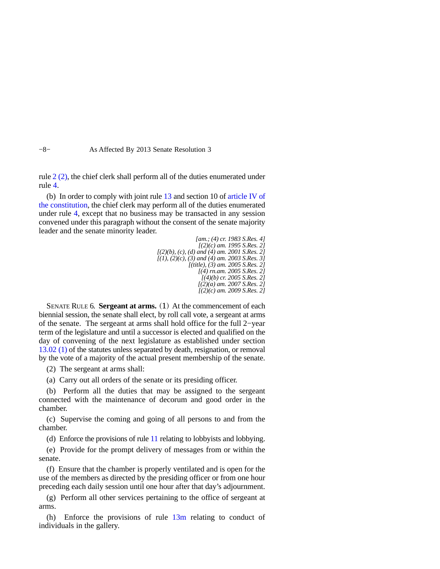−8− As Affected By 2013 Senate Resolution 3

rule [2 \(2\),](https://docs.legis.wisconsin.gov/document/legislativerules/2013/sr2(2)) the chief clerk shall perform all of the duties enumerated under rule [4](https://docs.legis.wisconsin.gov/document/legislativerules/2013/sr4).

(b) In order to comply with joint rule [13](https://docs.legis.wisconsin.gov/document/legislativerules/2013/jr13) and section 10 of [article IV of](https://docs.legis.wisconsin.gov/document/wisconsinconstitution/IV) [the constitution,](https://docs.legis.wisconsin.gov/document/wisconsinconstitution/IV) the chief clerk may perform all of the duties enumerated under rule [4](https://docs.legis.wisconsin.gov/document/legislativerules/2013/sr4), except that no business may be transacted in any session convened under this paragraph without the consent of the senate majority leader and the senate minority leader.

> *[am.; (4) cr. 1983 S.Res. 4] [(2)(c) am. 1995 S.Res. 2] [(2)(b), (c), (d) and (4) am. 2001 S.Res. 2] [(1), (2)(c), (3) and (4) am. 2003 S.Res. 3] [(title), (3) am. 2005 S.Res. 2] [(4) rn.am. 2005 S.Res. 2] [(4)(b) cr. 2005 S.Res. 2] [(2)(a) am. 2007 S.Res. 2] [(2)(c) am. 2009 S.Res. 2]*

SENATE RULE 6. **Sergeant at arms.** (1) At the commencement of each biennial session, the senate shall elect, by roll call vote, a sergeant at arms of the senate. The sergeant at arms shall hold office for the full 2−year term of the legislature and until a successor is elected and qualified on the day of convening of the next legislature as established under section [13.02 \(1\)](https://docs.legis.wisconsin.gov/document/statutes/13.02(1)) of the statutes unless separated by death, resignation, or removal by the vote of a majority of the actual present membership of the senate.

(2) The sergeant at arms shall:

(a) Carry out all orders of the senate or its presiding officer.

(b) Perform all the duties that may be assigned to the sergeant connected with the maintenance of decorum and good order in the chamber.

(c) Supervise the coming and going of all persons to and from the chamber.

(d) Enforce the provisions of rule [11](https://docs.legis.wisconsin.gov/document/legislativerules/2013/sr11) relating to lobbyists and lobbying.

(e) Provide for the prompt delivery of messages from or within the senate.

(f) Ensure that the chamber is properly ventilated and is open for the use of the members as directed by the presiding officer or from one hour preceding each daily session until one hour after that day's adjournment.

(g) Perform all other services pertaining to the office of sergeant at arms.

(h) Enforce the provisions of rule  $13m$  relating to conduct of individuals in the gallery.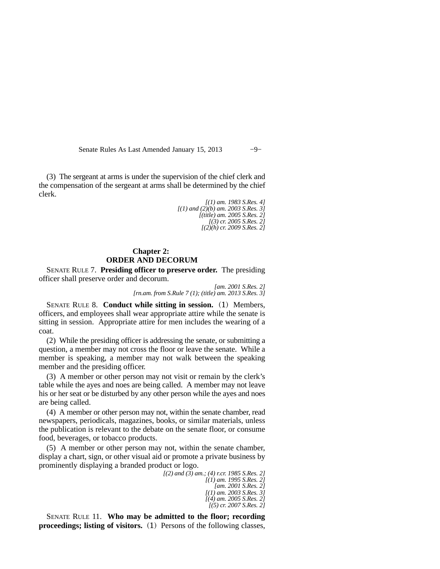Senate Rules As Last Amended January 15, 2013 −9−

(3) The sergeant at arms is under the supervision of the chief clerk and the compensation of the sergeant at arms shall be determined by the chief clerk.

> *[(1) am. 1983 S.Res. 4] [(1) and (2)(b) am. 2003 S.Res. 3] [(title) am. 2005 S.Res. 2] [(3) cr. 2005 S.Res. 2] [(2)(h) cr. 2009 S.Res. 2]*

## **Chapter 2: ORDER AND DECORUM**

SENATE RULE 7. **Presiding officer to preserve order.** The presiding officer shall preserve order and decorum.

> *[am. 2001 S.Res. 2] [rn.am. from S.Rule 7 (1); (title) am. 2013 S.Res. 3]*

SENATE RULE 8. **Conduct while sitting in session.** (1) Members, officers, and employees shall wear appropriate attire while the senate is sitting in session. Appropriate attire for men includes the wearing of a coat.

(2) While the presiding officer is addressing the senate, or submitting a question, a member may not cross the floor or leave the senate. While a member is speaking, a member may not walk between the speaking member and the presiding officer.

(3) A member or other person may not visit or remain by the clerk's table while the ayes and noes are being called. A member may not leave his or her seat or be disturbed by any other person while the ayes and noes are being called.

(4) A member or other person may not, within the senate chamber, read newspapers, periodicals, magazines, books, or similar materials, unless the publication is relevant to the debate on the senate floor, or consume food, beverages, or tobacco products.

(5) A member or other person may not, within the senate chamber, display a chart, sign, or other visual aid or promote a private business by prominently displaying a branded product or logo.

*[(2) and (3) am.; (4) r.cr. 1985 S.Res. 2] [(1) am. 1995 S.Res. 2] [am. 2001 S.Res. 2] [(1) am. 2003 S.Res. 3] [(4) am. 2005 S.Res. 2] [(5) cr. 2007 S.Res. 2]*

SENATE RULE 11. **Who may be admitted to the floor; recording proceedings; listing of visitors.** (1) Persons of the following classes,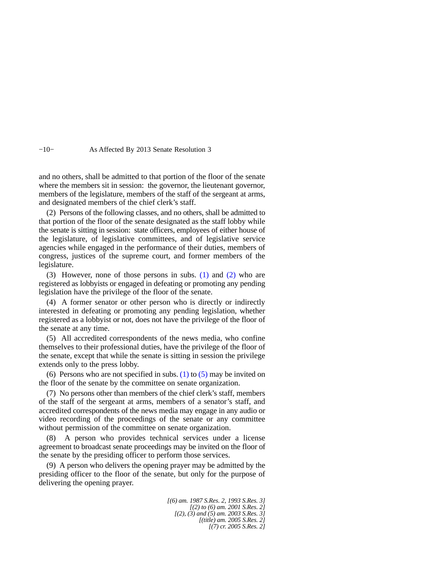#### −10− As Affected By 2013 Senate Resolution 3

and no others, shall be admitted to that portion of the floor of the senate where the members sit in session: the governor, the lieutenant governor, members of the legislature, members of the staff of the sergeant at arms, and designated members of the chief clerk's staff.

(2) Persons of the following classes, and no others, shall be admitted to that portion of the floor of the senate designated as the staff lobby while the senate is sitting in session: state officers, employees of either house of the legislature, of legislative committees, and of legislative service agencies while engaged in the performance of their duties, members of congress, justices of the supreme court, and former members of the legislature.

(3) However, none of those persons in subs. [\(1\)](https://docs.legis.wisconsin.gov/document/legislativerules/2013/sr11(1)) and [\(2\)](https://docs.legis.wisconsin.gov/document/legislativerules/2013/sr11(2)) who are registered as lobbyists or engaged in defeating or promoting any pending legislation have the privilege of the floor of the senate.

(4) A former senator or other person who is directly or indirectly interested in defeating or promoting any pending legislation, whether registered as a lobbyist or not, does not have the privilege of the floor of the senate at any time.

(5) All accredited correspondents of the news media, who confine themselves to their professional duties, have the privilege of the floor of the senate, except that while the senate is sitting in session the privilege extends only to the press lobby.

(6) Persons who are not specified in subs.  $(1)$  to  $(5)$  may be invited on the floor of the senate by the committee on senate organization.

(7) No persons other than members of the chief clerk's staff, members of the staff of the sergeant at arms, members of a senator's staff, and accredited correspondents of the news media may engage in any audio or video recording of the proceedings of the senate or any committee without permission of the committee on senate organization.

(8) A person who provides technical services under a license agreement to broadcast senate proceedings may be invited on the floor of the senate by the presiding officer to perform those services.

(9) A person who delivers the opening prayer may be admitted by the presiding officer to the floor of the senate, but only for the purpose of delivering the opening prayer.

> *[(6) am. 1987 S.Res. 2, 1993 S.Res. 3] [(2) to (6) am. 2001 S.Res. 2] [(2), (3) and (5) am. 2003 S.Res. 3] [(title) am. 2005 S.Res. 2] [(7) cr. 2005 S.Res. 2]*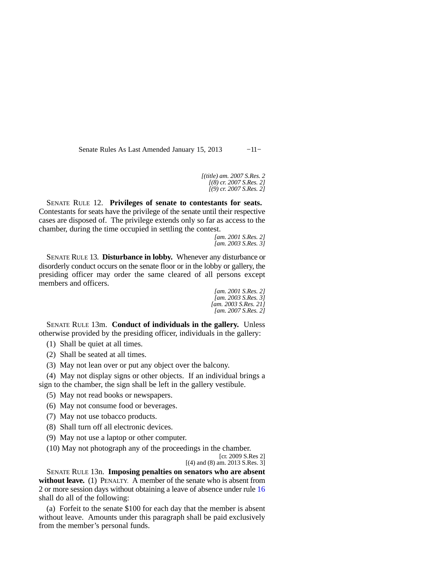Senate Rules As Last Amended January 15, 2013 -11−

*[(title) am. 2007 S.Res. 2 [(8) cr. 2007 S.Res. 2] [(9) cr. 2007 S.Res. 2]*

SENATE RULE 12. **Privileges of senate to contestants for seats.**  Contestants for seats have the privilege of the senate until their respective cases are disposed of. The privilege extends only so far as access to the chamber, during the time occupied in settling the contest.

*[am. 2001 S.Res. 2] [am. 2003 S.Res. 3]*

SENATE RULE 13. **Disturbance in lobby.** Whenever any disturbance or disorderly conduct occurs on the senate floor or in the lobby or gallery, the presiding officer may order the same cleared of all persons except members and officers.

> *[am. 2001 S.Res. 2] [am. 2003 S.Res. 3] [am. 2003 S.Res. 21] [am. 2007 S.Res. 2]*

SENATE RULE 13m. **Conduct of individuals in the gallery.** Unless otherwise provided by the presiding officer, individuals in the gallery:

(1) Shall be quiet at all times.

(2) Shall be seated at all times.

(3) May not lean over or put any object over the balcony.

(4) May not display signs or other objects. If an individual brings a sign to the chamber, the sign shall be left in the gallery vestibule.

(5) May not read books or newspapers.

(6) May not consume food or beverages.

- (7) May not use tobacco products.
- (8) Shall turn off all electronic devices.
- (9) May not use a laptop or other computer.

(10) May not photograph any of the proceedings in the chamber.

[cr. 2009 S.Res 2] [(4) and (8) am. 2013 S.Res. 3]

SENATE RULE 13n. **Imposing penalties on senators who are absent without leave.** (1) PENALTY. A member of the senate who is absent from 2 or more session days without obtaining a leave of absence under rule [16](https://docs.legis.wisconsin.gov/document/legislativerules/2013/sr16) shall do all of the following:

(a) Forfeit to the senate \$100 for each day that the member is absent without leave. Amounts under this paragraph shall be paid exclusively from the member's personal funds.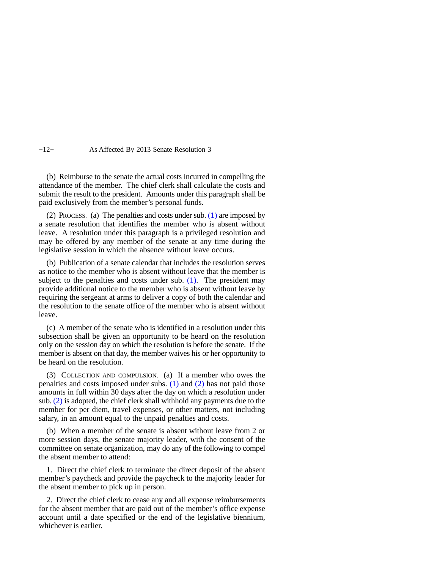#### −12− As Affected By 2013 Senate Resolution 3

(b) Reimburse to the senate the actual costs incurred in compelling the attendance of the member. The chief clerk shall calculate the costs and submit the result to the president. Amounts under this paragraph shall be paid exclusively from the member's personal funds.

(2) PROCESS. (a) The penalties and costs under sub. [\(1\)](https://docs.legis.wisconsin.gov/document/legislativerules/2013/sr13n(1)) are imposed by a senate resolution that identifies the member who is absent without leave. A resolution under this paragraph is a privileged resolution and may be offered by any member of the senate at any time during the legislative session in which the absence without leave occurs.

(b) Publication of a senate calendar that includes the resolution serves as notice to the member who is absent without leave that the member is subject to the penalties and costs under sub. [\(1\)](https://docs.legis.wisconsin.gov/document/legislativerules/2013/sr13n(1)). The president may provide additional notice to the member who is absent without leave by requiring the sergeant at arms to deliver a copy of both the calendar and the resolution to the senate office of the member who is absent without leave.

(c) A member of the senate who is identified in a resolution under this subsection shall be given an opportunity to be heard on the resolution only on the session day on which the resolution is before the senate. If the member is absent on that day, the member waives his or her opportunity to be heard on the resolution.

(3) COLLECTION AND COMPULSION. (a) If a member who owes the penalties and costs imposed under subs. [\(1\)](https://docs.legis.wisconsin.gov/document/legislativerules/2013/sr13n(1)) and [\(2\)](https://docs.legis.wisconsin.gov/document/legislativerules/2013/sr13n(2)) has not paid those amounts in full within 30 days after the day on which a resolution under sub. [\(2\)](https://docs.legis.wisconsin.gov/document/legislativerules/2013/sr13n(2)) is adopted, the chief clerk shall withhold any payments due to the member for per diem, travel expenses, or other matters, not including salary, in an amount equal to the unpaid penalties and costs.

(b) When a member of the senate is absent without leave from 2 or more session days, the senate majority leader, with the consent of the committee on senate organization, may do any of the following to compel the absent member to attend:

1. Direct the chief clerk to terminate the direct deposit of the absent member's paycheck and provide the paycheck to the majority leader for the absent member to pick up in person.

2. Direct the chief clerk to cease any and all expense reimbursements for the absent member that are paid out of the member's office expense account until a date specified or the end of the legislative biennium, whichever is earlier.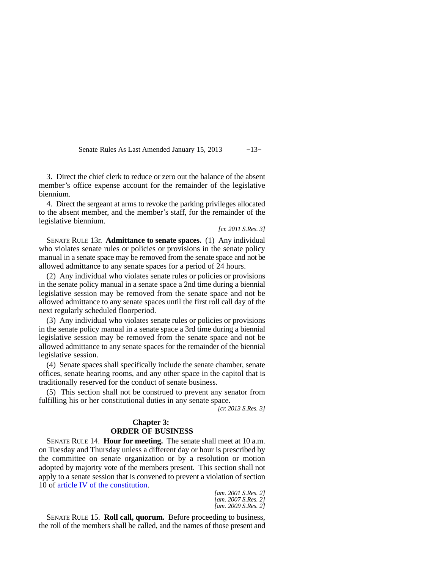Senate Rules As Last Amended January 15, 2013 -13−

3. Direct the chief clerk to reduce or zero out the balance of the absent member's office expense account for the remainder of the legislative biennium.

4. Direct the sergeant at arms to revoke the parking privileges allocated to the absent member, and the member's staff, for the remainder of the legislative biennium.

*[cr. 2011 S.Res. 3]*

SENATE RULE 13r. **Admittance to senate spaces.** (1) Any individual who violates senate rules or policies or provisions in the senate policy manual in a senate space may be removed from the senate space and not be allowed admittance to any senate spaces for a period of 24 hours.

(2) Any individual who violates senate rules or policies or provisions in the senate policy manual in a senate space a 2nd time during a biennial legislative session may be removed from the senate space and not be allowed admittance to any senate spaces until the first roll call day of the next regularly scheduled floorperiod.

(3) Any individual who violates senate rules or policies or provisions in the senate policy manual in a senate space a 3rd time during a biennial legislative session may be removed from the senate space and not be allowed admittance to any senate spaces for the remainder of the biennial legislative session.

(4) Senate spaces shall specifically include the senate chamber, senate offices, senate hearing rooms, and any other space in the capitol that is traditionally reserved for the conduct of senate business.

(5) This section shall not be construed to prevent any senator from fulfilling his or her constitutional duties in any senate space.

*[cr. 2013 S.Res. 3]*

### **Chapter 3: ORDER OF BUSINESS**

SENATE RULE 14. **Hour for meeting.** The senate shall meet at 10 a.m. on Tuesday and Thursday unless a different day or hour is prescribed by the committee on senate organization or by a resolution or motion adopted by majority vote of the members present. This section shall not apply to a senate session that is convened to prevent a violation of section 10 of [article IV of the constitution](https://docs.legis.wisconsin.gov/document/wisconsinconstitution/IV).

*[am. 2001 S.Res. 2] [am. 2007 S.Res. 2] [am. 2009 S.Res. 2]*

SENATE RULE 15. **Roll call, quorum.** Before proceeding to business, the roll of the members shall be called, and the names of those present and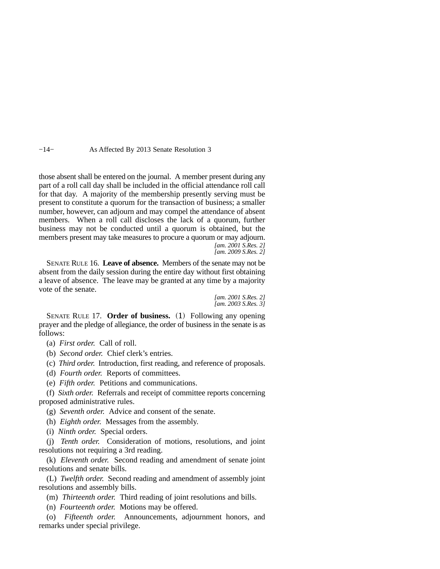−14− As Affected By 2013 Senate Resolution 3

those absent shall be entered on the journal. A member present during any part of a roll call day shall be included in the official attendance roll call for that day. A majority of the membership presently serving must be present to constitute a quorum for the transaction of business; a smaller number, however, can adjourn and may compel the attendance of absent members. When a roll call discloses the lack of a quorum, further business may not be conducted until a quorum is obtained, but the members present may take measures to procure a quorum or may adjourn. *[am. 2001 S.Res. 2] [am. 2009 S.Res. 2]*

SENATE RULE 16. **Leave of absence.** Members of the senate may not be absent from the daily session during the entire day without first obtaining a leave of absence. The leave may be granted at any time by a majority vote of the senate.

> *[am. 2001 S.Res. 2] [am. 2003 S.Res. 3]*

SENATE RULE 17. **Order of business.** (1) Following any opening prayer and the pledge of allegiance, the order of business in the senate is as follows:

- (a) *First order.* Call of roll.
- (b) *Second order.* Chief clerk's entries.
- (c) *Third order.* Introduction, first reading, and reference of proposals.
- (d) *Fourth order.* Reports of committees.
- (e) *Fifth order.* Petitions and communications.

(f) *Sixth order.* Referrals and receipt of committee reports concerning proposed administrative rules.

- (g) *Seventh order.* Advice and consent of the senate.
- (h) *Eighth order.* Messages from the assembly.
- (i) *Ninth order.* Special orders.

(j) *Tenth order.* Consideration of motions, resolutions, and joint resolutions not requiring a 3rd reading.

(k) *Eleventh order.* Second reading and amendment of senate joint resolutions and senate bills.

(L) *Twelfth order.* Second reading and amendment of assembly joint resolutions and assembly bills.

(m) *Thirteenth order.* Third reading of joint resolutions and bills.

(n) *Fourteenth order.* Motions may be offered.

(o) *Fifteenth order.* Announcements, adjournment honors, and remarks under special privilege.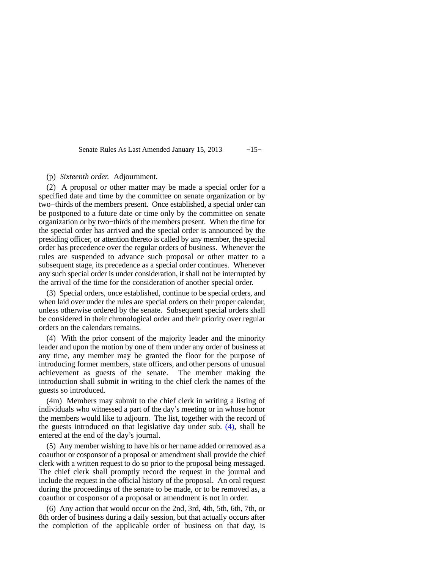Senate Rules As Last Amended January 15, 2013 −15−

(p) *Sixteenth order.* Adjournment.

(2) A proposal or other matter may be made a special order for a specified date and time by the committee on senate organization or by two−thirds of the members present. Once established, a special order can be postponed to a future date or time only by the committee on senate organization or by two−thirds of the members present. When the time for the special order has arrived and the special order is announced by the presiding officer, or attention thereto is called by any member, the special order has precedence over the regular orders of business. Whenever the rules are suspended to advance such proposal or other matter to a subsequent stage, its precedence as a special order continues. Whenever any such special order is under consideration, it shall not be interrupted by the arrival of the time for the consideration of another special order.

(3) Special orders, once established, continue to be special orders, and when laid over under the rules are special orders on their proper calendar, unless otherwise ordered by the senate. Subsequent special orders shall be considered in their chronological order and their priority over regular orders on the calendars remains.

(4) With the prior consent of the majority leader and the minority leader and upon the motion by one of them under any order of business at any time, any member may be granted the floor for the purpose of introducing former members, state officers, and other persons of unusual achievement as guests of the senate. The member making the introduction shall submit in writing to the chief clerk the names of the guests so introduced.

(4m) Members may submit to the chief clerk in writing a listing of individuals who witnessed a part of the day's meeting or in whose honor the members would like to adjourn. The list, together with the record of the guests introduced on that legislative day under sub. [\(4\)](https://docs.legis.wisconsin.gov/document/legislativerules/2013/sr17(4)), shall be entered at the end of the day's journal.

(5) Any member wishing to have his or her name added or removed as a coauthor or cosponsor of a proposal or amendment shall provide the chief clerk with a written request to do so prior to the proposal being messaged. The chief clerk shall promptly record the request in the journal and include the request in the official history of the proposal. An oral request during the proceedings of the senate to be made, or to be removed as, a coauthor or cosponsor of a proposal or amendment is not in order.

(6) Any action that would occur on the 2nd, 3rd, 4th, 5th, 6th, 7th, or 8th order of business during a daily session, but that actually occurs after the completion of the applicable order of business on that day, is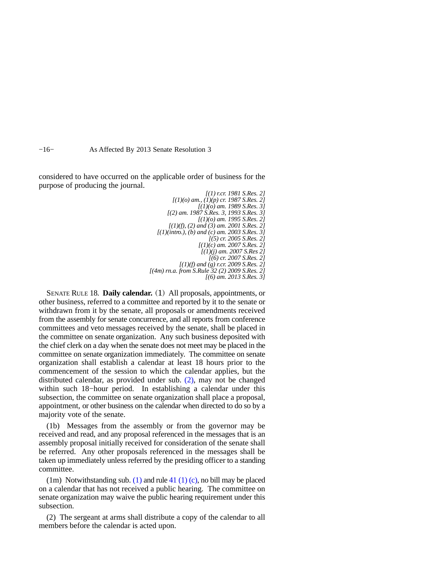−16− As Affected By 2013 Senate Resolution 3

considered to have occurred on the applicable order of business for the purpose of producing the journal.

> *[(1) r.cr. 1981 S.Res. 2] [(1)(o) am., (1)(p) cr. 1987 S.Res. 2] [(1)(o) am. 1989 S.Res. 3] [(2) am. 1987 S.Res. 3, 1993 S.Res. 3] [(1)(o) am. 1995 S.Res. 2] [(1)(f), (2) and (3) am. 2001 S.Res. 2] [(1)(intro.), (b) and (c) am. 2003 S.Res. 3] [(5) cr. 2005 S.Res. 2] [(1)(c) am. 2007 S.Res. 2] [(1)(j) am. 2007 S.Res 2] [(6) cr. 2007 S.Res. 2] [(1)(f) and (g) r.cr. 2009 S.Res. 2] [(4m) rn.a. from S.Rule 32 (2) 2009 S.Res. 2] [(6) am. 2013 S.Res. 3]*

SENATE RULE 18. **Daily calendar.** (1) All proposals, appointments, or other business, referred to a committee and reported by it to the senate or withdrawn from it by the senate, all proposals or amendments received from the assembly for senate concurrence, and all reports from conference committees and veto messages received by the senate, shall be placed in the committee on senate organization. Any such business deposited with the chief clerk on a day when the senate does not meet may be placed in the committee on senate organization immediately. The committee on senate organization shall establish a calendar at least 18 hours prior to the commencement of the session to which the calendar applies, but the distributed calendar, as provided under sub. [\(2\),](https://docs.legis.wisconsin.gov/document/legislativerules/2013/sr18(2)) may not be changed within such 18−hour period. In establishing a calendar under this subsection, the committee on senate organization shall place a proposal, appointment, or other business on the calendar when directed to do so by a majority vote of the senate.

(1b) Messages from the assembly or from the governor may be received and read, and any proposal referenced in the messages that is an assembly proposal initially received for consideration of the senate shall be referred. Any other proposals referenced in the messages shall be taken up immediately unless referred by the presiding officer to a standing committee.

(1m) Notwithstanding sub. [\(1\)](https://docs.legis.wisconsin.gov/document/legislativerules/2013/sr18(1)) and rule [41 \(1\) \(c\),](https://docs.legis.wisconsin.gov/document/legislativerules/2013/sr41(1)(c)) no bill may be placed on a calendar that has not received a public hearing. The committee on senate organization may waive the public hearing requirement under this subsection.

(2) The sergeant at arms shall distribute a copy of the calendar to all members before the calendar is acted upon.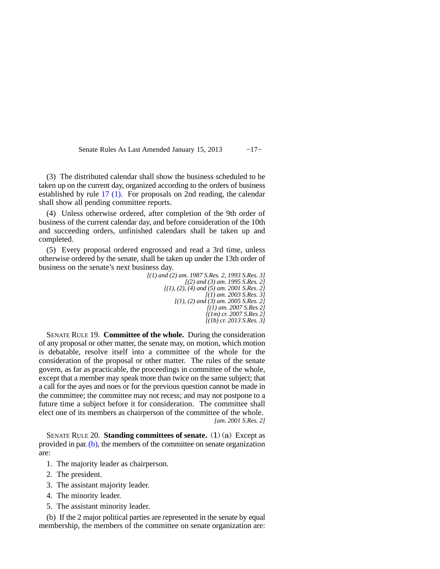Senate Rules As Last Amended January 15, 2013 −17−

(3) The distributed calendar shall show the business scheduled to be taken up on the current day, organized according to the orders of business established by rule [17 \(1\)](https://docs.legis.wisconsin.gov/document/legislativerules/2013/sr17(1)). For proposals on 2nd reading, the calendar shall show all pending committee reports.

(4) Unless otherwise ordered, after completion of the 9th order of business of the current calendar day, and before consideration of the 10th and succeeding orders, unfinished calendars shall be taken up and completed.

(5) Every proposal ordered engrossed and read a 3rd time, unless otherwise ordered by the senate, shall be taken up under the 13th order of business on the senate's next business day.

*[(1) and (2) am. 1987 S.Res. 2, 1993 S.Res. 3] [(2) and (3) am. 1995 S.Res. 2] [(1), (2), (4) and (5) am. 2001 S.Res. 2] [(1) am. 2003 S.Res. 3] [(1), (2) and (3) am. 2005 S.Res. 2] [(1) am. 2007 S.Res 2] [(1m) cr. 2007 S.Res 2] [(1b) cr. 2013 S.Res. 3]*

SENATE RULE 19. **Committee of the whole.** During the consideration of any proposal or other matter, the senate may, on motion, which motion is debatable, resolve itself into a committee of the whole for the consideration of the proposal or other matter. The rules of the senate govern, as far as practicable, the proceedings in committee of the whole, except that a member may speak more than twice on the same subject; that a call for the ayes and noes or for the previous question cannot be made in the committee; the committee may not recess; and may not postpone to a future time a subject before it for consideration. The committee shall elect one of its members as chairperson of the committee of the whole. *[am. 2001 S.Res. 2]*

SENATE RULE 20. **Standing committees of senate.** (1) (a) Except as provided in par. [\(b\),](https://docs.legis.wisconsin.gov/document/legislativerules/2013/sr20(1)(b)) the members of the committee on senate organization are:

- 1. The majority leader as chairperson.
- 2. The president.
- 3. The assistant majority leader.
- 4. The minority leader.
- 5. The assistant minority leader.

(b) If the 2 major political parties are represented in the senate by equal membership, the members of the committee on senate organization are: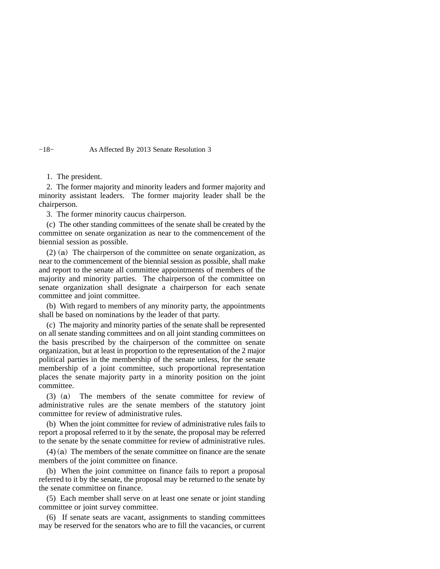−18− As Affected By 2013 Senate Resolution 3

#### 1. The president.

2. The former majority and minority leaders and former majority and minority assistant leaders. The former majority leader shall be the chairperson.

3. The former minority caucus chairperson.

(c) The other standing committees of the senate shall be created by the committee on senate organization as near to the commencement of the biennial session as possible.

(2) (a) The chairperson of the committee on senate organization, as near to the commencement of the biennial session as possible, shall make and report to the senate all committee appointments of members of the majority and minority parties. The chairperson of the committee on senate organization shall designate a chairperson for each senate committee and joint committee.

(b) With regard to members of any minority party, the appointments shall be based on nominations by the leader of that party.

(c) The majority and minority parties of the senate shall be represented on all senate standing committees and on all joint standing committees on the basis prescribed by the chairperson of the committee on senate organization, but at least in proportion to the representation of the 2 major political parties in the membership of the senate unless, for the senate membership of a joint committee, such proportional representation places the senate majority party in a minority position on the joint committee.

(3) (a) The members of the senate committee for review of administrative rules are the senate members of the statutory joint committee for review of administrative rules.

(b) When the joint committee for review of administrative rules fails to report a proposal referred to it by the senate, the proposal may be referred to the senate by the senate committee for review of administrative rules.

(4) (a) The members of the senate committee on finance are the senate members of the joint committee on finance.

(b) When the joint committee on finance fails to report a proposal referred to it by the senate, the proposal may be returned to the senate by the senate committee on finance.

(5) Each member shall serve on at least one senate or joint standing committee or joint survey committee.

(6) If senate seats are vacant, assignments to standing committees may be reserved for the senators who are to fill the vacancies, or current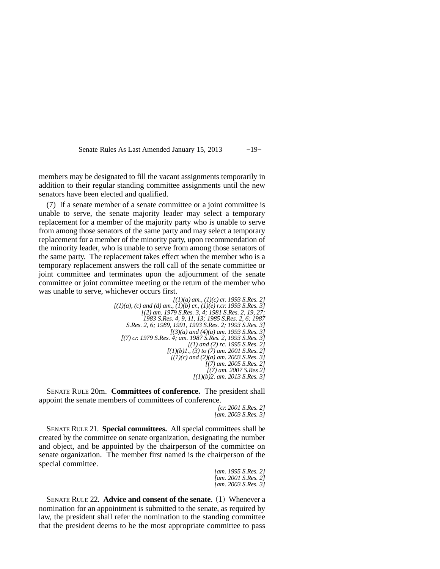Senate Rules As Last Amended January 15, 2013 −19−

members may be designated to fill the vacant assignments temporarily in addition to their regular standing committee assignments until the new senators have been elected and qualified.

(7) If a senate member of a senate committee or a joint committee is unable to serve, the senate majority leader may select a temporary replacement for a member of the majority party who is unable to serve from among those senators of the same party and may select a temporary replacement for a member of the minority party, upon recommendation of the minority leader, who is unable to serve from among those senators of the same party. The replacement takes effect when the member who is a temporary replacement answers the roll call of the senate committee or joint committee and terminates upon the adjournment of the senate committee or joint committee meeting or the return of the member who was unable to serve, whichever occurs first.

> *[(1)(a) am., (1)(c) cr. 1993 S.Res. 2] [(1)(a), (c) and (d) am., (1)(b) cr., (1)(e) r.cr. 1993 S.Res. 3] [(2) am. 1979 S.Res. 3, 4; 1981 S.Res. 2, 19, 27; 1983 S.Res. 4, 9, 11, 13; 1985 S.Res. 2, 6; 1987 S.Res. 2, 6; 1989, 1991, 1993 S.Res. 2; 1993 S.Res. 3] [(3)(a) and (4)(a) am. 1993 S.Res. 3] [(7) cr. 1979 S.Res. 4; am. 1987 S.Res. 2, 1993 S.Res. 3] [(1) and (2) rc. 1995 S.Res. 2] [(1)(b)1., (3) to (7) am. 2001 S.Res. 2] [(1)(c) and (2)(a) am. 2003 S.Res. 3] [(7) am. 2005 S.Res. 2] [(7) am. 2007 S.Res 2] [(1)(b)2. am. 2013 S.Res. 3]*

SENATE RULE 20m. **Committees of conference.** The president shall appoint the senate members of committees of conference.

```
[cr. 2001 S.Res. 2]
[am. 2003 S.Res. 3]
```
SENATE RULE 21. **Special committees.** All special committees shall be created by the committee on senate organization, designating the number and object, and be appointed by the chairperson of the committee on senate organization. The member first named is the chairperson of the special committee.

```
[am. 1995 S.Res. 2]
[am. 2001 S.Res. 2]
[am. 2003 S.Res. 3]
```
SENATE RULE 22. **Advice and consent of the senate.** (1) Whenever a nomination for an appointment is submitted to the senate, as required by law, the president shall refer the nomination to the standing committee that the president deems to be the most appropriate committee to pass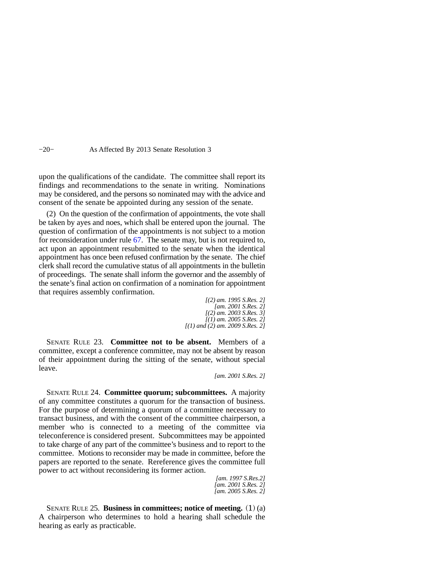#### −20− As Affected By 2013 Senate Resolution 3

upon the qualifications of the candidate. The committee shall report its findings and recommendations to the senate in writing. Nominations may be considered, and the persons so nominated may with the advice and consent of the senate be appointed during any session of the senate.

(2) On the question of the confirmation of appointments, the vote shall be taken by ayes and noes, which shall be entered upon the journal. The question of confirmation of the appointments is not subject to a motion for reconsideration under rule [67.](https://docs.legis.wisconsin.gov/document/legislativerules/2013/sr67) The senate may, but is not required to, act upon an appointment resubmitted to the senate when the identical appointment has once been refused confirmation by the senate. The chief clerk shall record the cumulative status of all appointments in the bulletin of proceedings. The senate shall inform the governor and the assembly of the senate's final action on confirmation of a nomination for appointment that requires assembly confirmation.

> *[(2) am. 1995 S.Res. 2] [am. 2001 S.Res. 2] [(2) am. 2003 S.Res. 3] [(1) am. 2005 S.Res. 2] [(1) and (2) am. 2009 S.Res. 2]*

SENATE RULE 23. **Committee not to be absent.** Members of a committee, except a conference committee, may not be absent by reason of their appointment during the sitting of the senate, without special leave.

*[am. 2001 S.Res. 2]*

SENATE RULE 24. **Committee quorum; subcommittees.** A majority of any committee constitutes a quorum for the transaction of business. For the purpose of determining a quorum of a committee necessary to transact business, and with the consent of the committee chairperson, a member who is connected to a meeting of the committee via teleconference is considered present. Subcommittees may be appointed to take charge of any part of the committee's business and to report to the committee. Motions to reconsider may be made in committee, before the papers are reported to the senate. Rereference gives the committee full power to act without reconsidering its former action.

*[am. 1997 S.Res.2] [am. 2001 S.Res. 2] [am. 2005 S.Res. 2]*

SENATE RULE 25. **Business in committees; notice of meeting.** (1) (a) A chairperson who determines to hold a hearing shall schedule the hearing as early as practicable.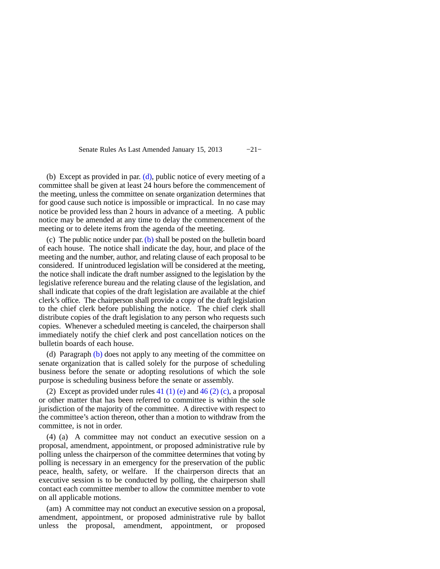Senate Rules As Last Amended January 15, 2013 −21−

(b) Except as provided in par.  $(d)$ , public notice of every meeting of a committee shall be given at least 24 hours before the commencement of the meeting, unless the committee on senate organization determines that for good cause such notice is impossible or impractical. In no case may notice be provided less than 2 hours in advance of a meeting. A public notice may be amended at any time to delay the commencement of the meeting or to delete items from the agenda of the meeting.

(c) The public notice under par. [\(b\)](https://docs.legis.wisconsin.gov/document/legislativerules/2013/sr25(1)(b)) shall be posted on the bulletin board of each house. The notice shall indicate the day, hour, and place of the meeting and the number, author, and relating clause of each proposal to be considered. If unintroduced legislation will be considered at the meeting, the notice shall indicate the draft number assigned to the legislation by the legislative reference bureau and the relating clause of the legislation, and shall indicate that copies of the draft legislation are available at the chief clerk's office. The chairperson shall provide a copy of the draft legislation to the chief clerk before publishing the notice. The chief clerk shall distribute copies of the draft legislation to any person who requests such copies. Whenever a scheduled meeting is canceled, the chairperson shall immediately notify the chief clerk and post cancellation notices on the bulletin boards of each house.

(d) Paragraph [\(b\)](https://docs.legis.wisconsin.gov/document/legislativerules/2013/sr25(1)(b)) does not apply to any meeting of the committee on senate organization that is called solely for the purpose of scheduling business before the senate or adopting resolutions of which the sole purpose is scheduling business before the senate or assembly.

(2) Except as provided under rules  $41$  (1) (e) and  $46$  (2) (c), a proposal or other matter that has been referred to committee is within the sole jurisdiction of the majority of the committee. A directive with respect to the committee's action thereon, other than a motion to withdraw from the committee, is not in order.

(4) (a) A committee may not conduct an executive session on a proposal, amendment, appointment, or proposed administrative rule by polling unless the chairperson of the committee determines that voting by polling is necessary in an emergency for the preservation of the public peace, health, safety, or welfare. If the chairperson directs that an executive session is to be conducted by polling, the chairperson shall contact each committee member to allow the committee member to vote on all applicable motions.

(am) A committee may not conduct an executive session on a proposal, amendment, appointment, or proposed administrative rule by ballot unless the proposal, amendment, appointment, or proposed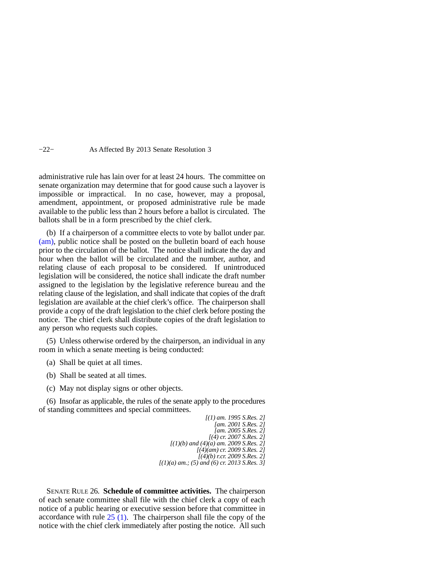#### −22− As Affected By 2013 Senate Resolution 3

administrative rule has lain over for at least 24 hours. The committee on senate organization may determine that for good cause such a layover is impossible or impractical. In no case, however, may a proposal, amendment, appointment, or proposed administrative rule be made available to the public less than 2 hours before a ballot is circulated. The ballots shall be in a form prescribed by the chief clerk.

(b) If a chairperson of a committee elects to vote by ballot under par. [\(am\),](https://docs.legis.wisconsin.gov/document/legislativerules/2013/sr25(4)(am)) public notice shall be posted on the bulletin board of each house prior to the circulation of the ballot. The notice shall indicate the day and hour when the ballot will be circulated and the number, author, and relating clause of each proposal to be considered. If unintroduced legislation will be considered, the notice shall indicate the draft number assigned to the legislation by the legislative reference bureau and the relating clause of the legislation, and shall indicate that copies of the draft legislation are available at the chief clerk's office. The chairperson shall provide a copy of the draft legislation to the chief clerk before posting the notice. The chief clerk shall distribute copies of the draft legislation to any person who requests such copies.

(5) Unless otherwise ordered by the chairperson, an individual in any room in which a senate meeting is being conducted:

- (a) Shall be quiet at all times.
- (b) Shall be seated at all times.
- (c) May not display signs or other objects.

(6) Insofar as applicable, the rules of the senate apply to the procedures of standing committees and special committees.

> *[(1) am. 1995 S.Res. 2] [am. 2001 S.Res. 2] [am. 2005 S.Res. 2] [(4) cr. 2007 S.Res. 2] [(1)(b) and (4)(a) am. 2009 S.Res. 2] [(4)(am) cr. 2009 S.Res. 2] [(4)(b) r.cr. 2009 S.Res. 2] [(1)(a) am.; (5) and (6) cr. 2013 S.Res. 3]*

SENATE RULE 26. **Schedule of committee activities.** The chairperson of each senate committee shall file with the chief clerk a copy of each notice of a public hearing or executive session before that committee in accordance with rule  $25(1)$ . The chairperson shall file the copy of the notice with the chief clerk immediately after posting the notice. All such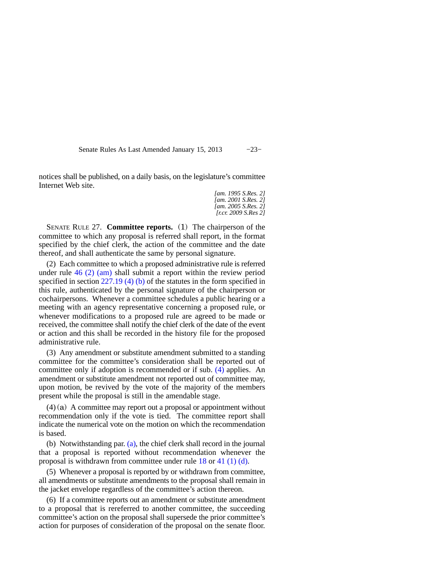Senate Rules As Last Amended January 15, 2013 −23−

notices shall be published, on a daily basis, on the legislature's committee Internet Web site.

> *[am. 1995 S.Res. 2] [am. 2001 S.Res. 2] [am. 2005 S.Res. 2] [r.cr. 2009 S.Res 2]*

SENATE RULE 27. **Committee reports.** (1) The chairperson of the committee to which any proposal is referred shall report, in the format specified by the chief clerk, the action of the committee and the date thereof, and shall authenticate the same by personal signature.

(2) Each committee to which a proposed administrative rule is referred under rule [46 \(2\) \(am\)](https://docs.legis.wisconsin.gov/document/legislativerules/2013/sr46(2)(am)) shall submit a report within the review period specified in section [227.19 \(4\) \(b\)](https://docs.legis.wisconsin.gov/document/statutes/227.19(4)(b)) of the statutes in the form specified in this rule, authenticated by the personal signature of the chairperson or cochairpersons. Whenever a committee schedules a public hearing or a meeting with an agency representative concerning a proposed rule, or whenever modifications to a proposed rule are agreed to be made or received, the committee shall notify the chief clerk of the date of the event or action and this shall be recorded in the history file for the proposed administrative rule.

(3) Any amendment or substitute amendment submitted to a standing committee for the committee's consideration shall be reported out of committee only if adoption is recommended or if sub. [\(4\)](https://docs.legis.wisconsin.gov/document/legislativerules/2013/sr27(4)) applies. An amendment or substitute amendment not reported out of committee may, upon motion, be revived by the vote of the majority of the members present while the proposal is still in the amendable stage.

 $(4)(a)$  A committee may report out a proposal or appointment without recommendation only if the vote is tied. The committee report shall indicate the numerical vote on the motion on which the recommendation is based.

(b) Notwithstanding par. [\(a\),](https://docs.legis.wisconsin.gov/document/legislativerules/2013/sr27(4)(a)) the chief clerk shall record in the journal that a proposal is reported without recommendation whenever the proposal is withdrawn from committee under rule [18](https://docs.legis.wisconsin.gov/document/legislativerules/2013/sr18) or [41 \(1\) \(d\).](https://docs.legis.wisconsin.gov/document/legislativerules/2013/sr41(1)(d))

(5) Whenever a proposal is reported by or withdrawn from committee, all amendments or substitute amendments to the proposal shall remain in the jacket envelope regardless of the committee's action thereon.

(6) If a committee reports out an amendment or substitute amendment to a proposal that is rereferred to another committee, the succeeding committee's action on the proposal shall supersede the prior committee's action for purposes of consideration of the proposal on the senate floor.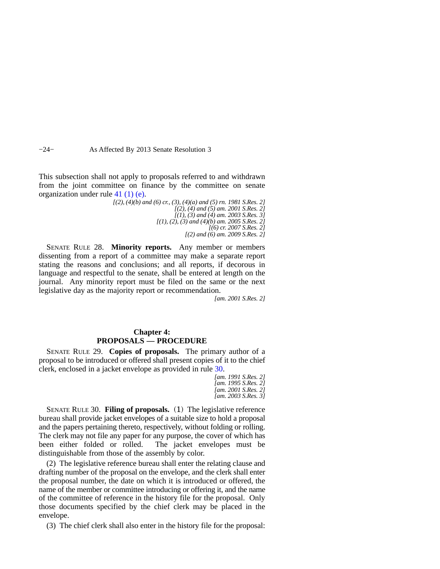−24− As Affected By 2013 Senate Resolution 3

This subsection shall not apply to proposals referred to and withdrawn from the joint committee on finance by the committee on senate organization under rule [41 \(1\) \(e\).](https://docs.legis.wisconsin.gov/document/legislativerules/2013/sr41(1)(e))

> *[(2), (4)(b) and (6) cr., (3), (4)(a) and (5) rn. 1981 S.Res. 2] [(2), (4) and (5) am. 2001 S.Res. 2] [(1), (3) and (4) am. 2003 S.Res. 3] [(1), (2), (3) and (4)(b) am. 2005 S.Res. 2] [(6) cr. 2007 S.Res. 2] [(2) and (6) am. 2009 S.Res. 2]*

SENATE RULE 28. **Minority reports.** Any member or members dissenting from a report of a committee may make a separate report stating the reasons and conclusions; and all reports, if decorous in language and respectful to the senate, shall be entered at length on the journal. Any minority report must be filed on the same or the next legislative day as the majority report or recommendation.

*[am. 2001 S.Res. 2]*

## **Chapter 4: PROPOSALS — PROCEDURE**

SENATE RULE 29. **Copies of proposals.** The primary author of a proposal to be introduced or offered shall present copies of it to the chief clerk, enclosed in a jacket envelope as provided in rule [30](https://docs.legis.wisconsin.gov/document/legislativerules/2013/sr30).

```
[am. 1991 S.Res. 2]
[am. 1995 S.Res. 2]
[am. 2001 S.Res. 2]
[am. 2003 S.Res. 3]
```
SENATE RULE 30. **Filing of proposals.** (1) The legislative reference bureau shall provide jacket envelopes of a suitable size to hold a proposal and the papers pertaining thereto, respectively, without folding or rolling. The clerk may not file any paper for any purpose, the cover of which has been either folded or rolled. The jacket envelopes must be The jacket envelopes must be distinguishable from those of the assembly by color.

(2) The legislative reference bureau shall enter the relating clause and drafting number of the proposal on the envelope, and the clerk shall enter the proposal number, the date on which it is introduced or offered, the name of the member or committee introducing or offering it, and the name of the committee of reference in the history file for the proposal. Only those documents specified by the chief clerk may be placed in the envelope.

(3) The chief clerk shall also enter in the history file for the proposal: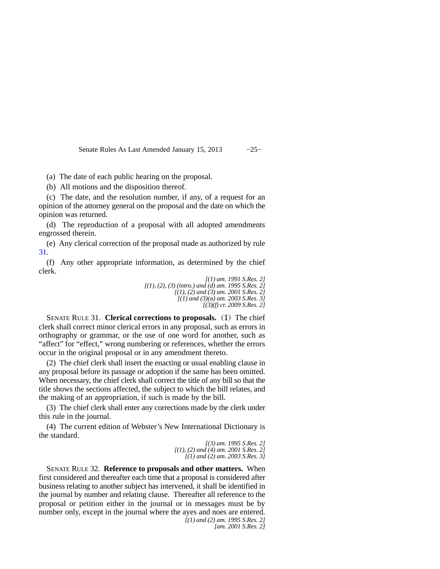Senate Rules As Last Amended January 15, 2013 −25−

(a) The date of each public hearing on the proposal.

(b) All motions and the disposition thereof.

(c) The date, and the resolution number, if any, of a request for an opinion of the attorney general on the proposal and the date on which the opinion was returned.

(d) The reproduction of a proposal with all adopted amendments engrossed therein.

(e) Any clerical correction of the proposal made as authorized by rule [31](https://docs.legis.wisconsin.gov/document/legislativerules/2013/sr31).

(f) Any other appropriate information, as determined by the chief clerk.

*[(1) am. 1991 S.Res. 2] [(1), (2), (3) (intro.) and (d) am. 1995 S.Res. 2] [(1), (2) and (3) am. 2001 S.Res. 2] [(1) and (3)(a) am. 2003 S.Res. 3] [(3)(f) cr. 2009 S.Res. 2]*

SENATE RULE 31. **Clerical corrections to proposals.** (1) The chief clerk shall correct minor clerical errors in any proposal, such as errors in orthography or grammar, or the use of one word for another, such as "affect" for "effect," wrong numbering or references, whether the errors occur in the original proposal or in any amendment thereto.

(2) The chief clerk shall insert the enacting or usual enabling clause in any proposal before its passage or adoption if the same has been omitted. When necessary, the chief clerk shall correct the title of any bill so that the title shows the sections affected, the subject to which the bill relates, and the making of an appropriation, if such is made by the bill.

(3) The chief clerk shall enter any corrections made by the clerk under this rule in the journal.

(4) The current edition of Webster's New International Dictionary is the standard.

> *[(3) am. 1995 S.Res. 2] [(1), (2) and (4) am. 2001 S.Res. 2] [(1) and (2) am. 2003 S.Res. 3]*

SENATE RULE 32. **Reference to proposals and other matters.** When first considered and thereafter each time that a proposal is considered after business relating to another subject has intervened, it shall be identified in the journal by number and relating clause. Thereafter all reference to the proposal or petition either in the journal or in messages must be by number only, except in the journal where the ayes and noes are entered. *[(1) and (2) am. 1995 S.Res. 2]*

*[am. 2001 S.Res. 2]*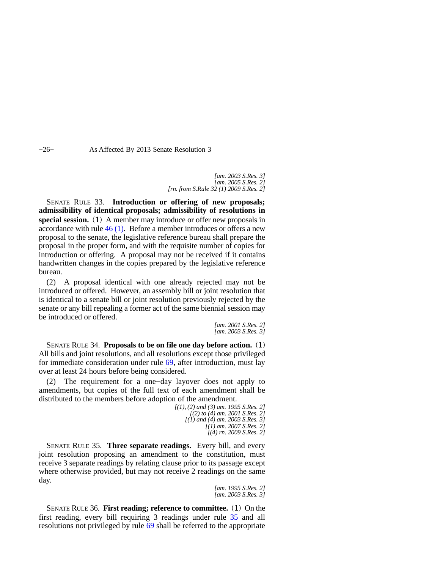−26− As Affected By 2013 Senate Resolution 3

*[am. 2003 S.Res. 3] [am. 2005 S.Res. 2] [rn. from S.Rule 32 (1) 2009 S.Res. 2]*

SENATE RULE 33. **Introduction or offering of new proposals; admissibility of identical proposals; admissibility of resolutions in special session.** (1) A member may introduce or offer new proposals in accordance with rule [46 \(1\)](https://docs.legis.wisconsin.gov/document/legislativerules/2013/sr46(1)). Before a member introduces or offers a new proposal to the senate, the legislative reference bureau shall prepare the proposal in the proper form, and with the requisite number of copies for introduction or offering. A proposal may not be received if it contains handwritten changes in the copies prepared by the legislative reference bureau.

(2) A proposal identical with one already rejected may not be introduced or offered. However, an assembly bill or joint resolution that is identical to a senate bill or joint resolution previously rejected by the senate or any bill repealing a former act of the same biennial session may be introduced or offered.

> *[am. 2001 S.Res. 2] [am. 2003 S.Res. 3]*

SENATE RULE 34. **Proposals to be on file one day before action.** (1) All bills and joint resolutions, and all resolutions except those privileged for immediate consideration under rule [69](https://docs.legis.wisconsin.gov/document/legislativerules/2013/sr69), after introduction, must lay over at least 24 hours before being considered.

(2) The requirement for a one−day layover does not apply to amendments, but copies of the full text of each amendment shall be distributed to the members before adoption of the amendment.

*[(1), (2) and (3) am. 1995 S.Res. 2] [(2) to (4) am. 2001 S.Res. 2] [(1) and (4) am. 2003 S.Res. 3] [(1) am. 2007 S.Res. 2] [(4) rn. 2009 S.Res. 2]*

SENATE RULE 35. **Three separate readings.** Every bill, and every joint resolution proposing an amendment to the constitution, must receive 3 separate readings by relating clause prior to its passage except where otherwise provided, but may not receive 2 readings on the same day.

> *[am. 1995 S.Res. 2] [am. 2003 S.Res. 3]*

SENATE RULE 36. **First reading; reference to committee.** (1) On the first reading, every bill requiring 3 readings under rule [35](https://docs.legis.wisconsin.gov/document/legislativerules/2013/sr35) and all resolutions not privileged by rule [69](https://docs.legis.wisconsin.gov/document/legislativerules/2013/sr69) shall be referred to the appropriate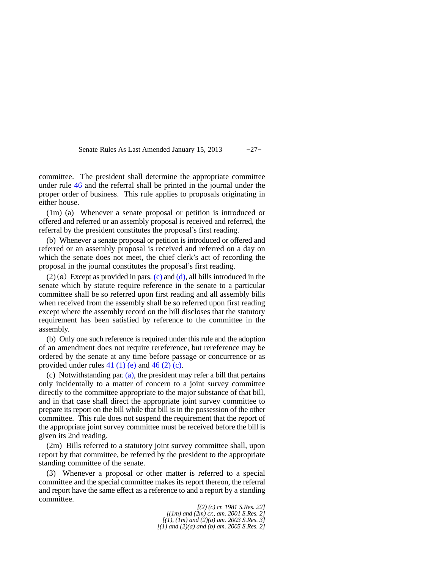Senate Rules As Last Amended January 15, 2013 −27−

committee. The president shall determine the appropriate committee under rule [46](https://docs.legis.wisconsin.gov/document/legislativerules/2013/sr46) and the referral shall be printed in the journal under the proper order of business. This rule applies to proposals originating in either house.

(1m) (a) Whenever a senate proposal or petition is introduced or offered and referred or an assembly proposal is received and referred, the referral by the president constitutes the proposal's first reading.

(b) Whenever a senate proposal or petition is introduced or offered and referred or an assembly proposal is received and referred on a day on which the senate does not meet, the chief clerk's act of recording the proposal in the journal constitutes the proposal's first reading.

 $(2)(a)$  Except as provided in pars.  $(c)$  and  $(d)$ , all bills introduced in the senate which by statute require reference in the senate to a particular committee shall be so referred upon first reading and all assembly bills when received from the assembly shall be so referred upon first reading except where the assembly record on the bill discloses that the statutory requirement has been satisfied by reference to the committee in the assembly.

(b) Only one such reference is required under this rule and the adoption of an amendment does not require rereference, but rereference may be ordered by the senate at any time before passage or concurrence or as provided under rules  $41(1)$  (e) and  $46(2)$  (c).

(c) Notwithstanding par. [\(a\)](https://docs.legis.wisconsin.gov/document/legislativerules/2013/sr36(2)(a)), the president may refer a bill that pertains only incidentally to a matter of concern to a joint survey committee directly to the committee appropriate to the major substance of that bill, and in that case shall direct the appropriate joint survey committee to prepare its report on the bill while that bill is in the possession of the other committee. This rule does not suspend the requirement that the report of the appropriate joint survey committee must be received before the bill is given its 2nd reading.

(2m) Bills referred to a statutory joint survey committee shall, upon report by that committee, be referred by the president to the appropriate standing committee of the senate.

(3) Whenever a proposal or other matter is referred to a special committee and the special committee makes its report thereon, the referral and report have the same effect as a reference to and a report by a standing committee.

*[(2) (c) cr. 1981 S.Res. 22] [(1m) and (2m) cr., am. 2001 S.Res. 2] [(1), (1m) and (2)(a) am. 2003 S.Res. 3] [(1) and (2)(a) and (b) am. 2005 S.Res. 2]*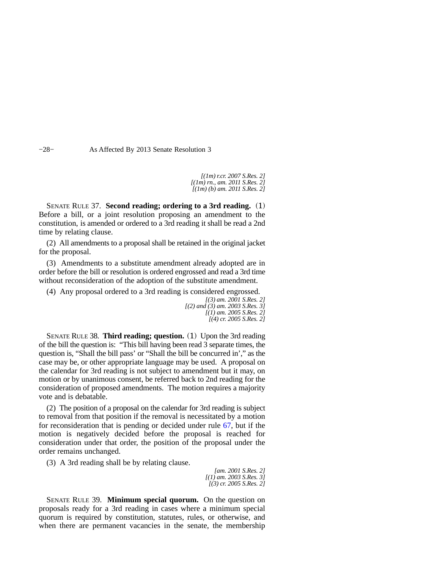−28− As Affected By 2013 Senate Resolution 3

*[(1m) r.cr. 2007 S.Res. 2] [(1m) rn., am. 2011 S.Res. 2] [(1m) (b) am. 2011 S.Res. 2]*

SENATE RULE 37. **Second reading; ordering to a 3rd reading.** (1) Before a bill, or a joint resolution proposing an amendment to the constitution, is amended or ordered to a 3rd reading it shall be read a 2nd time by relating clause.

(2) All amendments to a proposal shall be retained in the original jacket for the proposal.

(3) Amendments to a substitute amendment already adopted are in order before the bill or resolution is ordered engrossed and read a 3rd time without reconsideration of the adoption of the substitute amendment.

(4) Any proposal ordered to a 3rd reading is considered engrossed.

*[(3) am. 2001 S.Res. 2] [(2) and (3) am. 2003 S.Res. 3] [(1) am. 2005 S.Res. 2] [(4) cr. 2005 S.Res. 2]*

SENATE RULE 38. **Third reading; question.** (1) Upon the 3rd reading of the bill the question is: "This bill having been read 3 separate times, the question is, "Shall the bill pass' or "Shall the bill be concurred in'," as the case may be, or other appropriate language may be used. A proposal on the calendar for 3rd reading is not subject to amendment but it may, on motion or by unanimous consent, be referred back to 2nd reading for the consideration of proposed amendments. The motion requires a majority vote and is debatable.

(2) The position of a proposal on the calendar for 3rd reading is subject to removal from that position if the removal is necessitated by a motion for reconsideration that is pending or decided under rule [67,](https://docs.legis.wisconsin.gov/document/legislativerules/2013/sr67) but if the motion is negatively decided before the proposal is reached for consideration under that order, the position of the proposal under the order remains unchanged.

(3) A 3rd reading shall be by relating clause.

*[am. 2001 S.Res. 2] [(1) am. 2003 S.Res. 3] [(3) cr. 2005 S.Res. 2]*

SENATE RULE 39. **Minimum special quorum.** On the question on proposals ready for a 3rd reading in cases where a minimum special quorum is required by constitution, statutes, rules, or otherwise, and when there are permanent vacancies in the senate, the membership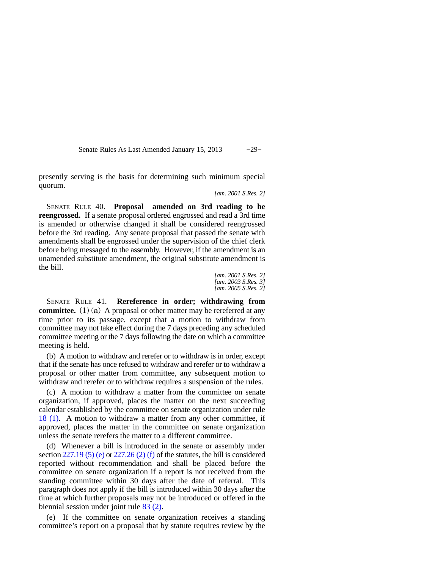Senate Rules As Last Amended January 15, 2013 −29−

presently serving is the basis for determining such minimum special quorum.

*[am. 2001 S.Res. 2]*

SENATE RULE 40. **Proposal amended on 3rd reading to be reengrossed.** If a senate proposal ordered engrossed and read a 3rd time is amended or otherwise changed it shall be considered reengrossed before the 3rd reading. Any senate proposal that passed the senate with amendments shall be engrossed under the supervision of the chief clerk before being messaged to the assembly. However, if the amendment is an unamended substitute amendment, the original substitute amendment is the bill.

> *[am. 2001 S.Res. 2] [am. 2003 S.Res. 3] [am. 2005 S.Res. 2]*

SENATE RULE 41. **Rereference in order; withdrawing from committee.** (1) (a) A proposal or other matter may be rereferred at any time prior to its passage, except that a motion to withdraw from committee may not take effect during the 7 days preceding any scheduled committee meeting or the 7 days following the date on which a committee meeting is held.

(b) A motion to withdraw and rerefer or to withdraw is in order, except that if the senate has once refused to withdraw and rerefer or to withdraw a proposal or other matter from committee, any subsequent motion to withdraw and rerefer or to withdraw requires a suspension of the rules.

(c) A motion to withdraw a matter from the committee on senate organization, if approved, places the matter on the next succeeding calendar established by the committee on senate organization under rule [18 \(1\).](https://docs.legis.wisconsin.gov/document/legislativerules/2013/sr18(1)) A motion to withdraw a matter from any other committee, if approved, places the matter in the committee on senate organization unless the senate rerefers the matter to a different committee.

(d) Whenever a bill is introduced in the senate or assembly under section  $227.19$  (5) (e) or  $227.26$  (2) (f) of the statutes, the bill is considered reported without recommendation and shall be placed before the committee on senate organization if a report is not received from the standing committee within 30 days after the date of referral. This paragraph does not apply if the bill is introduced within 30 days after the time at which further proposals may not be introduced or offered in the biennial session under joint rule [83 \(2\).](https://docs.legis.wisconsin.gov/document/legislativerules/2013/jr83(2))

(e) If the committee on senate organization receives a standing committee's report on a proposal that by statute requires review by the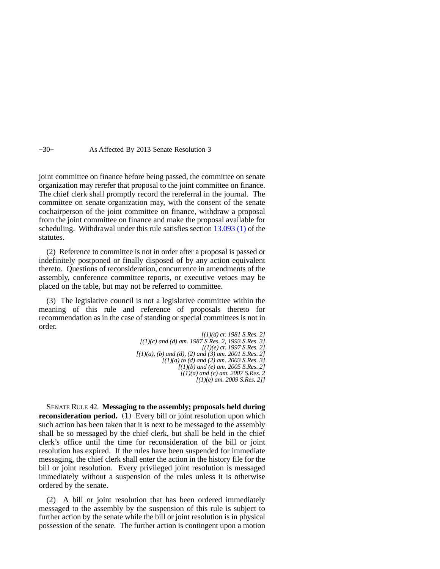−30− As Affected By 2013 Senate Resolution 3

joint committee on finance before being passed, the committee on senate organization may rerefer that proposal to the joint committee on finance. The chief clerk shall promptly record the rereferral in the journal. The committee on senate organization may, with the consent of the senate cochairperson of the joint committee on finance, withdraw a proposal from the joint committee on finance and make the proposal available for scheduling. Withdrawal under this rule satisfies section [13.093 \(1\)](https://docs.legis.wisconsin.gov/document/statutes/13.093(1)) of the statutes.

(2) Reference to committee is not in order after a proposal is passed or indefinitely postponed or finally disposed of by any action equivalent thereto. Questions of reconsideration, concurrence in amendments of the assembly, conference committee reports, or executive vetoes may be placed on the table, but may not be referred to committee.

(3) The legislative council is not a legislative committee within the meaning of this rule and reference of proposals thereto for recommendation as in the case of standing or special committees is not in order.

> *[(1)(d) cr. 1981 S.Res. 2] [(1)(c) and (d) am. 1987 S.Res. 2, 1993 S.Res. 3] [(1)(e) cr. 1997 S.Res. 2] [(1)(a), (b) and (d), (2) and (3) am. 2001 S.Res. 2] [(1)(a) to (d) and (2) am. 2003 S.Res. 3] [(1)(b) and (e) am. 2005 S.Res. 2] [(1)(a) and (c) am. 2007 S.Res. 2 [(1)(e) am. 2009 S.Res. 2]]*

SENATE RULE 42. **Messaging to the assembly; proposals held during reconsideration period.** (1) Every bill or joint resolution upon which such action has been taken that it is next to be messaged to the assembly shall be so messaged by the chief clerk, but shall be held in the chief clerk's office until the time for reconsideration of the bill or joint resolution has expired. If the rules have been suspended for immediate messaging, the chief clerk shall enter the action in the history file for the bill or joint resolution. Every privileged joint resolution is messaged immediately without a suspension of the rules unless it is otherwise ordered by the senate.

(2) A bill or joint resolution that has been ordered immediately messaged to the assembly by the suspension of this rule is subject to further action by the senate while the bill or joint resolution is in physical possession of the senate. The further action is contingent upon a motion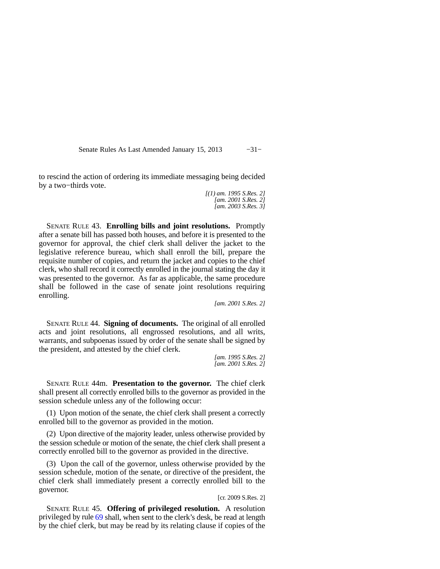Senate Rules As Last Amended January 15, 2013 -31−

to rescind the action of ordering its immediate messaging being decided by a two−thirds vote.

> *[(1) am. 1995 S.Res. 2] [am. 2001 S.Res. 2] [am. 2003 S.Res. 3]*

SENATE RULE 43. **Enrolling bills and joint resolutions.** Promptly after a senate bill has passed both houses, and before it is presented to the governor for approval, the chief clerk shall deliver the jacket to the legislative reference bureau, which shall enroll the bill, prepare the requisite number of copies, and return the jacket and copies to the chief clerk, who shall record it correctly enrolled in the journal stating the day it was presented to the governor. As far as applicable, the same procedure shall be followed in the case of senate joint resolutions requiring enrolling.

*[am. 2001 S.Res. 2]*

SENATE RULE 44. **Signing of documents.** The original of all enrolled acts and joint resolutions, all engrossed resolutions, and all writs, warrants, and subpoenas issued by order of the senate shall be signed by the president, and attested by the chief clerk.

*[am. 1995 S.Res. 2] [am. 2001 S.Res. 2]*

SENATE RULE 44m. **Presentation to the governor.** The chief clerk shall present all correctly enrolled bills to the governor as provided in the session schedule unless any of the following occur:

(1) Upon motion of the senate, the chief clerk shall present a correctly enrolled bill to the governor as provided in the motion.

(2) Upon directive of the majority leader, unless otherwise provided by the session schedule or motion of the senate, the chief clerk shall present a correctly enrolled bill to the governor as provided in the directive.

(3) Upon the call of the governor, unless otherwise provided by the session schedule, motion of the senate, or directive of the president, the chief clerk shall immediately present a correctly enrolled bill to the governor.

#### [cr. 2009 S.Res. 2]

SENATE RULE 45. **Offering of privileged resolution.** A resolution privileged by rule [69](https://docs.legis.wisconsin.gov/document/legislativerules/2013/sr69) shall, when sent to the clerk's desk, be read at length by the chief clerk, but may be read by its relating clause if copies of the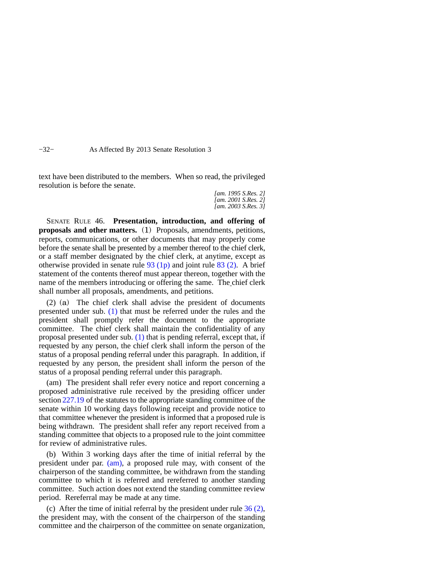−32− As Affected By 2013 Senate Resolution 3

text have been distributed to the members. When so read, the privileged resolution is before the senate.

> *[am. 1995 S.Res. 2] [am. 2001 S.Res. 2] [am. 2003 S.Res. 3]*

SENATE RULE 46. **Presentation, introduction, and offering of proposals and other matters.** (1) Proposals, amendments, petitions, reports, communications, or other documents that may properly come before the senate shall be presented by a member thereof to the chief clerk, or a staff member designated by the chief clerk, at anytime, except as otherwise provided in senate rule [93 \(1p\)](https://docs.legis.wisconsin.gov/document/legislativerules/2013/sr93(1p)) and joint rule [83 \(2\).](https://docs.legis.wisconsin.gov/document/legislativerules/2013/jr83(2)) A brief statement of the contents thereof must appear thereon, together with the name of the members introducing or offering the same. The chief clerk shall number all proposals, amendments, and petitions.

(2) (a) The chief clerk shall advise the president of documents presented under sub. [\(1\)](https://docs.legis.wisconsin.gov/document/legislativerules/2013/sr46(1)) that must be referred under the rules and the president shall promptly refer the document to the appropriate committee. The chief clerk shall maintain the confidentiality of any proposal presented under sub. [\(1\)](https://docs.legis.wisconsin.gov/document/legislativerules/2013/sr46(1)) that is pending referral, except that, if requested by any person, the chief clerk shall inform the person of the status of a proposal pending referral under this paragraph. In addition, if requested by any person, the president shall inform the person of the status of a proposal pending referral under this paragraph.

(am) The president shall refer every notice and report concerning a proposed administrative rule received by the presiding officer under section [227.19](https://docs.legis.wisconsin.gov/document/statutes/227.19) of the statutes to the appropriate standing committee of the senate within 10 working days following receipt and provide notice to that committee whenever the president is informed that a proposed rule is being withdrawn. The president shall refer any report received from a standing committee that objects to a proposed rule to the joint committee for review of administrative rules.

(b) Within 3 working days after the time of initial referral by the president under par. [\(am\),](https://docs.legis.wisconsin.gov/document/legislativerules/2013/sr46(2)(am)) a proposed rule may, with consent of the chairperson of the standing committee, be withdrawn from the standing committee to which it is referred and rereferred to another standing committee. Such action does not extend the standing committee review period. Rereferral may be made at any time.

(c) After the time of initial referral by the president under rule  $36(2)$ , the president may, with the consent of the chairperson of the standing committee and the chairperson of the committee on senate organization,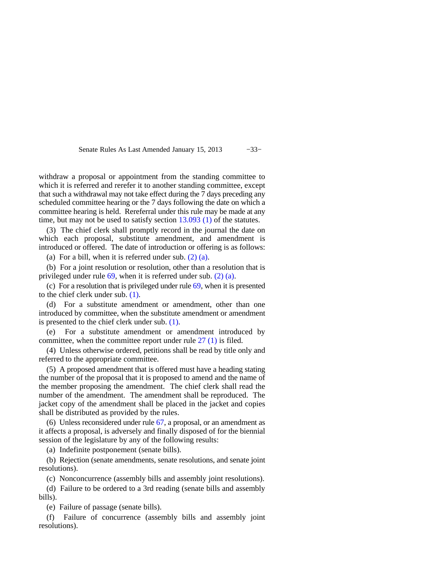Senate Rules As Last Amended January 15, 2013 −33−

withdraw a proposal or appointment from the standing committee to which it is referred and rerefer it to another standing committee, except that such a withdrawal may not take effect during the 7 days preceding any scheduled committee hearing or the 7 days following the date on which a committee hearing is held. Rereferral under this rule may be made at any time, but may not be used to satisfy section [13.093 \(1\)](https://docs.legis.wisconsin.gov/document/statutes/13.093(1)) of the statutes.

(3) The chief clerk shall promptly record in the journal the date on which each proposal, substitute amendment, and amendment is introduced or offered. The date of introduction or offering is as follows:

(a) For a bill, when it is referred under sub.  $(2)$  (a).

(b) For a joint resolution or resolution, other than a resolution that is privileged under rule [69](https://docs.legis.wisconsin.gov/document/legislativerules/2013/sr69), when it is referred under sub. [\(2\) \(a\).](https://docs.legis.wisconsin.gov/document/legislativerules/2013/sr46(2)(a))

(c) For a resolution that is privileged under rule [69,](https://docs.legis.wisconsin.gov/document/legislativerules/2013/sr69) when it is presented to the chief clerk under sub. [\(1\).](https://docs.legis.wisconsin.gov/document/legislativerules/2013/sr46(1))

(d) For a substitute amendment or amendment, other than one introduced by committee, when the substitute amendment or amendment is presented to the chief clerk under sub. [\(1\)](https://docs.legis.wisconsin.gov/document/legislativerules/2013/sr46(1)).

(e) For a substitute amendment or amendment introduced by committee, when the committee report under rule [27 \(1\)](https://docs.legis.wisconsin.gov/document/legislativerules/2013/sr27(1)) is filed.

(4) Unless otherwise ordered, petitions shall be read by title only and referred to the appropriate committee.

(5) A proposed amendment that is offered must have a heading stating the number of the proposal that it is proposed to amend and the name of the member proposing the amendment. The chief clerk shall read the number of the amendment. The amendment shall be reproduced. The jacket copy of the amendment shall be placed in the jacket and copies shall be distributed as provided by the rules.

(6) Unless reconsidered under rule [67](https://docs.legis.wisconsin.gov/document/legislativerules/2013/sr67), a proposal, or an amendment as it affects a proposal, is adversely and finally disposed of for the biennial session of the legislature by any of the following results:

(a) Indefinite postponement (senate bills).

(b) Rejection (senate amendments, senate resolutions, and senate joint resolutions).

(c) Nonconcurrence (assembly bills and assembly joint resolutions).

(d) Failure to be ordered to a 3rd reading (senate bills and assembly bills).

(e) Failure of passage (senate bills).

(f) Failure of concurrence (assembly bills and assembly joint resolutions).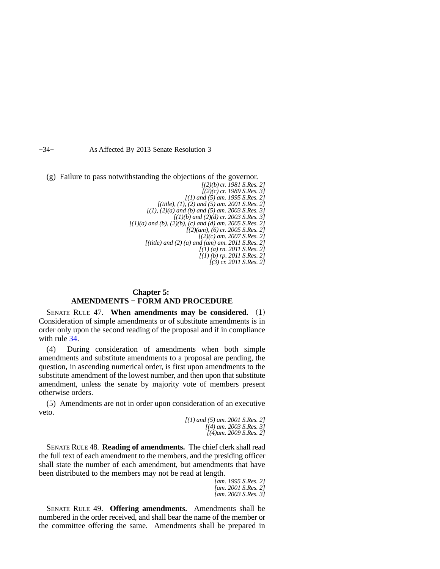−34− As Affected By 2013 Senate Resolution 3

(g) Failure to pass notwithstanding the objections of the governor.

*[(2)(b) cr. 1981 S.Res. 2] [(2)(c) cr. 1989 S.Res. 3] [(1) and (5) am. 1995 S.Res. 2] [(title), (1), (2) and (5) am. 2001 S.Res. 2] [(1), (2)(a) and (b) and (5) am. 2003 S.Res. 3] [(1)(b) and (2)(d) cr. 2003 S.Res. 3] [(1)(a) and (b), (2)(b), (c) and (d) am. 2005 S.Res. 2] [(2)(am), (6) cr. 2005 S.Res. 2] [(2)(c) am. 2007 S.Res. 2] [(title) and (2) (a) and (am) am. 2011 S.Res. 2] [(1) (a) rn. 2011 S.Res. 2] [(1) (b) rp. 2011 S.Res. 2] [(3) cr. 2011 S.Res. 2]*

### **Chapter 5: AMENDMENTS − FORM AND PROCEDURE**

SENATE RULE 47. **When amendments may be considered.** (1) Consideration of simple amendments or of substitute amendments is in order only upon the second reading of the proposal and if in compliance with rule [34.](https://docs.legis.wisconsin.gov/document/legislativerules/2013/sr34)

(4) During consideration of amendments when both simple amendments and substitute amendments to a proposal are pending, the question, in ascending numerical order, is first upon amendments to the substitute amendment of the lowest number, and then upon that substitute amendment, unless the senate by majority vote of members present otherwise orders.

(5) Amendments are not in order upon consideration of an executive veto.

> *[(1) and (5) am. 2001 S.Res. 2] [(4) am. 2003 S.Res. 3] [(4)am. 2009 S.Res. 2]*

SENATE RULE 48. **Reading of amendments.** The chief clerk shall read the full text of each amendment to the members, and the presiding officer shall state the number of each amendment, but amendments that have been distributed to the members may not be read at length.

> *[am. 1995 S.Res. 2] [am. 2001 S.Res. 2] [am. 2003 S.Res. 3]*

SENATE RULE 49. **Offering amendments.** Amendments shall be numbered in the order received, and shall bear the name of the member or the committee offering the same. Amendments shall be prepared in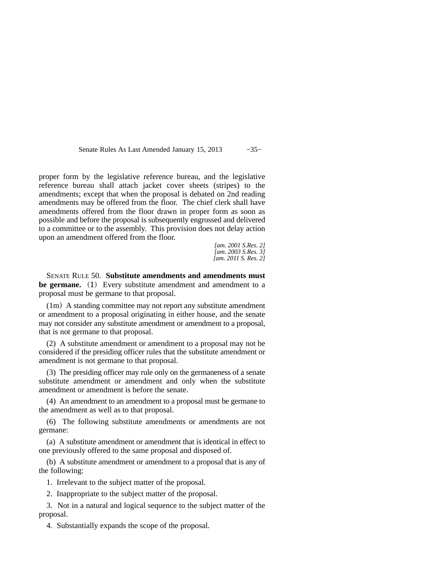Senate Rules As Last Amended January 15, 2013 −35−

proper form by the legislative reference bureau, and the legislative reference bureau shall attach jacket cover sheets (stripes) to the amendments; except that when the proposal is debated on 2nd reading amendments may be offered from the floor. The chief clerk shall have amendments offered from the floor drawn in proper form as soon as possible and before the proposal is subsequently engrossed and delivered to a committee or to the assembly. This provision does not delay action upon an amendment offered from the floor.

*[am. 2001 S.Res. 2] [am. 2003 S.Res. 3] [am. 2011 S. Res. 2]*

SENATE RULE 50. **Substitute amendments and amendments must be germane.** (1) Every substitute amendment and amendment to a proposal must be germane to that proposal.

(1m) A standing committee may not report any substitute amendment or amendment to a proposal originating in either house, and the senate may not consider any substitute amendment or amendment to a proposal, that is not germane to that proposal.

(2) A substitute amendment or amendment to a proposal may not be considered if the presiding officer rules that the substitute amendment or amendment is not germane to that proposal.

(3) The presiding officer may rule only on the germaneness of a senate substitute amendment or amendment and only when the substitute amendment or amendment is before the senate.

(4) An amendment to an amendment to a proposal must be germane to the amendment as well as to that proposal.

(6) The following substitute amendments or amendments are not germane:

(a) A substitute amendment or amendment that is identical in effect to one previously offered to the same proposal and disposed of.

(b) A substitute amendment or amendment to a proposal that is any of the following:

1. Irrelevant to the subject matter of the proposal.

2. Inappropriate to the subject matter of the proposal.

3. Not in a natural and logical sequence to the subject matter of the proposal.

4. Substantially expands the scope of the proposal.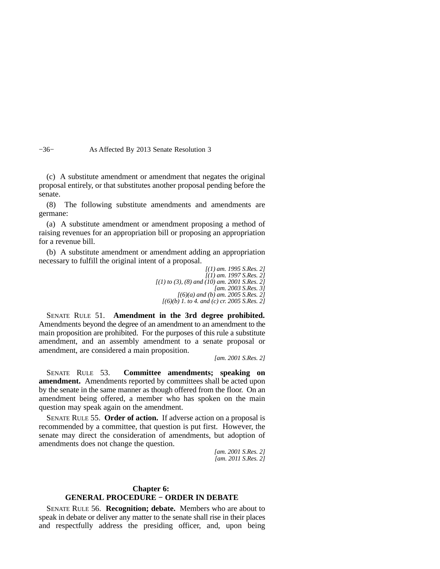−36− As Affected By 2013 Senate Resolution 3

(c) A substitute amendment or amendment that negates the original proposal entirely, or that substitutes another proposal pending before the senate.

(8) The following substitute amendments and amendments are germane:

(a) A substitute amendment or amendment proposing a method of raising revenues for an appropriation bill or proposing an appropriation for a revenue bill.

(b) A substitute amendment or amendment adding an appropriation necessary to fulfill the original intent of a proposal.

> *[(1) am. 1995 S.Res. 2] [(1) am. 1997 S.Res. 2] [(1) to (3), (8) and (10) am. 2001 S.Res. 2] [am. 2003 S.Res. 3] [(6)(a) and (b) am. 2005 S.Res. 2] [(6)(b) 1. to 4. and (c) cr. 2005 S.Res. 2]*

SENATE RULE 51. **Amendment in the 3rd degree prohibited.** Amendments beyond the degree of an amendment to an amendment to the main proposition are prohibited. For the purposes of this rule a substitute amendment, and an assembly amendment to a senate proposal or amendment, are considered a main proposition.

*[am. 2001 S.Res. 2]*

SENATE RULE 53. **Committee amendments; speaking on amendment.** Amendments reported by committees shall be acted upon by the senate in the same manner as though offered from the floor. On an amendment being offered, a member who has spoken on the main question may speak again on the amendment.

SENATE RULE 55. **Order of action.** If adverse action on a proposal is recommended by a committee, that question is put first. However, the senate may direct the consideration of amendments, but adoption of amendments does not change the question.

> *[am. 2001 S.Res. 2] [am. 2011 S.Res. 2]*

### **Chapter 6: GENERAL PROCEDURE − ORDER IN DEBATE**

SENATE RULE 56. **Recognition; debate.** Members who are about to speak in debate or deliver any matter to the senate shall rise in their places and respectfully address the presiding officer, and, upon being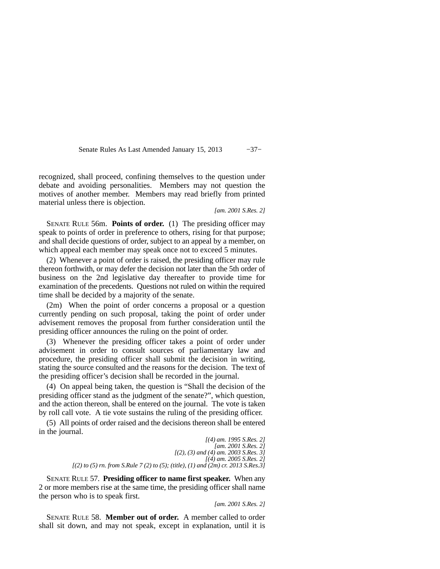Senate Rules As Last Amended January 15, 2013 −37−

recognized, shall proceed, confining themselves to the question under debate and avoiding personalities. Members may not question the motives of another member. Members may read briefly from printed material unless there is objection.

*[am. 2001 S.Res. 2]*

SENATE RULE 56m. **Points of order.** (1) The presiding officer may speak to points of order in preference to others, rising for that purpose; and shall decide questions of order, subject to an appeal by a member, on which appeal each member may speak once not to exceed 5 minutes.

(2) Whenever a point of order is raised, the presiding officer may rule thereon forthwith, or may defer the decision not later than the 5th order of business on the 2nd legislative day thereafter to provide time for examination of the precedents. Questions not ruled on within the required time shall be decided by a majority of the senate.

(2m) When the point of order concerns a proposal or a question currently pending on such proposal, taking the point of order under advisement removes the proposal from further consideration until the presiding officer announces the ruling on the point of order.

(3) Whenever the presiding officer takes a point of order under advisement in order to consult sources of parliamentary law and procedure, the presiding officer shall submit the decision in writing, stating the source consulted and the reasons for the decision. The text of the presiding officer's decision shall be recorded in the journal.

(4) On appeal being taken, the question is "Shall the decision of the presiding officer stand as the judgment of the senate?", which question, and the action thereon, shall be entered on the journal. The vote is taken by roll call vote. A tie vote sustains the ruling of the presiding officer.

(5) All points of order raised and the decisions thereon shall be entered in the journal.

> *[(4) am. 1995 S.Res. 2] [am. 2001 S.Res. 2] [(2), (3) and (4) am. 2003 S.Res. 3] [(4) am. 2005 S.Res. 2] [(2) to (5) rn. from S.Rule 7 (2) to (5); (title), (1) and (2m) cr. 2013 S.Res.3]*

SENATE RULE 57. **Presiding officer to name first speaker.** When any 2 or more members rise at the same time, the presiding officer shall name the person who is to speak first.

*[am. 2001 S.Res. 2]*

SENATE RULE 58. **Member out of order.** A member called to order shall sit down, and may not speak, except in explanation, until it is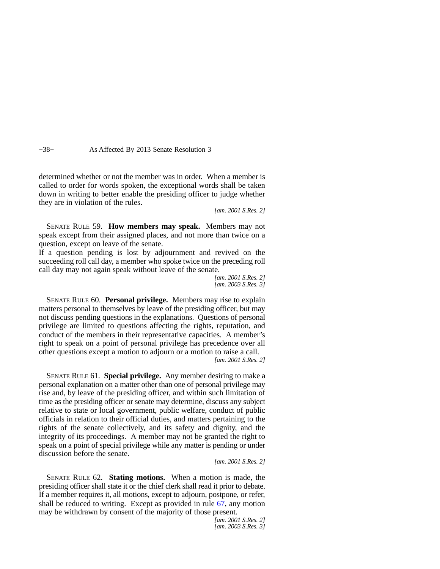−38− As Affected By 2013 Senate Resolution 3

determined whether or not the member was in order. When a member is called to order for words spoken, the exceptional words shall be taken down in writing to better enable the presiding officer to judge whether they are in violation of the rules.

*[am. 2001 S.Res. 2]*

SENATE RULE 59. **How members may speak.** Members may not speak except from their assigned places, and not more than twice on a question, except on leave of the senate.

If a question pending is lost by adjournment and revived on the succeeding roll call day, a member who spoke twice on the preceding roll call day may not again speak without leave of the senate.

> *[am. 2001 S.Res. 2] [am. 2003 S.Res. 3]*

SENATE RULE 60. **Personal privilege.** Members may rise to explain matters personal to themselves by leave of the presiding officer, but may not discuss pending questions in the explanations. Questions of personal privilege are limited to questions affecting the rights, reputation, and conduct of the members in their representative capacities. A member's right to speak on a point of personal privilege has precedence over all other questions except a motion to adjourn or a motion to raise a call. *[am. 2001 S.Res. 2]*

SENATE RULE 61. **Special privilege.** Any member desiring to make a personal explanation on a matter other than one of personal privilege may rise and, by leave of the presiding officer, and within such limitation of time as the presiding officer or senate may determine, discuss any subject relative to state or local government, public welfare, conduct of public officials in relation to their official duties, and matters pertaining to the rights of the senate collectively, and its safety and dignity, and the integrity of its proceedings. A member may not be granted the right to speak on a point of special privilege while any matter is pending or under discussion before the senate.

*[am. 2001 S.Res. 2]*

SENATE RULE 62. **Stating motions.** When a motion is made, the presiding officer shall state it or the chief clerk shall read it prior to debate. If a member requires it, all motions, except to adjourn, postpone, or refer, shall be reduced to writing. Except as provided in rule [67,](https://docs.legis.wisconsin.gov/document/legislativerules/2013/sr67) any motion may be withdrawn by consent of the majority of those present.

*[am. 2001 S.Res. 2] [am. 2003 S.Res. 3]*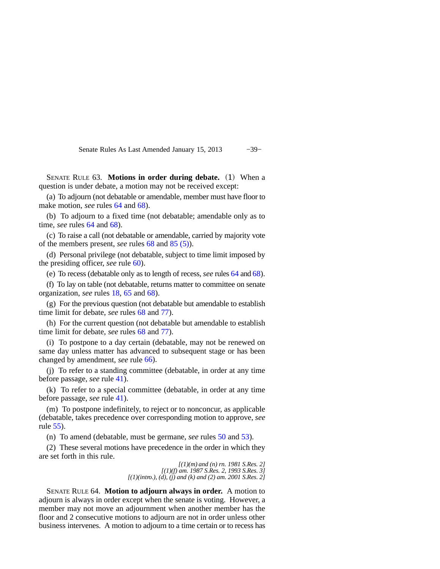Senate Rules As Last Amended January 15, 2013 −39−

SENATE RULE 63. **Motions in order during debate.** (1) When a question is under debate, a motion may not be received except:

(a) To adjourn (not debatable or amendable, member must have floor to make motion, *see* rules [64](https://docs.legis.wisconsin.gov/document/legislativerules/2013/sr64) and [68\)](https://docs.legis.wisconsin.gov/document/legislativerules/2013/sr68).

(b) To adjourn to a fixed time (not debatable; amendable only as to time, *see* rules [64](https://docs.legis.wisconsin.gov/document/legislativerules/2013/sr64) and [68](https://docs.legis.wisconsin.gov/document/legislativerules/2013/sr68)).

(c) To raise a call (not debatable or amendable, carried by majority vote of the members present, *see* rules [68](https://docs.legis.wisconsin.gov/document/legislativerules/2013/sr68) and [85 \(5\)](https://docs.legis.wisconsin.gov/document/legislativerules/2013/sr85(5))).

(d) Personal privilege (not debatable, subject to time limit imposed by the presiding officer, *see* rule [60](https://docs.legis.wisconsin.gov/document/legislativerules/2013/sr60)).

(e) To recess (debatable only as to length of recess, *see* rules [64](https://docs.legis.wisconsin.gov/document/legislativerules/2013/sr64) and [68\)](https://docs.legis.wisconsin.gov/document/legislativerules/2013/sr68).

(f) To lay on table (not debatable, returns matter to committee on senate organization, *see* rules [18,](https://docs.legis.wisconsin.gov/document/legislativerules/2013/sr18) [65](https://docs.legis.wisconsin.gov/document/legislativerules/2013/sr65) and [68](https://docs.legis.wisconsin.gov/document/legislativerules/2013/sr68)).

(g) For the previous question (not debatable but amendable to establish time limit for debate, *see* rules [68](https://docs.legis.wisconsin.gov/document/legislativerules/2013/sr68) and [77](https://docs.legis.wisconsin.gov/document/legislativerules/2013/sr77)).

(h) For the current question (not debatable but amendable to establish time limit for debate, *see* rules [68](https://docs.legis.wisconsin.gov/document/legislativerules/2013/sr68) and [77](https://docs.legis.wisconsin.gov/document/legislativerules/2013/sr77)).

(i) To postpone to a day certain (debatable, may not be renewed on same day unless matter has advanced to subsequent stage or has been changed by amendment, *see* rule [66](https://docs.legis.wisconsin.gov/document/legislativerules/2013/sr66)).

(j) To refer to a standing committee (debatable, in order at any time before passage, *see* rule [41](https://docs.legis.wisconsin.gov/document/legislativerules/2013/sr41)).

(k) To refer to a special committee (debatable, in order at any time before passage, *see* rule [41](https://docs.legis.wisconsin.gov/document/legislativerules/2013/sr41)).

(m) To postpone indefinitely, to reject or to nonconcur, as applicable (debatable, takes precedence over corresponding motion to approve, *see* rule [55\)](https://docs.legis.wisconsin.gov/document/legislativerules/2013/sr55).

(n) To amend (debatable, must be germane, *see* rules [50](https://docs.legis.wisconsin.gov/document/legislativerules/2013/sr50) and [53](https://docs.legis.wisconsin.gov/document/legislativerules/2013/sr53)).

(2) These several motions have precedence in the order in which they are set forth in this rule.

> *[(1)(m) and (n) rn. 1981 S.Res. 2] [(1)(f) am. 1987 S.Res. 2, 1993 S.Res. 3] [(1)(intro.), (d), (j) and (k) and (2) am. 2001 S.Res. 2]*

SENATE RULE 64. **Motion to adjourn always in order.** A motion to adjourn is always in order except when the senate is voting. However, a member may not move an adjournment when another member has the floor and 2 consecutive motions to adjourn are not in order unless other business intervenes. A motion to adjourn to a time certain or to recess has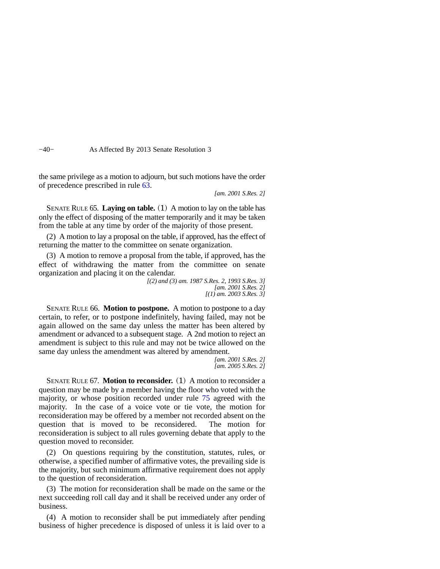−40− As Affected By 2013 Senate Resolution 3

the same privilege as a motion to adjourn, but such motions have the order of precedence prescribed in rule [63.](https://docs.legis.wisconsin.gov/document/legislativerules/2013/sr63)

*[am. 2001 S.Res. 2]*

SENATE RULE 65. **Laying on table.** (1) A motion to lay on the table has only the effect of disposing of the matter temporarily and it may be taken from the table at any time by order of the majority of those present.

(2) A motion to lay a proposal on the table, if approved, has the effect of returning the matter to the committee on senate organization.

(3) A motion to remove a proposal from the table, if approved, has the effect of withdrawing the matter from the committee on senate organization and placing it on the calendar.

> *[(2) and (3) am. 1987 S.Res. 2, 1993 S.Res. 3] [am. 2001 S.Res. 2] [(1) am. 2003 S.Res. 3]*

SENATE RULE 66. **Motion to postpone.** A motion to postpone to a day certain, to refer, or to postpone indefinitely, having failed, may not be again allowed on the same day unless the matter has been altered by amendment or advanced to a subsequent stage. A 2nd motion to reject an amendment is subject to this rule and may not be twice allowed on the same day unless the amendment was altered by amendment.

*[am. 2001 S.Res. 2] [am. 2005 S.Res. 2]*

SENATE RULE 67. **Motion to reconsider.** (1) A motion to reconsider a question may be made by a member having the floor who voted with the majority, or whose position recorded under rule [75](https://docs.legis.wisconsin.gov/document/legislativerules/2013/sr75) agreed with the majority. In the case of a voice vote or tie vote, the motion for reconsideration may be offered by a member not recorded absent on the question that is moved to be reconsidered. The motion for reconsideration is subject to all rules governing debate that apply to the question moved to reconsider.

(2) On questions requiring by the constitution, statutes, rules, or otherwise, a specified number of affirmative votes, the prevailing side is the majority, but such minimum affirmative requirement does not apply to the question of reconsideration.

(3) The motion for reconsideration shall be made on the same or the next succeeding roll call day and it shall be received under any order of business.

(4) A motion to reconsider shall be put immediately after pending business of higher precedence is disposed of unless it is laid over to a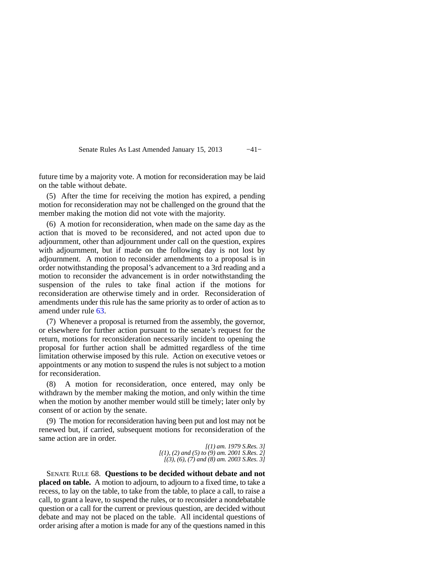Senate Rules As Last Amended January 15, 2013 −41−

future time by a majority vote. A motion for reconsideration may be laid on the table without debate.

(5) After the time for receiving the motion has expired, a pending motion for reconsideration may not be challenged on the ground that the member making the motion did not vote with the majority.

(6) A motion for reconsideration, when made on the same day as the action that is moved to be reconsidered, and not acted upon due to adjournment, other than adjournment under call on the question, expires with adjournment, but if made on the following day is not lost by adjournment. A motion to reconsider amendments to a proposal is in order notwithstanding the proposal's advancement to a 3rd reading and a motion to reconsider the advancement is in order notwithstanding the suspension of the rules to take final action if the motions for reconsideration are otherwise timely and in order. Reconsideration of amendments under this rule has the same priority as to order of action as to amend under rule [63.](https://docs.legis.wisconsin.gov/document/legislativerules/2013/sr63)

(7) Whenever a proposal is returned from the assembly, the governor, or elsewhere for further action pursuant to the senate's request for the return, motions for reconsideration necessarily incident to opening the proposal for further action shall be admitted regardless of the time limitation otherwise imposed by this rule. Action on executive vetoes or appointments or any motion to suspend the rules is not subject to a motion for reconsideration.

(8) A motion for reconsideration, once entered, may only be withdrawn by the member making the motion, and only within the time when the motion by another member would still be timely; later only by consent of or action by the senate.

(9) The motion for reconsideration having been put and lost may not be renewed but, if carried, subsequent motions for reconsideration of the same action are in order.

*[(1) am. 1979 S.Res. 3] [(1), (2) and (5) to (9) am. 2001 S.Res. 2] [(3), (6), (7) and (8) am. 2003 S.Res. 3]*

SENATE RULE 68. **Questions to be decided without debate and not placed on table.** A motion to adjourn, to adjourn to a fixed time, to take a recess, to lay on the table, to take from the table, to place a call, to raise a call, to grant a leave, to suspend the rules, or to reconsider a nondebatable question or a call for the current or previous question, are decided without debate and may not be placed on the table. All incidental questions of order arising after a motion is made for any of the questions named in this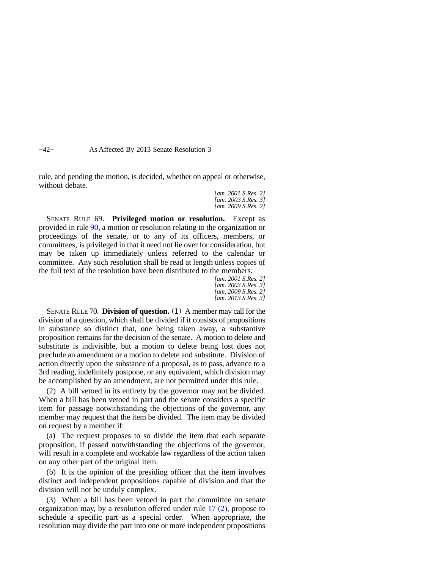−42− As Affected By 2013 Senate Resolution 3

rule, and pending the motion, is decided, whether on appeal or otherwise, without debate.

> *[am. 2001 S.Res. 2] [am. 2003 S.Res. 3] [am. 2009 S.Res. 2]*

SENATE RULE 69. **Privileged motion or resolution.** Except as provided in rule [90,](https://docs.legis.wisconsin.gov/document/legislativerules/2013/sr90) a motion or resolution relating to the organization or proceedings of the senate, or to any of its officers, members, or committees, is privileged in that it need not lie over for consideration, but may be taken up immediately unless referred to the calendar or committee. Any such resolution shall be read at length unless copies of the full text of the resolution have been distributed to the members.

*[am. 2001 S.Res. 2] [am. 2003 S.Res. 3] [am. 2009 S.Res. 2] [am. 2013 S.Res. 3]*

SENATE RULE 70. **Division of question.** (1) A member may call for the division of a question, which shall be divided if it consists of propositions in substance so distinct that, one being taken away, a substantive proposition remains for the decision of the senate. A motion to delete and substitute is indivisible, but a motion to delete being lost does not preclude an amendment or a motion to delete and substitute. Division of action directly upon the substance of a proposal, as to pass, advance to a 3rd reading, indefinitely postpone, or any equivalent, which division may be accomplished by an amendment, are not permitted under this rule.

(2) A bill vetoed in its entirety by the governor may not be divided. When a bill has been vetoed in part and the senate considers a specific item for passage notwithstanding the objections of the governor, any member may request that the item be divided. The item may be divided on request by a member if:

(a) The request proposes to so divide the item that each separate proposition, if passed notwithstanding the objections of the governor, will result in a complete and workable law regardless of the action taken on any other part of the original item.

(b) It is the opinion of the presiding officer that the item involves distinct and independent propositions capable of division and that the division will not be unduly complex.

(3) When a bill has been vetoed in part the committee on senate organization may, by a resolution offered under rule [17 \(2\)](https://docs.legis.wisconsin.gov/document/legislativerules/2013/sr17(2)), propose to schedule a specific part as a special order. When appropriate, the resolution may divide the part into one or more independent propositions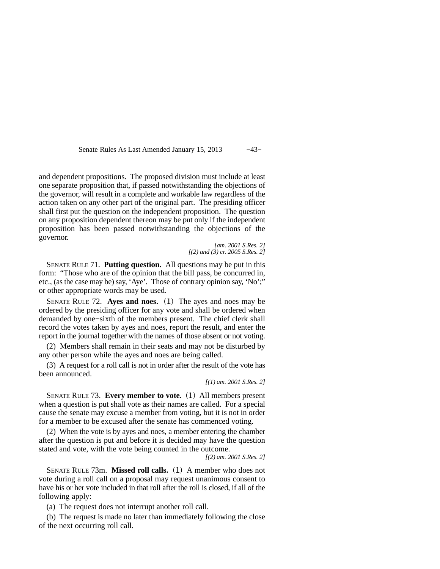Senate Rules As Last Amended January 15, 2013 -43−

and dependent propositions. The proposed division must include at least one separate proposition that, if passed notwithstanding the objections of the governor, will result in a complete and workable law regardless of the action taken on any other part of the original part. The presiding officer shall first put the question on the independent proposition. The question on any proposition dependent thereon may be put only if the independent proposition has been passed notwithstanding the objections of the governor.

> *[am. 2001 S.Res. 2] [(2) and (3) cr. 2005 S.Res. 2]*

SENATE RULE 71. **Putting question.** All questions may be put in this form: "Those who are of the opinion that the bill pass, be concurred in, etc., (as the case may be) say, 'Aye'. Those of contrary opinion say, 'No';" or other appropriate words may be used.

SENATE RULE 72. **Ayes and noes.** (1) The ayes and noes may be ordered by the presiding officer for any vote and shall be ordered when demanded by one−sixth of the members present. The chief clerk shall record the votes taken by ayes and noes, report the result, and enter the report in the journal together with the names of those absent or not voting.

(2) Members shall remain in their seats and may not be disturbed by any other person while the ayes and noes are being called.

(3) A request for a roll call is not in order after the result of the vote has been announced.

*[(1) am. 2001 S.Res. 2]*

SENATE RULE 73. **Every member to vote.** (1) All members present when a question is put shall vote as their names are called. For a special cause the senate may excuse a member from voting, but it is not in order for a member to be excused after the senate has commenced voting.

(2) When the vote is by ayes and noes, a member entering the chamber after the question is put and before it is decided may have the question stated and vote, with the vote being counted in the outcome.

*[(2) am. 2001 S.Res. 2]*

SENATE RULE 73m. **Missed roll calls.** (1) A member who does not vote during a roll call on a proposal may request unanimous consent to have his or her vote included in that roll after the roll is closed, if all of the following apply:

(a) The request does not interrupt another roll call.

(b) The request is made no later than immediately following the close of the next occurring roll call.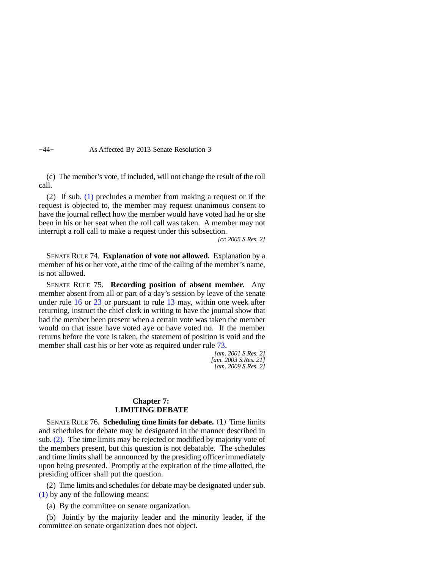−44− As Affected By 2013 Senate Resolution 3

(c) The member's vote, if included, will not change the result of the roll call.

(2) If sub. [\(1\)](https://docs.legis.wisconsin.gov/document/legislativerules/2013/sr73m(1)) precludes a member from making a request or if the request is objected to, the member may request unanimous consent to have the journal reflect how the member would have voted had he or she been in his or her seat when the roll call was taken. A member may not interrupt a roll call to make a request under this subsection.

*[cr. 2005 S.Res. 2]*

SENATE RULE 74. **Explanation of vote not allowed.** Explanation by a member of his or her vote, at the time of the calling of the member's name, is not allowed.

SENATE RULE 75. **Recording position of absent member.** Any member absent from all or part of a day's session by leave of the senate under rule [16](https://docs.legis.wisconsin.gov/document/legislativerules/2013/sr16) or [23](https://docs.legis.wisconsin.gov/document/legislativerules/2013/sr23) or pursuant to rule [13](https://docs.legis.wisconsin.gov/document/legislativerules/2013/sr13) may, within one week after returning, instruct the chief clerk in writing to have the journal show that had the member been present when a certain vote was taken the member would on that issue have voted aye or have voted no. If the member returns before the vote is taken, the statement of position is void and the member shall cast his or her vote as required under rule [73](https://docs.legis.wisconsin.gov/document/legislativerules/2013/sr73).

*[am. 2001 S.Res. 2] [am. 2003 S.Res. 21] [am. 2009 S.Res. 2]*

#### **Chapter 7: LIMITING DEBATE**

SENATE RULE 76. **Scheduling time limits for debate.** (1) Time limits and schedules for debate may be designated in the manner described in sub. [\(2\)](https://docs.legis.wisconsin.gov/document/legislativerules/2013/sr76(2)). The time limits may be rejected or modified by majority vote of the members present, but this question is not debatable. The schedules and time limits shall be announced by the presiding officer immediately upon being presented. Promptly at the expiration of the time allotted, the presiding officer shall put the question.

(2) Time limits and schedules for debate may be designated under sub. [\(1\)](https://docs.legis.wisconsin.gov/document/legislativerules/2013/sr76(1)) by any of the following means:

(a) By the committee on senate organization.

(b) Jointly by the majority leader and the minority leader, if the committee on senate organization does not object.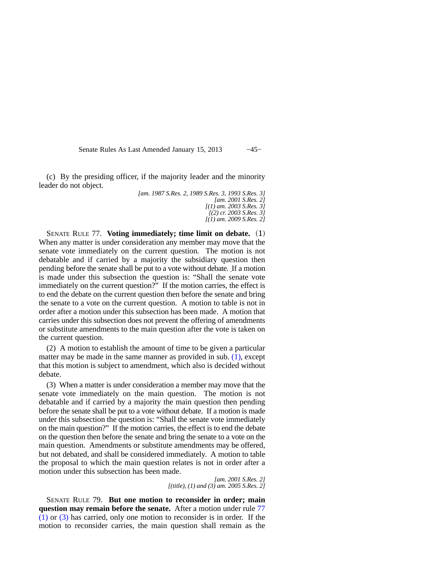Senate Rules As Last Amended January 15, 2013 −45−

(c) By the presiding officer, if the majority leader and the minority leader do not object.

> *[am. 1987 S.Res. 2, 1989 S.Res. 3, 1993 S.Res. 3] [am. 2001 S.Res. 2] [(1) am. 2003 S.Res. 3] [(2) cr. 2003 S.Res. 3] [(1) am. 2009 S.Res. 2]*

SENATE RULE 77. **Voting immediately; time limit on debate.** (1) When any matter is under consideration any member may move that the senate vote immediately on the current question. The motion is not debatable and if carried by a majority the subsidiary question then pending before the senate shall be put to a vote without debate. If a motion is made under this subsection the question is: "Shall the senate vote immediately on the current question?" If the motion carries, the effect is to end the debate on the current question then before the senate and bring the senate to a vote on the current question. A motion to table is not in order after a motion under this subsection has been made. A motion that carries under this subsection does not prevent the offering of amendments or substitute amendments to the main question after the vote is taken on the current question.

(2) A motion to establish the amount of time to be given a particular matter may be made in the same manner as provided in sub. [\(1\)](https://docs.legis.wisconsin.gov/document/legislativerules/2013/sr77(1)), except that this motion is subject to amendment, which also is decided without debate.

(3) When a matter is under consideration a member may move that the senate vote immediately on the main question. The motion is not debatable and if carried by a majority the main question then pending before the senate shall be put to a vote without debate. If a motion is made under this subsection the question is: "Shall the senate vote immediately on the main question?" If the motion carries, the effect is to end the debate on the question then before the senate and bring the senate to a vote on the main question. Amendments or substitute amendments may be offered, but not debated, and shall be considered immediately. A motion to table the proposal to which the main question relates is not in order after a motion under this subsection has been made.

> *[am. 2001 S.Res. 2] [(title), (1) and (3) am. 2005 S.Res. 2]*

SENATE RULE 79. **But one motion to reconsider in order; main question may remain before the senate.** After a motion under rule [77](https://docs.legis.wisconsin.gov/document/legislativerules/2013/sr77(1)) [\(1\)](https://docs.legis.wisconsin.gov/document/legislativerules/2013/sr77(1)) or [\(3\)](https://docs.legis.wisconsin.gov/document/legislativerules/2013/sr77(3)) has carried, only one motion to reconsider is in order. If the motion to reconsider carries, the main question shall remain as the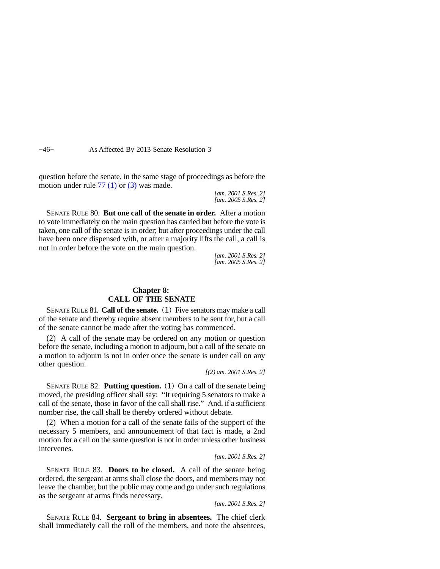−46− As Affected By 2013 Senate Resolution 3

question before the senate, in the same stage of proceedings as before the motion under rule [77 \(1\)](https://docs.legis.wisconsin.gov/document/legislativerules/2013/sr77(1)) or [\(3\)](https://docs.legis.wisconsin.gov/document/legislativerules/2013/sr77(3)) was made.

> *[am. 2001 S.Res. 2] [am. 2005 S.Res. 2]*

SENATE RULE 80. **But one call of the senate in order.** After a motion to vote immediately on the main question has carried but before the vote is taken, one call of the senate is in order; but after proceedings under the call have been once dispensed with, or after a majority lifts the call, a call is not in order before the vote on the main question.

> *[am. 2001 S.Res. 2] [am. 2005 S.Res. 2]*

#### **Chapter 8: CALL OF THE SENATE**

SENATE RULE 81. **Call of the senate.** (1) Five senators may make a call of the senate and thereby require absent members to be sent for, but a call of the senate cannot be made after the voting has commenced.

(2) A call of the senate may be ordered on any motion or question before the senate, including a motion to adjourn, but a call of the senate on a motion to adjourn is not in order once the senate is under call on any other question.

*[(2) am. 2001 S.Res. 2]*

SENATE RULE 82. **Putting question.** (1) On a call of the senate being moved, the presiding officer shall say: "It requiring 5 senators to make a call of the senate, those in favor of the call shall rise." And, if a sufficient number rise, the call shall be thereby ordered without debate.

(2) When a motion for a call of the senate fails of the support of the necessary 5 members, and announcement of that fact is made, a 2nd motion for a call on the same question is not in order unless other business intervenes.

*[am. 2001 S.Res. 2]*

SENATE RULE 83. **Doors to be closed.** A call of the senate being ordered, the sergeant at arms shall close the doors, and members may not leave the chamber, but the public may come and go under such regulations as the sergeant at arms finds necessary.

*[am. 2001 S.Res. 2]*

SENATE RULE 84. **Sergeant to bring in absentees.** The chief clerk shall immediately call the roll of the members, and note the absentees,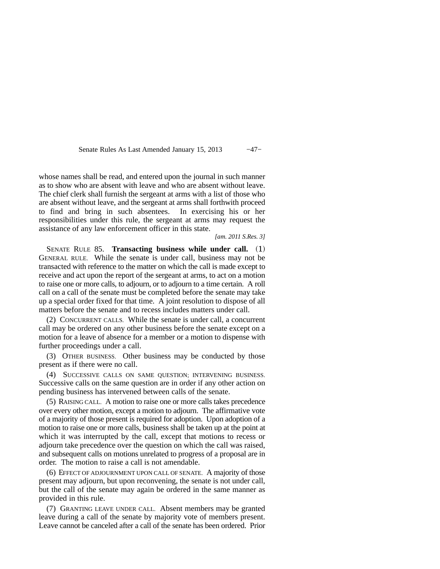Senate Rules As Last Amended January 15, 2013 -47−

whose names shall be read, and entered upon the journal in such manner as to show who are absent with leave and who are absent without leave. The chief clerk shall furnish the sergeant at arms with a list of those who are absent without leave, and the sergeant at arms shall forthwith proceed to find and bring in such absentees. In exercising his or her responsibilities under this rule, the sergeant at arms may request the assistance of any law enforcement officer in this state.

*[am. 2011 S.Res. 3]*

SENATE RULE 85. **Transacting business while under call.** (1) GENERAL RULE. While the senate is under call, business may not be transacted with reference to the matter on which the call is made except to receive and act upon the report of the sergeant at arms, to act on a motion to raise one or more calls, to adjourn, or to adjourn to a time certain. A roll call on a call of the senate must be completed before the senate may take up a special order fixed for that time. A joint resolution to dispose of all matters before the senate and to recess includes matters under call.

(2) CONCURRENT CALLS. While the senate is under call, a concurrent call may be ordered on any other business before the senate except on a motion for a leave of absence for a member or a motion to dispense with further proceedings under a call.

(3) OTHER BUSINESS. Other business may be conducted by those present as if there were no call.

(4) SUCCESSIVE CALLS ON SAME QUESTION; INTERVENING BUSINESS. Successive calls on the same question are in order if any other action on pending business has intervened between calls of the senate.

(5) RAISING CALL. A motion to raise one or more calls takes precedence over every other motion, except a motion to adjourn. The affirmative vote of a majority of those present is required for adoption. Upon adoption of a motion to raise one or more calls, business shall be taken up at the point at which it was interrupted by the call, except that motions to recess or adjourn take precedence over the question on which the call was raised, and subsequent calls on motions unrelated to progress of a proposal are in order. The motion to raise a call is not amendable.

(6) EFFECT OF ADJOURNMENT UPON CALL OF SENATE. A majority of those present may adjourn, but upon reconvening, the senate is not under call, but the call of the senate may again be ordered in the same manner as provided in this rule.

(7) GRANTING LEAVE UNDER CALL. Absent members may be granted leave during a call of the senate by majority vote of members present. Leave cannot be canceled after a call of the senate has been ordered. Prior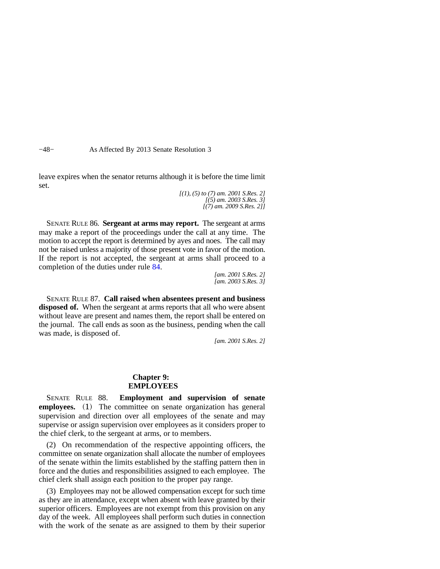−48− As Affected By 2013 Senate Resolution 3

leave expires when the senator returns although it is before the time limit set.

*[(1), (5) to (7) am. 2001 S.Res. 2] [(5) am. 2003 S.Res. 3] [(7) am. 2009 S.Res. 2]]*

SENATE RULE 86. **Sergeant at arms may report.** The sergeant at arms may make a report of the proceedings under the call at any time. The motion to accept the report is determined by ayes and noes. The call may not be raised unless a majority of those present vote in favor of the motion. If the report is not accepted, the sergeant at arms shall proceed to a completion of the duties under rule [84.](https://docs.legis.wisconsin.gov/document/legislativerules/2013/sr84)

> *[am. 2001 S.Res. 2] [am. 2003 S.Res. 3]*

SENATE RULE 87. **Call raised when absentees present and business disposed of.** When the sergeant at arms reports that all who were absent without leave are present and names them, the report shall be entered on the journal. The call ends as soon as the business, pending when the call was made, is disposed of.

*[am. 2001 S.Res. 2]*

#### **Chapter 9: EMPLOYEES**

SENATE RULE 88. **Employment and supervision of senate employees.** (1) The committee on senate organization has general supervision and direction over all employees of the senate and may supervise or assign supervision over employees as it considers proper to the chief clerk, to the sergeant at arms, or to members.

(2) On recommendation of the respective appointing officers, the committee on senate organization shall allocate the number of employees of the senate within the limits established by the staffing pattern then in force and the duties and responsibilities assigned to each employee. The chief clerk shall assign each position to the proper pay range.

(3) Employees may not be allowed compensation except for such time as they are in attendance, except when absent with leave granted by their superior officers. Employees are not exempt from this provision on any day of the week. All employees shall perform such duties in connection with the work of the senate as are assigned to them by their superior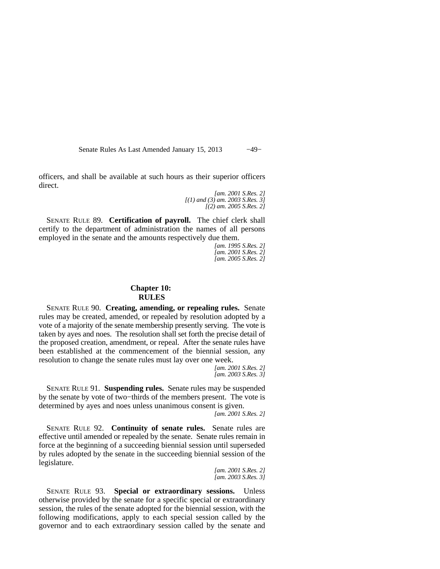Senate Rules As Last Amended January 15, 2013 −49−

officers, and shall be available at such hours as their superior officers direct.

> *[am. 2001 S.Res. 2] [(1) and (3) am. 2003 S.Res. 3] [(2) am. 2005 S.Res. 2]*

SENATE RULE 89. **Certification of payroll.** The chief clerk shall certify to the department of administration the names of all persons employed in the senate and the amounts respectively due them.

> *[am. 1995 S.Res. 2] [am. 2001 S.Res. 2] [am. 2005 S.Res. 2]*

#### **Chapter 10: RULES**

SENATE RULE 90. **Creating, amending, or repealing rules.** Senate rules may be created, amended, or repealed by resolution adopted by a vote of a majority of the senate membership presently serving. The vote is taken by ayes and noes. The resolution shall set forth the precise detail of the proposed creation, amendment, or repeal. After the senate rules have been established at the commencement of the biennial session, any resolution to change the senate rules must lay over one week.

> *[am. 2001 S.Res. 2] [am. 2003 S.Res. 3]*

SENATE RULE 91. **Suspending rules.** Senate rules may be suspended by the senate by vote of two−thirds of the members present. The vote is determined by ayes and noes unless unanimous consent is given.

*[am. 2001 S.Res. 2]*

SENATE RULE 92. **Continuity of senate rules.** Senate rules are effective until amended or repealed by the senate. Senate rules remain in force at the beginning of a succeeding biennial session until superseded by rules adopted by the senate in the succeeding biennial session of the legislature.

> *[am. 2001 S.Res. 2] [am. 2003 S.Res. 3]*

SENATE RULE 93. **Special or extraordinary sessions.** Unless otherwise provided by the senate for a specific special or extraordinary session, the rules of the senate adopted for the biennial session, with the following modifications, apply to each special session called by the governor and to each extraordinary session called by the senate and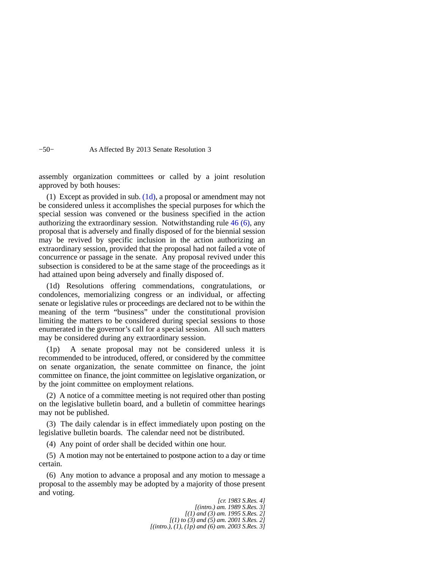−50− As Affected By 2013 Senate Resolution 3

assembly organization committees or called by a joint resolution approved by both houses:

(1) Except as provided in sub.  $(1d)$ , a proposal or amendment may not be considered unless it accomplishes the special purposes for which the special session was convened or the business specified in the action authorizing the extraordinary session. Notwithstanding rule [46 \(6\),](https://docs.legis.wisconsin.gov/document/legislativerules/2013/sr46(6)) any proposal that is adversely and finally disposed of for the biennial session may be revived by specific inclusion in the action authorizing an extraordinary session, provided that the proposal had not failed a vote of concurrence or passage in the senate. Any proposal revived under this subsection is considered to be at the same stage of the proceedings as it had attained upon being adversely and finally disposed of.

(1d) Resolutions offering commendations, congratulations, or condolences, memorializing congress or an individual, or affecting senate or legislative rules or proceedings are declared not to be within the meaning of the term "business" under the constitutional provision limiting the matters to be considered during special sessions to those enumerated in the governor's call for a special session. All such matters may be considered during any extraordinary session.

(1p) A senate proposal may not be considered unless it is recommended to be introduced, offered, or considered by the committee on senate organization, the senate committee on finance, the joint committee on finance, the joint committee on legislative organization, or by the joint committee on employment relations.

(2) A notice of a committee meeting is not required other than posting on the legislative bulletin board, and a bulletin of committee hearings may not be published.

(3) The daily calendar is in effect immediately upon posting on the legislative bulletin boards. The calendar need not be distributed.

(4) Any point of order shall be decided within one hour.

(5) A motion may not be entertained to postpone action to a day or time certain.

(6) Any motion to advance a proposal and any motion to message a proposal to the assembly may be adopted by a majority of those present and voting.

> *[cr. 1983 S.Res. 4] [(intro.) am. 1989 S.Res. 3] [(1) and (3) am. 1995 S.Res. 2] [(1) to (3) and (5) am. 2001 S.Res. 2] [(intro.), (1), (1p) and (6) am. 2003 S.Res. 3]*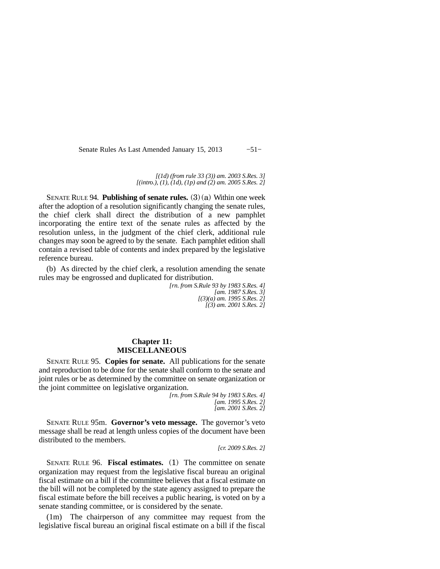Senate Rules As Last Amended January 15, 2013 -51−

*[(1d) (from rule 33 (3)) am. 2003 S.Res. 3] [(intro.), (1), (1d), (1p) and (2) am. 2005 S.Res. 2]*

SENATE RULE 94. **Publishing of senate rules.** (3)(a) Within one week after the adoption of a resolution significantly changing the senate rules, the chief clerk shall direct the distribution of a new pamphlet incorporating the entire text of the senate rules as affected by the resolution unless, in the judgment of the chief clerk, additional rule changes may soon be agreed to by the senate. Each pamphlet edition shall contain a revised table of contents and index prepared by the legislative reference bureau.

(b) As directed by the chief clerk, a resolution amending the senate rules may be engrossed and duplicated for distribution.

> *[rn. from S.Rule 93 by 1983 S.Res. 4] [am. 1987 S.Res. 3] [(3)(a) am. 1995 S.Res. 2] [(3) am. 2001 S.Res. 2]*

#### **Chapter 11: MISCELLANEOUS**

SENATE RULE 95. **Copies for senate.** All publications for the senate and reproduction to be done for the senate shall conform to the senate and joint rules or be as determined by the committee on senate organization or the joint committee on legislative organization.

> *[rn. from S.Rule 94 by 1983 S.Res. 4] [am. 1995 S.Res. 2] [am. 2001 S.Res. 2]*

SENATE RULE 95m. **Governor's veto message.** The governor's veto message shall be read at length unless copies of the document have been distributed to the members.

*[cr. 2009 S.Res. 2]*

SENATE RULE 96. **Fiscal estimates.** (1) The committee on senate organization may request from the legislative fiscal bureau an original fiscal estimate on a bill if the committee believes that a fiscal estimate on the bill will not be completed by the state agency assigned to prepare the fiscal estimate before the bill receives a public hearing, is voted on by a senate standing committee, or is considered by the senate.

(1m) The chairperson of any committee may request from the legislative fiscal bureau an original fiscal estimate on a bill if the fiscal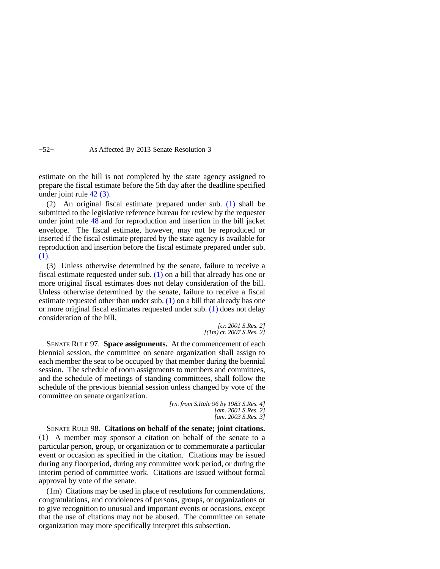#### −52− As Affected By 2013 Senate Resolution 3

estimate on the bill is not completed by the state agency assigned to prepare the fiscal estimate before the 5th day after the deadline specified under joint rule [42 \(3\).](https://docs.legis.wisconsin.gov/document/legislativerules/2013/jr42(3))

(2) An original fiscal estimate prepared under sub. [\(1\)](https://docs.legis.wisconsin.gov/document/legislativerules/2013/sr96(1)) shall be submitted to the legislative reference bureau for review by the requester under joint rule [48](https://docs.legis.wisconsin.gov/document/legislativerules/2013/jr48) and for reproduction and insertion in the bill jacket envelope. The fiscal estimate, however, may not be reproduced or inserted if the fiscal estimate prepared by the state agency is available for reproduction and insertion before the fiscal estimate prepared under sub. [\(1\).](https://docs.legis.wisconsin.gov/document/legislativerules/2013/sr96(1))

(3) Unless otherwise determined by the senate, failure to receive a fiscal estimate requested under sub. [\(1\)](https://docs.legis.wisconsin.gov/document/legislativerules/2013/sr96(1)) on a bill that already has one or more original fiscal estimates does not delay consideration of the bill. Unless otherwise determined by the senate, failure to receive a fiscal estimate requested other than under sub. [\(1\)](https://docs.legis.wisconsin.gov/document/legislativerules/2013/sr96(1)) on a bill that already has one or more original fiscal estimates requested under sub. [\(1\)](https://docs.legis.wisconsin.gov/document/legislativerules/2013/sr96(1)) does not delay consideration of the bill.

> *[cr. 2001 S.Res. 2] [(1m) cr. 2007 S.Res. 2]*

SENATE RULE 97. **Space assignments.** At the commencement of each biennial session, the committee on senate organization shall assign to each member the seat to be occupied by that member during the biennial session. The schedule of room assignments to members and committees, and the schedule of meetings of standing committees, shall follow the schedule of the previous biennial session unless changed by vote of the committee on senate organization.

*[rn. from S.Rule 96 by 1983 S.Res. 4] [am. 2001 S.Res. 2] [am. 2003 S.Res. 3]*

SENATE RULE 98. **Citations on behalf of the senate; joint citations.** (1) A member may sponsor a citation on behalf of the senate to a particular person, group, or organization or to commemorate a particular event or occasion as specified in the citation. Citations may be issued during any floorperiod, during any committee work period, or during the interim period of committee work. Citations are issued without formal approval by vote of the senate.

(1m) Citations may be used in place of resolutions for commendations, congratulations, and condolences of persons, groups, or organizations or to give recognition to unusual and important events or occasions, except that the use of citations may not be abused. The committee on senate organization may more specifically interpret this subsection.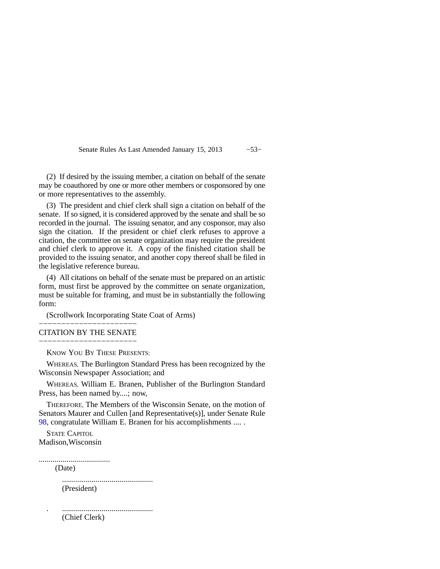Senate Rules As Last Amended January 15, 2013 −53−

(2) If desired by the issuing member, a citation on behalf of the senate may be coauthored by one or more other members or cosponsored by one or more representatives to the assembly.

(3) The president and chief clerk shall sign a citation on behalf of the senate. If so signed, it is considered approved by the senate and shall be so recorded in the journal. The issuing senator, and any cosponsor, may also sign the citation. If the president or chief clerk refuses to approve a citation, the committee on senate organization may require the president and chief clerk to approve it. A copy of the finished citation shall be provided to the issuing senator, and another copy thereof shall be filed in the legislative reference bureau.

(4) All citations on behalf of the senate must be prepared on an artistic form, must first be approved by the committee on senate organization, must be suitable for framing, and must be in substantially the following form:

(Scrollwork Incorporating State Coat of Arms)

#### −−−−−−−−−−−−−−−−−−−−−− CITATION BY THE SENATE −−−−−−−−−−−−−−−−−−−−−−

KNOW YOU BY THESE PRESENTS:

WHEREAS, The Burlington Standard Press has been recognized by the Wisconsin Newspaper Association; and

WHEREAS, William E. Branen, Publisher of the Burlington Standard Press, has been named by....; now,

THEREFORE, The Members of the Wisconsin Senate, on the motion of Senators Maurer and Cullen [and Representative(s)], under Senate Rule [98](https://docs.legis.wisconsin.gov/document/legislativerules/2013/sr98), congratulate William E. Branen for his accomplishments .... .

STATE CAPITOL Madison,Wisconsin

....................................

(Date)

.............................................. (President)

. .............................................. (Chief Clerk)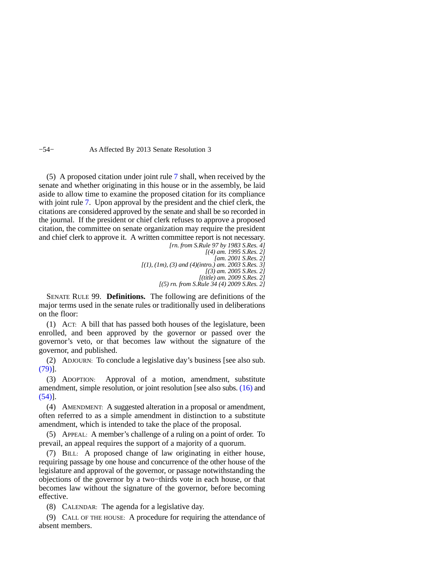−54− As Affected By 2013 Senate Resolution 3

(5) A proposed citation under joint rule [7](https://docs.legis.wisconsin.gov/document/legislativerules/2013/jr7) shall, when received by the senate and whether originating in this house or in the assembly, be laid aside to allow time to examine the proposed citation for its compliance with joint rule [7.](https://docs.legis.wisconsin.gov/document/legislativerules/2013/jr7) Upon approval by the president and the chief clerk, the citations are considered approved by the senate and shall be so recorded in the journal. If the president or chief clerk refuses to approve a proposed citation, the committee on senate organization may require the president and chief clerk to approve it. A written committee report is not necessary. *[rn. from S.Rule 97 by 1983 S.Res. 4]*

*[(4) am. 1995 S.Res. 2] [am. 2001 S.Res. 2] [(1), (1m), (3) and (4)(intro.) am. 2003 S.Res. 3] [(3) am. 2005 S.Res. 2] [(title) am. 2009 S.Res. 2] [(5) rn. from S.Rule 34 (4) 2009 S.Res. 2]*

SENATE RULE 99. **Definitions.** The following are definitions of the major terms used in the senate rules or traditionally used in deliberations on the floor:

(1) ACT: A bill that has passed both houses of the legislature, been enrolled, and been approved by the governor or passed over the governor's veto, or that becomes law without the signature of the governor, and published.

(2) ADJOURN: To conclude a legislative day's business [see also sub. [\(79\)](https://docs.legis.wisconsin.gov/document/legislativerules/2013/sr99(79))].

(3) ADOPTION: Approval of a motion, amendment, substitute amendment, simple resolution, or joint resolution [see also subs. [\(16\)](https://docs.legis.wisconsin.gov/document/legislativerules/2013/sr99(16)) and [\(54\)](https://docs.legis.wisconsin.gov/document/legislativerules/2013/sr99(54))].

(4) AMENDMENT: A suggested alteration in a proposal or amendment, often referred to as a simple amendment in distinction to a substitute amendment, which is intended to take the place of the proposal.

(5) APPEAL: A member's challenge of a ruling on a point of order. To prevail, an appeal requires the support of a majority of a quorum.

(7) BILL: A proposed change of law originating in either house, requiring passage by one house and concurrence of the other house of the legislature and approval of the governor, or passage notwithstanding the objections of the governor by a two−thirds vote in each house, or that becomes law without the signature of the governor, before becoming effective.

(8) CALENDAR: The agenda for a legislative day.

(9) CALL OF THE HOUSE: A procedure for requiring the attendance of absent members.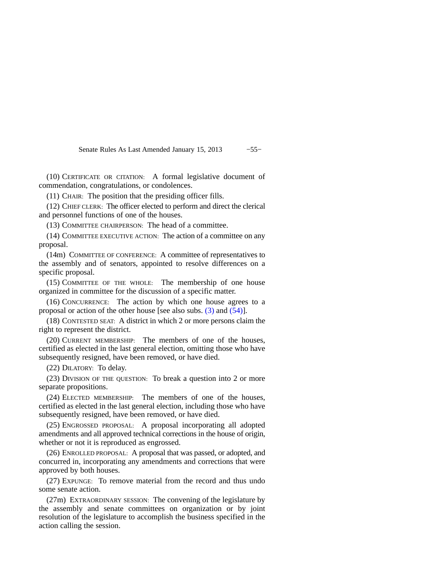Senate Rules As Last Amended January 15, 2013 -55−

(10) CERTIFICATE OR CITATION: A formal legislative document of commendation, congratulations, or condolences.

(11) CHAIR: The position that the presiding officer fills.

(12) CHIEF CLERK: The officer elected to perform and direct the clerical and personnel functions of one of the houses.

(13) COMMITTEE CHAIRPERSON: The head of a committee.

(14) COMMITTEE EXECUTIVE ACTION: The action of a committee on any proposal.

(14m) COMMITTEE OF CONFERENCE: A committee of representatives to the assembly and of senators, appointed to resolve differences on a specific proposal.

(15) COMMITTEE OF THE WHOLE: The membership of one house organized in committee for the discussion of a specific matter.

(16) CONCURRENCE: The action by which one house agrees to a proposal or action of the other house [see also subs. [\(3\)](https://docs.legis.wisconsin.gov/document/legislativerules/2013/sr99(3)) and [\(54\)\]](https://docs.legis.wisconsin.gov/document/legislativerules/2013/sr99(54)).

(18) CONTESTED SEAT: A district in which 2 or more persons claim the right to represent the district.

(20) CURRENT MEMBERSHIP: The members of one of the houses, certified as elected in the last general election, omitting those who have subsequently resigned, have been removed, or have died.

(22) DILATORY: To delay.

(23) DIVISION OF THE QUESTION: To break a question into 2 or more separate propositions.

(24) ELECTED MEMBERSHIP: The members of one of the houses, certified as elected in the last general election, including those who have subsequently resigned, have been removed, or have died.

(25) ENGROSSED PROPOSAL: A proposal incorporating all adopted amendments and all approved technical corrections in the house of origin, whether or not it is reproduced as engrossed.

(26) ENROLLED PROPOSAL: A proposal that was passed, or adopted, and concurred in, incorporating any amendments and corrections that were approved by both houses.

(27) EXPUNGE: To remove material from the record and thus undo some senate action.

(27m) EXTRAORDINARY SESSION: The convening of the legislature by the assembly and senate committees on organization or by joint resolution of the legislature to accomplish the business specified in the action calling the session.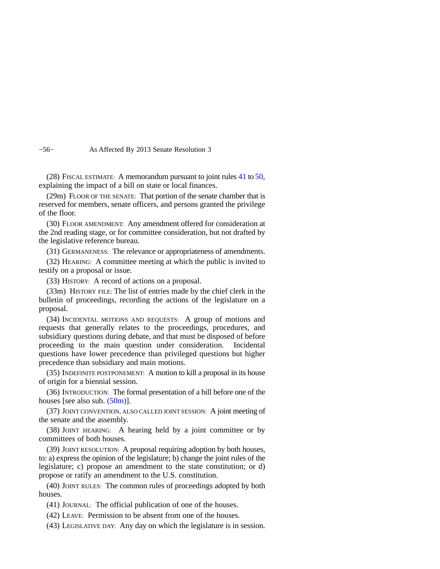−56− As Affected By 2013 Senate Resolution 3

(28) FISCAL ESTIMATE: A memorandum pursuant to joint rules [41](https://docs.legis.wisconsin.gov/document/legislativerules/2013/jr41) to [50](https://docs.legis.wisconsin.gov/document/legislativerules/2013/jr50), explaining the impact of a bill on state or local finances.

(29m) FLOOR OF THE SENATE: That portion of the senate chamber that is reserved for members, senate officers, and persons granted the privilege of the floor.

(30) FLOOR AMENDMENT: Any amendment offered for consideration at the 2nd reading stage, or for committee consideration, but not drafted by the legislative reference bureau.

(31) GERMANENESS: The relevance or appropriateness of amendments.

(32) HEARING: A committee meeting at which the public is invited to testify on a proposal or issue.

(33) HISTORY: A record of actions on a proposal.

(33m) HISTORY FILE: The list of entries made by the chief clerk in the bulletin of proceedings, recording the actions of the legislature on a proposal.

(34) INCIDENTAL MOTIONS AND REQUESTS: A group of motions and requests that generally relates to the proceedings, procedures, and subsidiary questions during debate, and that must be disposed of before proceeding to the main question under consideration. Incidental questions have lower precedence than privileged questions but higher precedence than subsidiary and main motions.

(35) INDEFINITE POSTPONEMENT: A motion to kill a proposal in its house of origin for a biennial session.

(36) INTRODUCTION: The formal presentation of a bill before one of the houses [see also sub. [\(50m\)\]](https://docs.legis.wisconsin.gov/document/legislativerules/2013/sr99(50m)).

(37) JOINT CONVENTION, ALSO CALLED JOINT SESSION: A joint meeting of the senate and the assembly.

(38) JOINT HEARING: A hearing held by a joint committee or by committees of both houses.

(39) JOINT RESOLUTION: A proposal requiring adoption by both houses, to: a) express the opinion of the legislature; b) change the joint rules of the legislature; c) propose an amendment to the state constitution; or d) propose or ratify an amendment to the U.S. constitution.

(40) JOINT RULES: The common rules of proceedings adopted by both houses.

(41) JOURNAL: The official publication of one of the houses.

(42) LEAVE: Permission to be absent from one of the houses.

(43) LEGISLATIVE DAY: Any day on which the legislature is in session.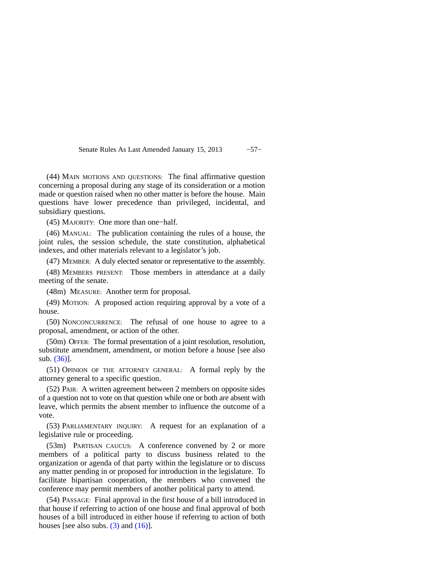Senate Rules As Last Amended January 15, 2013 −57−

(44) MAIN MOTIONS AND QUESTIONS: The final affirmative question concerning a proposal during any stage of its consideration or a motion made or question raised when no other matter is before the house. Main questions have lower precedence than privileged, incidental, and subsidiary questions.

(45) MAJORITY: One more than one−half.

(46) MANUAL: The publication containing the rules of a house, the joint rules, the session schedule, the state constitution, alphabetical indexes, and other materials relevant to a legislator's job.

(47) MEMBER: A duly elected senator or representative to the assembly.

(48) MEMBERS PRESENT: Those members in attendance at a daily meeting of the senate.

(48m) MEASURE: Another term for proposal.

(49) MOTION: A proposed action requiring approval by a vote of a house.

(50) NONCONCURRENCE: The refusal of one house to agree to a proposal, amendment, or action of the other.

(50m) OFFER: The formal presentation of a joint resolution, resolution, substitute amendment, amendment, or motion before a house [see also sub. [\(36\)](https://docs.legis.wisconsin.gov/document/legislativerules/2013/sr99(36))].

(51) OPINION OF THE ATTORNEY GENERAL: A formal reply by the attorney general to a specific question.

(52) PAIR: A written agreement between 2 members on opposite sides of a question not to vote on that question while one or both are absent with leave, which permits the absent member to influence the outcome of a vote.

(53) PARLIAMENTARY INQUIRY: A request for an explanation of a legislative rule or proceeding.

(53m) PARTISAN CAUCUS: A conference convened by 2 or more members of a political party to discuss business related to the organization or agenda of that party within the legislature or to discuss any matter pending in or proposed for introduction in the legislature. To facilitate bipartisan cooperation, the members who convened the conference may permit members of another political party to attend.

(54) PASSAGE: Final approval in the first house of a bill introduced in that house if referring to action of one house and final approval of both houses of a bill introduced in either house if referring to action of both houses [see also subs.  $(3)$  and  $(16)$ ].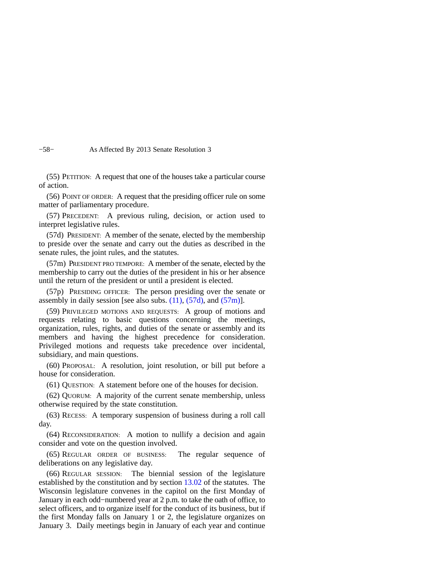−58− As Affected By 2013 Senate Resolution 3

(55) PETITION: A request that one of the houses take a particular course of action.

(56) POINT OF ORDER: A request that the presiding officer rule on some matter of parliamentary procedure.

(57) PRECEDENT: A previous ruling, decision, or action used to interpret legislative rules.

(57d) PRESIDENT: A member of the senate, elected by the membership to preside over the senate and carry out the duties as described in the senate rules, the joint rules, and the statutes.

(57m) PRESIDENT PRO TEMPORE: A member of the senate, elected by the membership to carry out the duties of the president in his or her absence until the return of the president or until a president is elected.

(57p) PRESIDING OFFICER: The person presiding over the senate or assembly in daily session [see also subs.  $(11)$ ,  $(57d)$ , and  $(57m)$ ].

(59) PRIVILEGED MOTIONS AND REQUESTS: A group of motions and requests relating to basic questions concerning the meetings, organization, rules, rights, and duties of the senate or assembly and its members and having the highest precedence for consideration. Privileged motions and requests take precedence over incidental, subsidiary, and main questions.

(60) PROPOSAL: A resolution, joint resolution, or bill put before a house for consideration.

(61) QUESTION: A statement before one of the houses for decision.

(62) QUORUM: A majority of the current senate membership, unless otherwise required by the state constitution.

(63) RECESS: A temporary suspension of business during a roll call day.

(64) RECONSIDERATION: A motion to nullify a decision and again consider and vote on the question involved.

(65) REGULAR ORDER OF BUSINESS: The regular sequence of deliberations on any legislative day.

(66) REGULAR SESSION: The biennial session of the legislature established by the constitution and by section [13.02](https://docs.legis.wisconsin.gov/document/statutes/13.02) of the statutes. The Wisconsin legislature convenes in the capitol on the first Monday of January in each odd−numbered year at 2 p.m. to take the oath of office, to select officers, and to organize itself for the conduct of its business, but if the first Monday falls on January 1 or 2, the legislature organizes on January 3. Daily meetings begin in January of each year and continue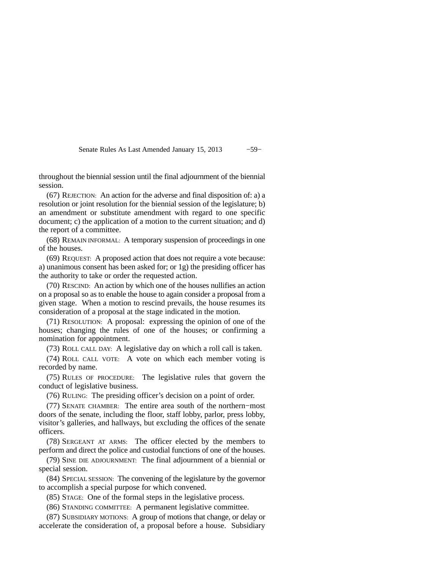Senate Rules As Last Amended January 15, 2013 -59−

throughout the biennial session until the final adjournment of the biennial session.

(67) REJECTION: An action for the adverse and final disposition of: a) a resolution or joint resolution for the biennial session of the legislature; b) an amendment or substitute amendment with regard to one specific document; c) the application of a motion to the current situation; and d) the report of a committee.

(68) REMAIN INFORMAL: A temporary suspension of proceedings in one of the houses.

(69) REQUEST: A proposed action that does not require a vote because: a) unanimous consent has been asked for; or 1g) the presiding officer has the authority to take or order the requested action.

(70) RESCIND: An action by which one of the houses nullifies an action on a proposal so as to enable the house to again consider a proposal from a given stage. When a motion to rescind prevails, the house resumes its consideration of a proposal at the stage indicated in the motion.

(71) RESOLUTION: A proposal: expressing the opinion of one of the houses; changing the rules of one of the houses; or confirming a nomination for appointment.

(73) ROLL CALL DAY: A legislative day on which a roll call is taken.

(74) ROLL CALL VOTE: A vote on which each member voting is recorded by name.

(75) RULES OF PROCEDURE: The legislative rules that govern the conduct of legislative business.

(76) RULING: The presiding officer's decision on a point of order.

(77) SENATE CHAMBER: The entire area south of the northern−most doors of the senate, including the floor, staff lobby, parlor, press lobby, visitor's galleries, and hallways, but excluding the offices of the senate officers.

(78) SERGEANT AT ARMS: The officer elected by the members to perform and direct the police and custodial functions of one of the houses.

(79) SINE DIE ADJOURNMENT: The final adjournment of a biennial or special session.

(84) SPECIAL SESSION: The convening of the legislature by the governor to accomplish a special purpose for which convened.

(85) STAGE: One of the formal steps in the legislative process.

(86) STANDING COMMITTEE: A permanent legislative committee.

(87) SUBSIDIARY MOTIONS: A group of motions that change, or delay or accelerate the consideration of, a proposal before a house. Subsidiary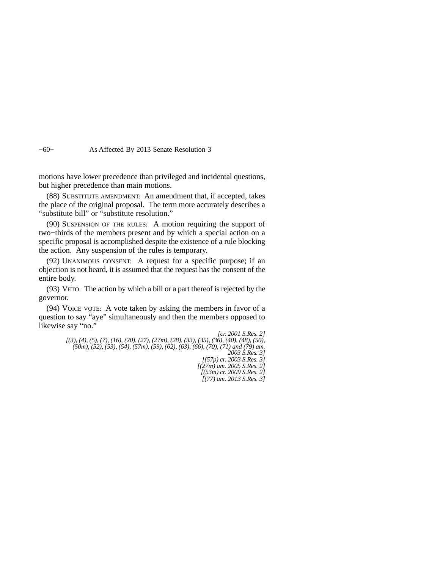−60− As Affected By 2013 Senate Resolution 3

motions have lower precedence than privileged and incidental questions, but higher precedence than main motions.

(88) SUBSTITUTE AMENDMENT: An amendment that, if accepted, takes the place of the original proposal. The term more accurately describes a "substitute bill" or "substitute resolution."

(90) SUSPENSION OF THE RULES: A motion requiring the support of two−thirds of the members present and by which a special action on a specific proposal is accomplished despite the existence of a rule blocking the action. Any suspension of the rules is temporary.

(92) UNANIMOUS CONSENT: A request for a specific purpose; if an objection is not heard, it is assumed that the request has the consent of the entire body.

(93) VETO: The action by which a bill or a part thereof is rejected by the governor.

(94) VOICE VOTE: A vote taken by asking the members in favor of a question to say "aye" simultaneously and then the members opposed to likewise say "no."

> *[cr. 2001 S.Res. 2] [(3), (4), (5), (7), (16), (20), (27), (27m), (28), (33), (35), (36), (40), (48), (50), (50m), (52), (53), (54), (57m), (59), (62), (63), (66), (70), (71) and (79) am. 2003 S.Res. 3]*

*[(57p) cr. 2003 S.Res. 3] [(27m) am. 2005 S.Res. 2] [(53m) cr. 2009 S.Res. 2] [(77) am. 2013 S.Res. 3]*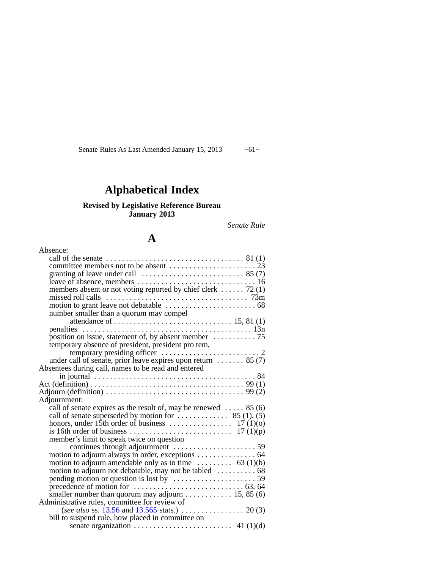Senate Rules As Last Amended January 15, 2013 -61-

# **Alphabetical Index**

## **Revised by Legislative Reference Bureau January 2013**

*Senate Rule*

## **A**

| Absence:                                                                                                                                                                                                                                  |
|-------------------------------------------------------------------------------------------------------------------------------------------------------------------------------------------------------------------------------------------|
|                                                                                                                                                                                                                                           |
|                                                                                                                                                                                                                                           |
|                                                                                                                                                                                                                                           |
|                                                                                                                                                                                                                                           |
| members absent or not voting reported by chief clerk  72 (1)                                                                                                                                                                              |
|                                                                                                                                                                                                                                           |
|                                                                                                                                                                                                                                           |
| number smaller than a quorum may compel                                                                                                                                                                                                   |
|                                                                                                                                                                                                                                           |
|                                                                                                                                                                                                                                           |
| position on issue, statement of, by absent member $\dots \dots \dots \dots$ 75                                                                                                                                                            |
| temporary absence of president, president pro tem,                                                                                                                                                                                        |
|                                                                                                                                                                                                                                           |
| under call of senate, prior leave expires upon return $\dots \dots$ 85 (7)                                                                                                                                                                |
| Absentees during call, names to be read and entered                                                                                                                                                                                       |
|                                                                                                                                                                                                                                           |
| Act (definition) $\ldots \ldots \ldots \ldots \ldots \ldots \ldots \ldots \ldots \ldots \ldots \ldots \ldots$ 99 (1)<br>Adjourn (definition) $\ldots \ldots \ldots \ldots \ldots \ldots \ldots \ldots \ldots \ldots \ldots \ldots$ 99 (2) |
| Adjournment:                                                                                                                                                                                                                              |
| call of senate expires as the result of, may be renewed $\dots$ 85 (6)                                                                                                                                                                    |
| call of senate superseded by motion for $\dots \dots \dots$ 85 (1), (5)                                                                                                                                                                   |
|                                                                                                                                                                                                                                           |
|                                                                                                                                                                                                                                           |
| member's limit to speak twice on question                                                                                                                                                                                                 |
|                                                                                                                                                                                                                                           |
|                                                                                                                                                                                                                                           |
| motion to adjourn amendable only as to time $\dots \dots \dots$ 63 (1)(b)                                                                                                                                                                 |
|                                                                                                                                                                                                                                           |
|                                                                                                                                                                                                                                           |
|                                                                                                                                                                                                                                           |
| smaller number than quorum may adjourn $\dots \dots \dots \dots 15, 85(6)$                                                                                                                                                                |
| Administrative rules, committee for review of                                                                                                                                                                                             |
| (see also ss. 13.56 and 13.565 stats.) 20 (3)                                                                                                                                                                                             |
| bill to suspend rule, how placed in committee on                                                                                                                                                                                          |
| senate organization $\ldots \ldots \ldots \ldots \ldots \ldots$ 41 (1)(d)                                                                                                                                                                 |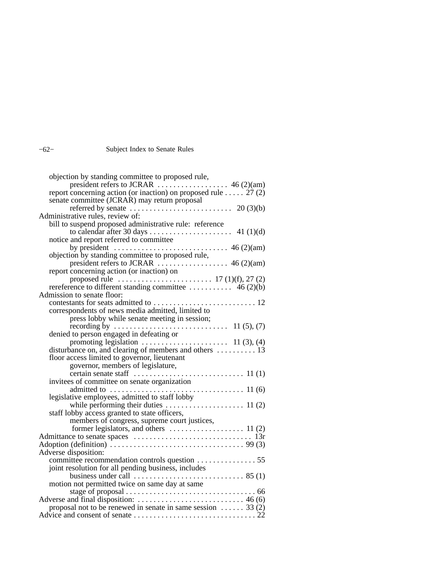## −62− Subject Index to Senate Rules

| objection by standing committee to proposed rule,                                                                                                                                                                                                                                                                                       |
|-----------------------------------------------------------------------------------------------------------------------------------------------------------------------------------------------------------------------------------------------------------------------------------------------------------------------------------------|
|                                                                                                                                                                                                                                                                                                                                         |
| report concerning action (or inaction) on proposed rule $\hat{27}(2)$                                                                                                                                                                                                                                                                   |
| senate committee (JCRAR) may return proposal                                                                                                                                                                                                                                                                                            |
| referred by senate $\ldots \ldots \ldots \ldots \ldots \ldots \ldots \ldots$ 20 (3)(b)                                                                                                                                                                                                                                                  |
| Administrative rules, review of:                                                                                                                                                                                                                                                                                                        |
| bill to suspend proposed administrative rule: reference                                                                                                                                                                                                                                                                                 |
|                                                                                                                                                                                                                                                                                                                                         |
| notice and report referred to committee                                                                                                                                                                                                                                                                                                 |
| by president $\ldots$ $\ldots$ $\ldots$ $\ldots$ $\ldots$ $\ldots$ $\ldots$ $\ldots$ $\ldots$ $\ldots$ $\ldots$ $\ldots$ $\ldots$ $\ldots$ $\ldots$ $\ldots$ $\ldots$ $\ldots$ $\ldots$ $\ldots$ $\ldots$ $\ldots$ $\ldots$ $\ldots$ $\ldots$ $\ldots$ $\ldots$ $\ldots$ $\ldots$ $\ldots$ $\ldots$ $\ldots$ $\ldots$ $\ldots$ $\ldots$ |
| objection by standing committee to proposed rule,                                                                                                                                                                                                                                                                                       |
|                                                                                                                                                                                                                                                                                                                                         |
| report concerning action (or inaction) on                                                                                                                                                                                                                                                                                               |
|                                                                                                                                                                                                                                                                                                                                         |
|                                                                                                                                                                                                                                                                                                                                         |
| Admission to senate floor:                                                                                                                                                                                                                                                                                                              |
|                                                                                                                                                                                                                                                                                                                                         |
| correspondents of news media admitted, limited to                                                                                                                                                                                                                                                                                       |
| press lobby while senate meeting in session;                                                                                                                                                                                                                                                                                            |
|                                                                                                                                                                                                                                                                                                                                         |
| denied to person engaged in defeating or<br>promoting legislation $\cdots$ 11 (3), (4)                                                                                                                                                                                                                                                  |
|                                                                                                                                                                                                                                                                                                                                         |
| disturbance on, and clearing of members and others  13                                                                                                                                                                                                                                                                                  |
| floor access limited to governor, lieutenant                                                                                                                                                                                                                                                                                            |
| governor, members of legislature,                                                                                                                                                                                                                                                                                                       |
|                                                                                                                                                                                                                                                                                                                                         |
| invitees of committee on senate organization                                                                                                                                                                                                                                                                                            |
|                                                                                                                                                                                                                                                                                                                                         |
| legislative employees, admitted to staff lobby                                                                                                                                                                                                                                                                                          |
|                                                                                                                                                                                                                                                                                                                                         |
| staff lobby access granted to state officers,                                                                                                                                                                                                                                                                                           |
| members of congress, supreme court justices,                                                                                                                                                                                                                                                                                            |
|                                                                                                                                                                                                                                                                                                                                         |
|                                                                                                                                                                                                                                                                                                                                         |
|                                                                                                                                                                                                                                                                                                                                         |
| Adverse disposition:                                                                                                                                                                                                                                                                                                                    |
|                                                                                                                                                                                                                                                                                                                                         |
| joint resolution for all pending business, includes                                                                                                                                                                                                                                                                                     |
|                                                                                                                                                                                                                                                                                                                                         |
| motion not permitted twice on same day at same                                                                                                                                                                                                                                                                                          |
|                                                                                                                                                                                                                                                                                                                                         |
|                                                                                                                                                                                                                                                                                                                                         |
| proposal not to be renewed in senate in same session $\dots$ 33 (2)                                                                                                                                                                                                                                                                     |
|                                                                                                                                                                                                                                                                                                                                         |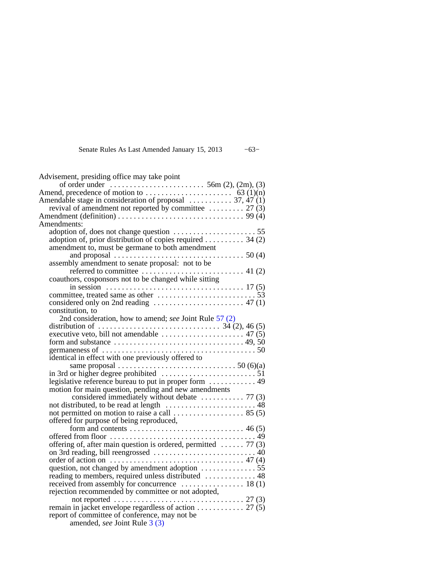## Senate Rules As Last Amended January 15, 2013 −63−

| Advisement, presiding office may take point                                                                                                                                        |
|------------------------------------------------------------------------------------------------------------------------------------------------------------------------------------|
| of order under $\dots \dots \dots \dots \dots \dots \dots$ 56m (2), (2m), (3)                                                                                                      |
| Amend, precedence of motion to $\dots \dots \dots \dots \dots \dots \dots$ 63 (1)(n)                                                                                               |
| Amendable stage in consideration of proposal $\dots \dots \dots$ 37, 47 (1)                                                                                                        |
| revival of amendment not reported by committee $\dots \dots \dots$ 27 (3)<br>Amendment (definition) $\ldots \ldots \ldots \ldots \ldots \ldots \ldots \ldots \ldots \ldots$ 99 (4) |
| Amendments:                                                                                                                                                                        |
|                                                                                                                                                                                    |
| adoption of, prior distribution of copies required 34 (2)                                                                                                                          |
| amendment to, must be germane to both amendment                                                                                                                                    |
|                                                                                                                                                                                    |
| assembly amendment to senate proposal: not to be                                                                                                                                   |
| referred to committee $\ldots \ldots \ldots \ldots \ldots \ldots \ldots$ 41 (2)                                                                                                    |
| coauthors, cosponsors not to be changed while sitting                                                                                                                              |
|                                                                                                                                                                                    |
|                                                                                                                                                                                    |
| considered only on 2nd reading $\dots \dots \dots \dots \dots \dots \dots$ 47 (1)                                                                                                  |
| constitution, to                                                                                                                                                                   |
| 2nd consideration, how to amend; see Joint Rule 57 (2)                                                                                                                             |
|                                                                                                                                                                                    |
|                                                                                                                                                                                    |
| germaneness of $\ldots \ldots \ldots \ldots \ldots \ldots \ldots \ldots \ldots \ldots \ldots \ldots \ldots 50$                                                                     |
| identical in effect with one previously offered to                                                                                                                                 |
| same proposal $\ldots \ldots \ldots \ldots \ldots \ldots \ldots \ldots \ldots \ldots$ 50 (6)(a)                                                                                    |
|                                                                                                                                                                                    |
| legislative reference bureau to put in proper form  49                                                                                                                             |
| motion for main question, pending and new amendments                                                                                                                               |
| considered immediately without debate $\dots \dots \dots \dots$ 77 (3)                                                                                                             |
|                                                                                                                                                                                    |
| not permitted on motion to raise a call $\dots \dots \dots \dots \dots \dots$ 85 (5)                                                                                               |
| offered for purpose of being reproduced,                                                                                                                                           |
|                                                                                                                                                                                    |
|                                                                                                                                                                                    |
| offering of, after main question is ordered, permitted $\ldots$ . 77 (3)                                                                                                           |
| order of action on $\dots \dots \dots \dots \dots \dots \dots \dots \dots \dots \dots \dots$ 47 (4)                                                                                |
| question, not changed by amendment adoption  55                                                                                                                                    |
| reading to members, required unless distributed  48                                                                                                                                |
| received from assembly for concurrence $\dots\dots\dots\dots\dots$ 18(1)                                                                                                           |
| rejection recommended by committee or not adopted,                                                                                                                                 |
| not reported $\ldots \ldots \ldots \ldots \ldots \ldots \ldots \ldots \ldots \ldots 27$ (3)                                                                                        |
|                                                                                                                                                                                    |
| report of committee of conference, may not be                                                                                                                                      |
| amended, see Joint Rule 3 (3)                                                                                                                                                      |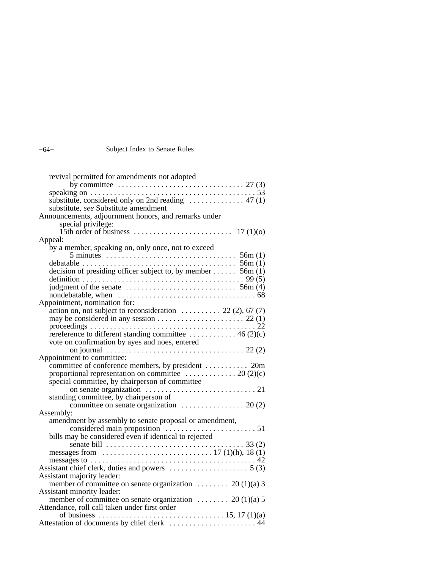## −64− Subject Index to Senate Rules

| revival permitted for amendments not adopted                                                                   |
|----------------------------------------------------------------------------------------------------------------|
| by committee $\ldots \ldots \ldots \ldots \ldots \ldots \ldots \ldots \ldots \ldots \ldots$ 27 (3)             |
| speaking on $\dots \dots \dots \dots \dots \dots \dots \dots \dots \dots \dots \dots \dots \dots \dots 53$     |
| substitute, considered only on 2nd reading $\dots \dots \dots \dots$ 47 (1)                                    |
| substitute, see Substitute amendment                                                                           |
| Announcements, adjournment honors, and remarks under                                                           |
| special privilege:                                                                                             |
|                                                                                                                |
| Appeal:                                                                                                        |
| by a member, speaking on, only once, not to exceed                                                             |
|                                                                                                                |
| debatable $\ldots \ldots \ldots \ldots \ldots \ldots \ldots \ldots \ldots \ldots \ldots \ldots \ldots$ 56m (1) |
| decision of presiding officer subject to, by member 56m (1)                                                    |
|                                                                                                                |
|                                                                                                                |
|                                                                                                                |
| Appointment, nomination for:                                                                                   |
| $\alpha$ action on, not subject to reconsideration  22 (2), 67 (7)                                             |
|                                                                                                                |
|                                                                                                                |
| rereference to different standing committee $\dots \dots \dots \dots$ 46 (2)(c)                                |
| vote on confirmation by ayes and noes, entered                                                                 |
|                                                                                                                |
| Appointment to committee:                                                                                      |
| committee of conference members, by president  20m                                                             |
| proportional representation on committee $\dots \dots \dots \dots \dots 20$ (2)(c)                             |
| special committee, by chairperson of committee                                                                 |
|                                                                                                                |
| standing committee, by chairperson of                                                                          |
|                                                                                                                |
| Assembly:                                                                                                      |
| amendment by assembly to senate proposal or amendment,                                                         |
|                                                                                                                |
| bills may be considered even if identical to rejected                                                          |
| senate bill $\dots \dots \dots \dots \dots \dots \dots \dots \dots \dots \dots \dots \dots$ 33 (2)             |
| messages from $\ldots \ldots \ldots \ldots \ldots \ldots \ldots \ldots \ldots \ldots 17 (1)(h), 18 (1)$        |
|                                                                                                                |
| Assistant chief clerk, duties and powers $\dots \dots \dots \dots \dots \dots$ 5 (3)                           |
| Assistant majority leader:                                                                                     |
| member of committee on senate organization  20 (1)(a) 3                                                        |
| Assistant minority leader:                                                                                     |
| member of committee on senate organization  20 (1)(a) 5                                                        |
| Attendance, roll call taken under first order                                                                  |
|                                                                                                                |
| Attestation of documents by chief clerk  44                                                                    |
|                                                                                                                |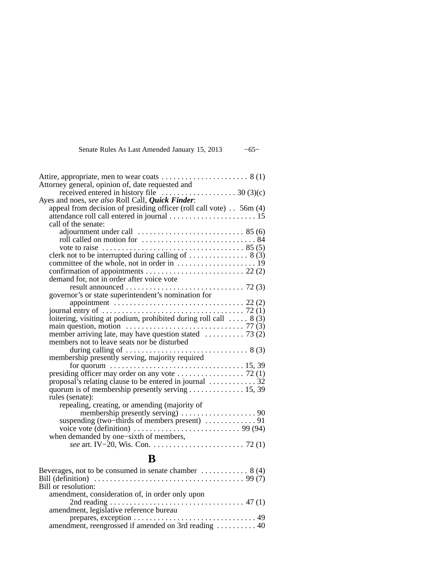Senate Rules As Last Amended January 15, 2013 −65−

| Attorney general, opinion of, date requested and                                                  |  |
|---------------------------------------------------------------------------------------------------|--|
| received entered in history file $\dots \dots \dots \dots \dots \dots \dots 30$ (3)(c)            |  |
| Ayes and noes, see also Roll Call, <i>Quick Finder</i> :                                          |  |
| appeal from decision of presiding officer (roll call vote) $\ldots$ 56m (4)                       |  |
|                                                                                                   |  |
| call of the senate:                                                                               |  |
| adjournment under call $\dots\dots\dots\dots\dots\dots\dots 85(6)$                                |  |
|                                                                                                   |  |
|                                                                                                   |  |
| clerk not to be interrupted during calling of $\dots\dots\dots\dots$ 8 (3)                        |  |
|                                                                                                   |  |
|                                                                                                   |  |
| demand for, not in order after voice vote                                                         |  |
|                                                                                                   |  |
| governor's or state superintendent's nomination for                                               |  |
| appointment $\ldots \ldots \ldots \ldots \ldots \ldots \ldots \ldots \ldots \ldots \ldots 22$ (2) |  |
|                                                                                                   |  |
| loitering, visiting at podium, prohibited during roll call $\ldots$ . 8 (3)                       |  |
| main question, motion $\dots \dots \dots \dots \dots \dots \dots \dots \dots \dots \dots$ 77 (3)  |  |
| member arriving late, may have question stated $\ldots$ 73 (2)                                    |  |
| members not to leave seats nor be disturbed                                                       |  |
|                                                                                                   |  |
| membership presently serving, majority required                                                   |  |
| for quorum $\dots \dots \dots \dots \dots \dots \dots \dots \dots \dots \dots \dots \dots 15, 39$ |  |
|                                                                                                   |  |
| proposal's relating clause to be entered in journal $\dots \dots \dots \dots$ 32                  |  |
| quorum is of membership presently serving $\dots \dots \dots \dots \dots$ 15, 39                  |  |
| rules (senate):                                                                                   |  |
| repealing, creating, or amending (majority of                                                     |  |
|                                                                                                   |  |
| suspending (two-thirds of members present)  91                                                    |  |
| voice vote (definition) $\ldots \ldots \ldots \ldots \ldots \ldots \ldots \ldots$ 99 (94)         |  |
| when demanded by one–sixth of members,                                                            |  |
|                                                                                                   |  |

## **B**

| Beverages, not to be consumed in senate chamber $\dots \dots \dots \dots$ 8 (4) |
|---------------------------------------------------------------------------------|
|                                                                                 |
| Bill or resolution:                                                             |
| amendment, consideration of, in order only upon                                 |
|                                                                                 |
| amendment, legislative reference bureau                                         |
|                                                                                 |
| amendment, reengrossed if amended on 3rd reading  40                            |
|                                                                                 |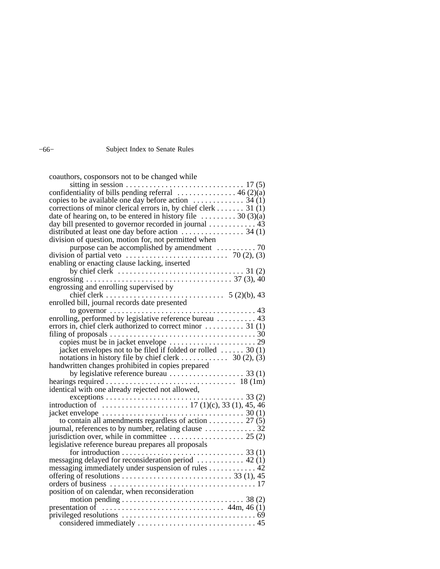## −66− Subject Index to Senate Rules

| coauthors, cosponsors not to be changed while                                                      |
|----------------------------------------------------------------------------------------------------|
|                                                                                                    |
|                                                                                                    |
| copies to be available one day before action $\dots \dots \dots \dots$ 34 (1)                      |
| corrections of minor clerical errors in, by chief clerk 31 (1)                                     |
| date of hearing on, to be entered in history file $\dots \dots \dots 30$ (3)(a)                    |
| day bill presented to governor recorded in journal  43                                             |
|                                                                                                    |
| division of question, motion for, not permitted when                                               |
|                                                                                                    |
| division of partial veto $\dots \dots \dots \dots \dots \dots \dots \dots \dots \dots$ 70 (2), (3) |
| enabling or enacting clause lacking, inserted                                                      |
|                                                                                                    |
|                                                                                                    |
| engrossing and enrolling supervised by                                                             |
|                                                                                                    |
| enrolled bill, journal records date presented                                                      |
|                                                                                                    |
| enrolling, performed by legislative reference bureau  43                                           |
| errors in, chief clerk authorized to correct minor $\dots \dots \dots$ 31 (1)                      |
|                                                                                                    |
|                                                                                                    |
| jacket envelopes not to be filed if folded or rolled $\dots \dots$ 30 (1)                          |
| notations in history file by chief clerk $\dots \dots \dots$ 30 (2), (3)                           |
| handwritten changes prohibited in copies prepared                                                  |
| by legislative reference bureau $\dots \dots \dots \dots \dots$ 33 (1)                             |
|                                                                                                    |
| identical with one already rejected not allowed,                                                   |
|                                                                                                    |
|                                                                                                    |
|                                                                                                    |
| to contain all amendments regardless of action 27 (5)                                              |
| journal, references to by number, relating clause  32                                              |
| jurisdiction over, while in committee $\dots \dots \dots \dots \dots \dots \dots$ 25 (2)           |
| legislative reference bureau prepares all proposals                                                |
|                                                                                                    |
| messaging delayed for reconsideration period  42 (1)                                               |
| messaging immediately under suspension of rules 42                                                 |
|                                                                                                    |
|                                                                                                    |
| position of on calendar, when reconsideration                                                      |
| motion pending $\ldots \ldots \ldots \ldots \ldots \ldots \ldots \ldots \ldots \ldots$ 38 (2)      |
|                                                                                                    |
|                                                                                                    |
|                                                                                                    |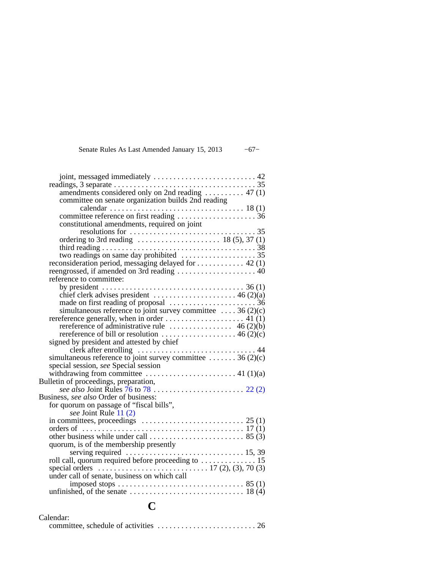## Senate Rules As Last Amended January 15, 2013 −67−

| amendments considered only on 2nd reading  47(1)                                                                                                                                                                                                                  |  |
|-------------------------------------------------------------------------------------------------------------------------------------------------------------------------------------------------------------------------------------------------------------------|--|
| committee on senate organization builds 2nd reading                                                                                                                                                                                                               |  |
|                                                                                                                                                                                                                                                                   |  |
|                                                                                                                                                                                                                                                                   |  |
| constitutional amendments, required on joint                                                                                                                                                                                                                      |  |
| $resolutions for \ldots \ldots \ldots \ldots \ldots \ldots \ldots \ldots \ldots \ldots \ldots \ldots 35$                                                                                                                                                          |  |
|                                                                                                                                                                                                                                                                   |  |
|                                                                                                                                                                                                                                                                   |  |
|                                                                                                                                                                                                                                                                   |  |
| reconsideration period, messaging delayed for  42 (1)                                                                                                                                                                                                             |  |
|                                                                                                                                                                                                                                                                   |  |
| reference to committee:                                                                                                                                                                                                                                           |  |
|                                                                                                                                                                                                                                                                   |  |
| chief clerk advises president $\dots \dots \dots \dots \dots \dots \dots \dots$ 46 (2)(a)                                                                                                                                                                         |  |
|                                                                                                                                                                                                                                                                   |  |
| simultaneous reference to joint survey committee $\dots$ 36 (2)(c)                                                                                                                                                                                                |  |
|                                                                                                                                                                                                                                                                   |  |
| rereference of administrative rule $\dots\dots\dots\dots\dots$ 46 (2)(b)                                                                                                                                                                                          |  |
| rereference of bill or resolution $\dots \dots \dots \dots \dots \dots \dots$ 46 (2)(c)                                                                                                                                                                           |  |
| signed by president and attested by chief                                                                                                                                                                                                                         |  |
|                                                                                                                                                                                                                                                                   |  |
| simultaneous reference to joint survey committee  36 (2)(c)                                                                                                                                                                                                       |  |
| special session, see Special session                                                                                                                                                                                                                              |  |
| withdrawing from committee $\dots \dots \dots \dots \dots \dots \dots$ 41 (1)(a)                                                                                                                                                                                  |  |
| Bulletin of proceedings, preparation,                                                                                                                                                                                                                             |  |
|                                                                                                                                                                                                                                                                   |  |
| Business, see also Order of business:                                                                                                                                                                                                                             |  |
| for quorum on passage of "fiscal bills",                                                                                                                                                                                                                          |  |
| see Joint Rule 11 (2)                                                                                                                                                                                                                                             |  |
|                                                                                                                                                                                                                                                                   |  |
| orders of $\ldots$ is a set of $\ldots$ is a set of $\ldots$ is a set of $\ldots$ is a set of $\ldots$ is a set of $\ldots$ is a set of $\ldots$ is a set of $\ldots$ is a set of $\ldots$ is a set of $\ldots$ is a set of $\ldots$ is a set of $\ldots$ is a se |  |
|                                                                                                                                                                                                                                                                   |  |
|                                                                                                                                                                                                                                                                   |  |
|                                                                                                                                                                                                                                                                   |  |
| roll call, quorum required before proceeding to $\dots \dots \dots \dots 15$<br>special orders $\dots \dots \dots \dots \dots \dots \dots \dots \dots 17$ (2), (3), 70 (3)                                                                                        |  |
|                                                                                                                                                                                                                                                                   |  |
| under call of senate, business on which call                                                                                                                                                                                                                      |  |
|                                                                                                                                                                                                                                                                   |  |
|                                                                                                                                                                                                                                                                   |  |

# **C**

| Calendar: |  |
|-----------|--|
|           |  |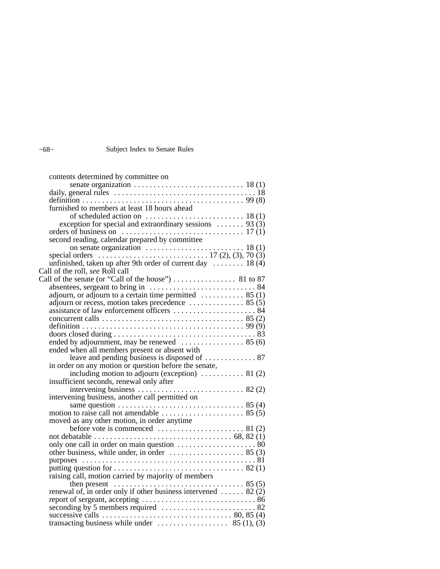## −68− Subject Index to Senate Rules

| contents determined by committee on                                                                        |  |  |
|------------------------------------------------------------------------------------------------------------|--|--|
|                                                                                                            |  |  |
|                                                                                                            |  |  |
|                                                                                                            |  |  |
| furnished to members at least 18 hours ahead                                                               |  |  |
| of scheduled action on $\ldots \ldots \ldots \ldots \ldots \ldots \ldots$ 18(1)                            |  |  |
| exception for special and extraordinary sessions $\ldots \ldots$ 93 (3)                                    |  |  |
|                                                                                                            |  |  |
| second reading, calendar prepared by committee                                                             |  |  |
|                                                                                                            |  |  |
| special orders $\ldots$ $\ldots$ $\ldots$ $17(2), (3), 70(3)$                                              |  |  |
| unfinished, taken up after 9th order of current day  18 (4)                                                |  |  |
| Call of the roll, see Roll call                                                                            |  |  |
|                                                                                                            |  |  |
|                                                                                                            |  |  |
| adjourn, or adjourn to a certain time permitted  85 (1)                                                    |  |  |
|                                                                                                            |  |  |
|                                                                                                            |  |  |
|                                                                                                            |  |  |
|                                                                                                            |  |  |
|                                                                                                            |  |  |
| ended by adjournment, may be renewed $\dots\dots\dots\dots\dots$ 85 (6)                                    |  |  |
| ended when all members present or absent with                                                              |  |  |
| leave and pending business is disposed of  87<br>in order on any motion or question before the senate,     |  |  |
| including motion to adjourn (exception) $\dots$ 81 (2)                                                     |  |  |
|                                                                                                            |  |  |
|                                                                                                            |  |  |
| intervening business, another call permitted on                                                            |  |  |
| same question $\ldots \ldots \ldots \ldots \ldots \ldots \ldots \ldots \ldots \ldots \ldots \ldots$ 85 (4) |  |  |
|                                                                                                            |  |  |
| moved as any other motion, in order anytime                                                                |  |  |
|                                                                                                            |  |  |
|                                                                                                            |  |  |
|                                                                                                            |  |  |
|                                                                                                            |  |  |
|                                                                                                            |  |  |
|                                                                                                            |  |  |
| raising call, motion carried by majority of members                                                        |  |  |
|                                                                                                            |  |  |
| renewal of, in order only if other business intervened  82 (2)                                             |  |  |
|                                                                                                            |  |  |
|                                                                                                            |  |  |
|                                                                                                            |  |  |
|                                                                                                            |  |  |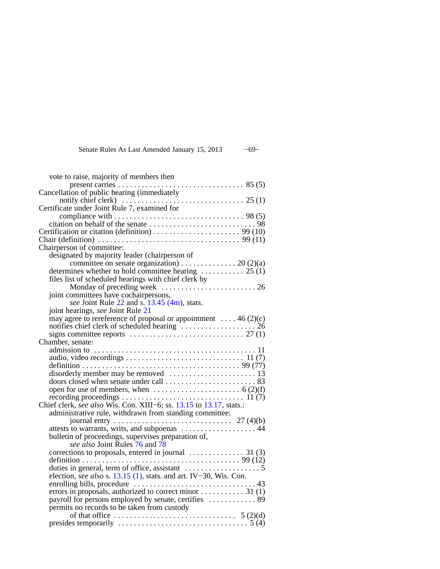Senate Rules As Last Amended January 15, 2013 −69−

| vote to raise, majority of members then                                                                          |
|------------------------------------------------------------------------------------------------------------------|
|                                                                                                                  |
| Cancellation of public hearing (immediately                                                                      |
|                                                                                                                  |
| Certificate under Joint Rule 7, examined for                                                                     |
|                                                                                                                  |
|                                                                                                                  |
|                                                                                                                  |
| Chair (definition) $\ldots \ldots \ldots \ldots \ldots \ldots \ldots \ldots \ldots \ldots \ldots \ldots$ 99 (11) |
| Chairperson of committee:                                                                                        |
| designated by majority leader (chairperson of                                                                    |
| committee on senate organization) 20 (2)(a)                                                                      |
| determines whether to hold committee hearing $\dots \dots \dots \dots \dots$ 25 (1)                              |
| files list of scheduled hearings with chief clerk by                                                             |
|                                                                                                                  |
| joint committees have cochairpersons,                                                                            |
| see Joint Rule 22 and s. 13.45 (4m), stats.                                                                      |
| joint hearings, see Joint Rule 21                                                                                |
|                                                                                                                  |
| may agree to rereference of proposal or appointment  46 (2)(c) notifies chief clerk of scheduled hearing  26     |
|                                                                                                                  |
| Chamber, senate:                                                                                                 |
|                                                                                                                  |
|                                                                                                                  |
|                                                                                                                  |
|                                                                                                                  |
|                                                                                                                  |
| open for use of members, when $\dots \dots \dots \dots \dots \dots \dots$ 6 (2)(f)                               |
|                                                                                                                  |
| Chief clerk, see also Wis. Con. XIII–6; ss. 13.15 to 13.17, stats.:                                              |
| administrative rule, withdrawn from standing committee:                                                          |
|                                                                                                                  |
| attests to warrants, writs, and subpoenas  44                                                                    |
| bulletin of proceedings, supervises preparation of,                                                              |
| see also Joint Rules 76 and 78                                                                                   |
|                                                                                                                  |
|                                                                                                                  |
| duties in general, term of office, assistant $\dots \dots \dots \dots \dots$                                     |
| election, see also s. 13.15 (1), stats. and art. IV-30, Wis. Con.                                                |
|                                                                                                                  |
|                                                                                                                  |
| payroll for persons employed by senate, certifies  89                                                            |
| permits no records to be taken from custody                                                                      |
|                                                                                                                  |
| presides temporarily $\dots \dots \dots \dots \dots \dots \dots \dots \dots \dots \dots$ 5 (4)                   |
|                                                                                                                  |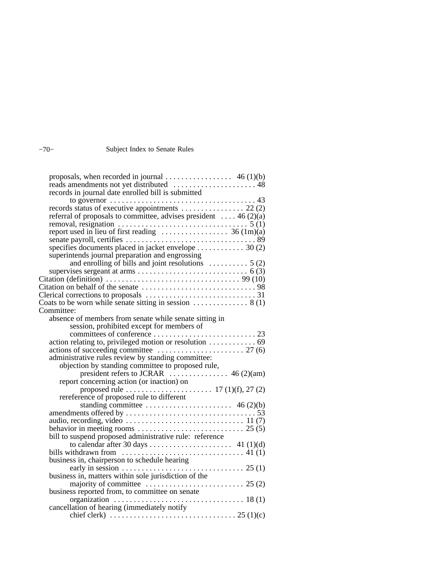## −70− Subject Index to Senate Rules

| records in journal date enrolled bill is submitted                                                           |  |
|--------------------------------------------------------------------------------------------------------------|--|
|                                                                                                              |  |
| records status of executive appointments  22 (2)                                                             |  |
| referral of proposals to committee, advises president $\dots$ 46 (2)(a)                                      |  |
|                                                                                                              |  |
| report used in lieu of first reading $\ldots \ldots \ldots \ldots \ldots$ 36 (1m)(a)                         |  |
| specifies documents placed in jacket envelope 30 (2)                                                         |  |
| superintends journal preparation and engrossing                                                              |  |
| and enrolling of bills and joint resolutions $\dots \dots \dots$ 5 (2)                                       |  |
|                                                                                                              |  |
| Citation (definition) $\ldots \ldots \ldots \ldots \ldots \ldots \ldots \ldots \ldots \ldots \ldots$ 99 (10) |  |
|                                                                                                              |  |
|                                                                                                              |  |
|                                                                                                              |  |
| Committee:                                                                                                   |  |
| absence of members from senate while senate sitting in                                                       |  |
| session, prohibited except for members of                                                                    |  |
|                                                                                                              |  |
| action relating to, privileged motion or resolution 69                                                       |  |
|                                                                                                              |  |
| administrative rules review by standing committee:                                                           |  |
| objection by standing committee to proposed rule,                                                            |  |
| president refers to JCRAR $\ldots$ $\ldots$ 46 (2)(am)                                                       |  |
| report concerning action (or inaction) on                                                                    |  |
|                                                                                                              |  |
| rereference of proposed rule to different                                                                    |  |
|                                                                                                              |  |
|                                                                                                              |  |
|                                                                                                              |  |
|                                                                                                              |  |
| bill to suspend proposed administrative rule: reference                                                      |  |
|                                                                                                              |  |
| bills withdrawn from $\ldots \ldots \ldots \ldots \ldots \ldots \ldots \ldots \ldots$ 41 (1)                 |  |
| business in, chairperson to schedule hearing                                                                 |  |
|                                                                                                              |  |
| business in, matters within sole jurisdiction of the                                                         |  |
|                                                                                                              |  |
| business reported from, to committee on senate                                                               |  |
|                                                                                                              |  |
| cancellation of hearing (immediately notify                                                                  |  |
|                                                                                                              |  |
|                                                                                                              |  |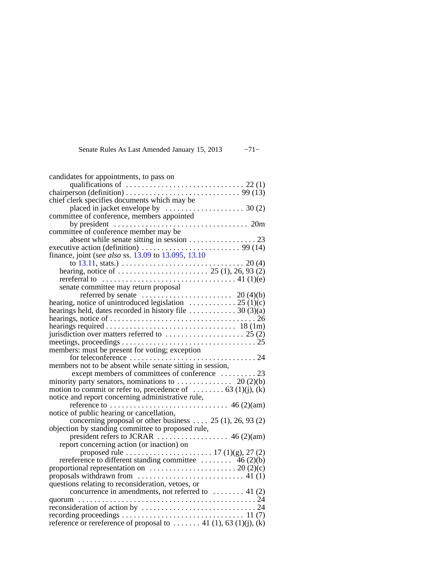Senate Rules As Last Amended January 15, 2013 −71−

| candidates for appointments, to pass on                                                                 |
|---------------------------------------------------------------------------------------------------------|
| qualifications of $\ldots \ldots \ldots \ldots \ldots \ldots \ldots \ldots \ldots \ldots$ 22 (1)        |
| chairperson (definition) $\ldots \ldots \ldots \ldots \ldots \ldots \ldots \ldots \ldots$ 99 (13)       |
| chief clerk specifies documents which may be                                                            |
| placed in jacket envelope by $\dots \dots \dots \dots \dots \dots \dots$ 30 (2)                         |
| committee of conference, members appointed                                                              |
| . 20m                                                                                                   |
|                                                                                                         |
|                                                                                                         |
|                                                                                                         |
| executive action (definition) $\ldots$ (14) finance, joint (see also ss. 13.09 to 13.095, 13.10)        |
|                                                                                                         |
|                                                                                                         |
| rereferral to $\dots \dots \dots \dots \dots \dots \dots \dots \dots \dots \dots \dots \dots$ 41 (1)(e) |
| senate committee may return proposal                                                                    |
| referred by senate $\dots \dots \dots \dots \dots \dots \dots \dots$ 20 (4)(b)                          |
| hearing, notice of unintroduced legislation $\dots \dots \dots \dots \dots 25$ (1)(c)                   |
| hearings held, dates recorded in history file $\dots \dots \dots \dots 30$ (3)(a)                       |
|                                                                                                         |
|                                                                                                         |
|                                                                                                         |
|                                                                                                         |
|                                                                                                         |
|                                                                                                         |
| members: must be present for voting; exception                                                          |
| . 24<br>for teleconference                                                                              |
| members not to be absent while senate sitting in session,                                               |
|                                                                                                         |
| minority party senators, nominations to $\dots\dots\dots\dots$ 20 (2)(b)                                |
| motion to commit or refer to, precedence of $\dots \dots \dots$ 63 (1)(j), (k)                          |
|                                                                                                         |
|                                                                                                         |
| notice of public hearing or cancellation,                                                               |
| concerning proposal or other business $25(1)$ , 26, 93(2)                                               |
| objection by standing committee to proposed rule,                                                       |
|                                                                                                         |
| report concerning action (or inaction) on                                                               |
| proposed rule $\dots \dots \dots \dots \dots \dots \dots 17(1)(g)$ , 27(2)                              |
|                                                                                                         |
|                                                                                                         |
| proposals withdrawn from $\dots\dots\dots\dots\dots\dots\dots\dots$ 41 (1)                              |
| questions relating to reconsideration, vetoes, or                                                       |
| concurrence in amendments, not referred to $\dots \dots$ 41 (2)                                         |
|                                                                                                         |
|                                                                                                         |
| reference or rereference of proposal to  41 (1), 63 (1)(j), (k)                                         |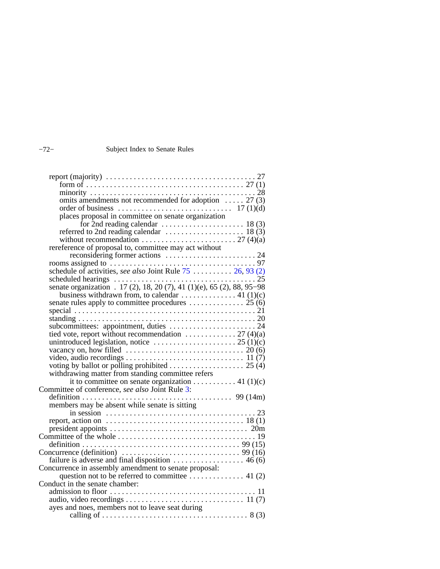## −72− Subject Index to Senate Rules

| omits amendments not recommended for adoption $\dots$ 27 (3)                                                                                            |  |
|---------------------------------------------------------------------------------------------------------------------------------------------------------|--|
|                                                                                                                                                         |  |
|                                                                                                                                                         |  |
|                                                                                                                                                         |  |
|                                                                                                                                                         |  |
| without recommendation $\ldots \ldots \ldots \ldots \ldots \ldots \ldots \ldots$ 27 (4)(a)                                                              |  |
| rereference of proposal to, committee may act without                                                                                                   |  |
|                                                                                                                                                         |  |
|                                                                                                                                                         |  |
| schedule of activities, see also Joint Rule $75$ 26, 93 (2)                                                                                             |  |
|                                                                                                                                                         |  |
| senate organization . 17 (2), 18, 20 (7), 41 (1)(e), 65 (2), 88, 95-98                                                                                  |  |
|                                                                                                                                                         |  |
|                                                                                                                                                         |  |
|                                                                                                                                                         |  |
|                                                                                                                                                         |  |
| subcommittees: appointment, duties  24                                                                                                                  |  |
|                                                                                                                                                         |  |
| tied vote, report without recommendation $\ldots$ $\ldots$ $\ldots$ $27$ (4)(a) unintroduced legislation, notice $\ldots$ $\ldots$ $\ldots$ $25$ (1)(c) |  |
|                                                                                                                                                         |  |
|                                                                                                                                                         |  |
|                                                                                                                                                         |  |
| withdrawing matter from standing committee refers                                                                                                       |  |
| it to committee on senate organization 41 (1)(c)                                                                                                        |  |
| Committee of conference, see also Joint Rule 3:                                                                                                         |  |
|                                                                                                                                                         |  |
| members may be absent while senate is sitting                                                                                                           |  |
| in session $\ldots \ldots \ldots \ldots \ldots \ldots \ldots \ldots \ldots \ldots \ldots \ldots \ldots$                                                 |  |
|                                                                                                                                                         |  |
|                                                                                                                                                         |  |
|                                                                                                                                                         |  |
| Concurrence (definition) $\ldots \ldots \ldots \ldots \ldots \ldots \ldots \ldots \ldots$ 99 (16)                                                       |  |
|                                                                                                                                                         |  |
| failure is adverse and final disposition $\dots \dots \dots \dots \dots \dots$ 46 (6)                                                                   |  |
| Concurrence in assembly amendment to senate proposal:                                                                                                   |  |
| Conduct in the senate chamber:                                                                                                                          |  |
|                                                                                                                                                         |  |
|                                                                                                                                                         |  |
| ayes and noes, members not to leave seat during                                                                                                         |  |
|                                                                                                                                                         |  |
|                                                                                                                                                         |  |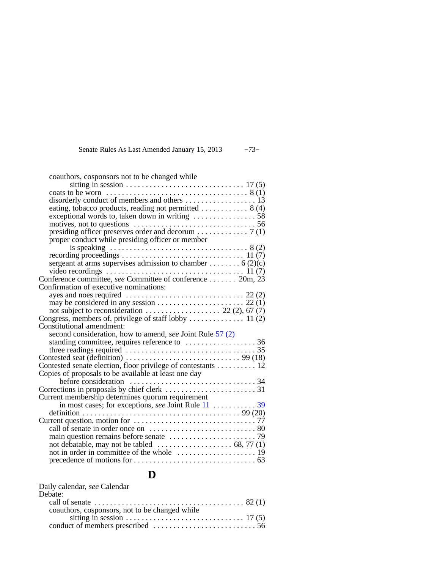#### Senate Rules As Last Amended January 15, 2013 −73−

| coauthors, cosponsors not to be changed while                                                      |
|----------------------------------------------------------------------------------------------------|
|                                                                                                    |
|                                                                                                    |
| disorderly conduct of members and others 13                                                        |
|                                                                                                    |
|                                                                                                    |
| motives, not to questions $\dots \dots \dots \dots \dots \dots \dots \dots \dots \dots \dots 56$   |
|                                                                                                    |
| proper conduct while presiding officer or member                                                   |
|                                                                                                    |
|                                                                                                    |
| sergeant at arms supervises admission to chamber 6 (2)(c)                                          |
|                                                                                                    |
| Conference committee, see Committee of conference 20m, 23                                          |
| Confirmation of executive nominations:                                                             |
|                                                                                                    |
|                                                                                                    |
|                                                                                                    |
|                                                                                                    |
| Constitutional amendment:                                                                          |
| second consideration, how to amend, see Joint Rule 57 (2)                                          |
|                                                                                                    |
| three readings required $\ldots \ldots \ldots \ldots \ldots \ldots \ldots \ldots \ldots \ldots$ 35 |
| Contested seat (definition) $\dots \dots \dots \dots \dots \dots \dots \dots \dots \dots$ 99 (18)  |
| Contested senate election, floor privilege of contestants 12                                       |
| Copies of proposals to be available at least one day                                               |
|                                                                                                    |
|                                                                                                    |
| Current membership determines quorum requirement                                                   |
|                                                                                                    |
|                                                                                                    |
|                                                                                                    |
|                                                                                                    |
|                                                                                                    |
|                                                                                                    |
|                                                                                                    |
|                                                                                                    |
|                                                                                                    |

### **D**

| Daily calendar, see Calendar                                                                                 |  |
|--------------------------------------------------------------------------------------------------------------|--|
| Debate:                                                                                                      |  |
| call of senate $\dots \dots \dots \dots \dots \dots \dots \dots \dots \dots \dots \dots \dots \dots \ 82(1)$ |  |
| coauthors, cosponsors, not to be changed while                                                               |  |
|                                                                                                              |  |
|                                                                                                              |  |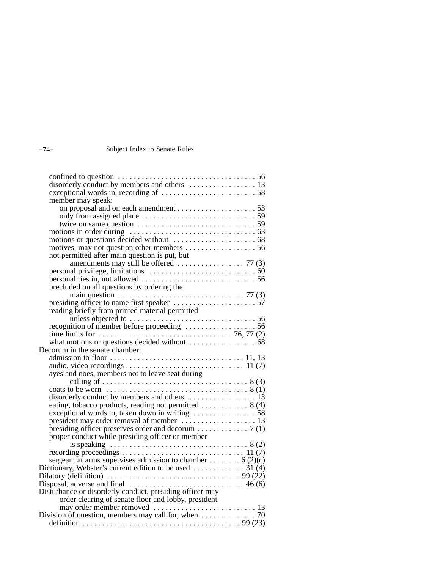#### −74− Subject Index to Senate Rules

| disorderly conduct by members and others  13                                                                                |
|-----------------------------------------------------------------------------------------------------------------------------|
|                                                                                                                             |
| member may speak:                                                                                                           |
|                                                                                                                             |
|                                                                                                                             |
|                                                                                                                             |
| only from assigned place<br>twice on same question<br>motions in order during<br>motions or questions decided without<br>68 |
|                                                                                                                             |
|                                                                                                                             |
| not permitted after main question is put, but                                                                               |
|                                                                                                                             |
|                                                                                                                             |
|                                                                                                                             |
| precluded on all questions by ordering the                                                                                  |
|                                                                                                                             |
|                                                                                                                             |
| reading briefly from printed material permitted                                                                             |
|                                                                                                                             |
|                                                                                                                             |
|                                                                                                                             |
|                                                                                                                             |
| Decorum in the senate chamber:                                                                                              |
|                                                                                                                             |
|                                                                                                                             |
| ayes and noes, members not to leave seat during                                                                             |
|                                                                                                                             |
|                                                                                                                             |
|                                                                                                                             |
| eating, tobacco products, reading not permitted  8 (4)                                                                      |
|                                                                                                                             |
|                                                                                                                             |
|                                                                                                                             |
| proper conduct while presiding officer or member                                                                            |
|                                                                                                                             |
|                                                                                                                             |
| sergeant at arms supervises admission to chamber  6 (2)(c)                                                                  |
| Dictionary, Webster's current edition to be used  31 (4)                                                                    |
| Dilatory (definition) $\ldots \ldots \ldots \ldots \ldots \ldots \ldots \ldots \ldots \ldots$ 99 (22)                       |
|                                                                                                                             |
| Disturbance or disorderly conduct, presiding officer may                                                                    |
| order clearing of senate floor and lobby, president                                                                         |
|                                                                                                                             |
|                                                                                                                             |
|                                                                                                                             |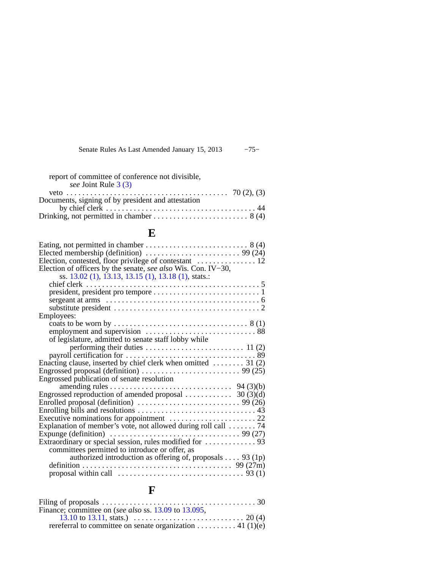Senate Rules As Last Amended January 15, 2013 −75−

report of committee of conference not divisible, *see* Joint Rule [3 \(3\)](https://docs.legis.wisconsin.gov/document/legislativerules/2013/jr3(3))

| Documents, signing of by president and attestation |  |
|----------------------------------------------------|--|
|                                                    |  |
|                                                    |  |

### **E**

| Eating, not permitted in chamber $\dots \dots \dots \dots \dots \dots \dots \dots \dots$ 8 (4)              |
|-------------------------------------------------------------------------------------------------------------|
|                                                                                                             |
| Election of officers by the senate, see also Wis. Con. IV-30,                                               |
| ss. 13.02 (1), 13.13, 13.15 (1), 13.18 (1), stats.:                                                         |
|                                                                                                             |
|                                                                                                             |
|                                                                                                             |
|                                                                                                             |
| Employees:                                                                                                  |
|                                                                                                             |
|                                                                                                             |
| of legislature, admitted to senate staff lobby while                                                        |
|                                                                                                             |
|                                                                                                             |
| Enacting clause, inserted by chief clerk when omitted $\dots \dots$ 31 (2)                                  |
| Engrossed proposal (definition) $\dots \dots \dots \dots \dots \dots \dots \dots$ 99 (25)                   |
| Engrossed publication of senate resolution                                                                  |
|                                                                                                             |
|                                                                                                             |
|                                                                                                             |
|                                                                                                             |
|                                                                                                             |
| Explanation of member's vote, not allowed during roll call  74                                              |
| Expunge (definition) $\ldots \ldots \ldots \ldots \ldots \ldots \ldots \ldots \ldots \ldots \ldots$ 99 (27) |
|                                                                                                             |
| committees permitted to introduce or offer, as                                                              |
| authorized introduction as offering of, proposals $\dots$ 93 (1p)                                           |
|                                                                                                             |
|                                                                                                             |

## **F**

| Filing of proposals $\ldots \ldots \ldots \ldots \ldots \ldots \ldots \ldots \ldots \ldots \ldots \ldots \ldots 30$  |  |
|----------------------------------------------------------------------------------------------------------------------|--|
| Finance; committee on (see also ss. 13.09 to 13.095,                                                                 |  |
| 13.10 to 13.11, stats.) $\ldots \ldots \ldots \ldots \ldots \ldots \ldots \ldots \ldots \ldots \ldots \ldots$ 20 (4) |  |
| referral to committee on senate organization 41 (1)(e)                                                               |  |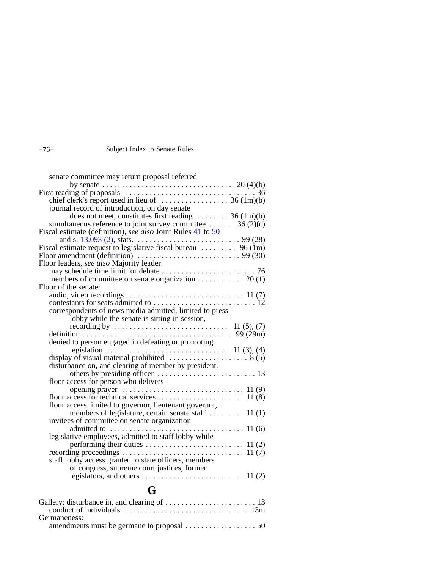### −76− Subject Index to Senate Rules

| senate committee may return proposal referred                            |
|--------------------------------------------------------------------------|
|                                                                          |
|                                                                          |
|                                                                          |
| journal record of introduction, on day senate                            |
| does not meet, constitutes first reading  36 (1m)(b)                     |
| simultaneous reference to joint survey committee $\dots \dots$ 36 (2)(c) |
| Fiscal estimate (definition), see also Joint Rules 41 to 50              |
|                                                                          |
| Fiscal estimate request to legislative fiscal bureau  96 (1m)            |
|                                                                          |
| Floor leaders, see also Majority leader:                                 |
|                                                                          |
| members of committee on senate organization 20 (1)                       |
| Floor of the senate:                                                     |
|                                                                          |
|                                                                          |
| correspondents of news media admitted, limited to press                  |
| lobby while the senate is sitting in session,                            |
|                                                                          |
|                                                                          |
| denied to person engaged in defeating or promoting                       |
|                                                                          |
|                                                                          |
| disturbance on, and clearing of member by president,                     |
|                                                                          |
| floor access for person who delivers                                     |
|                                                                          |
|                                                                          |
| floor access limited to governor, lieutenant governor,                   |
| members of legislature, certain senate staff  11 (1)                     |
| invitees of committee on senate organization                             |
|                                                                          |
| legislative employees, admitted to staff lobby while                     |
|                                                                          |
|                                                                          |
| staff lobby access granted to state officers, members                    |
| of congress, supreme court justices, former                              |
|                                                                          |

## **G**

| Germaneness: |  |
|--------------|--|
|              |  |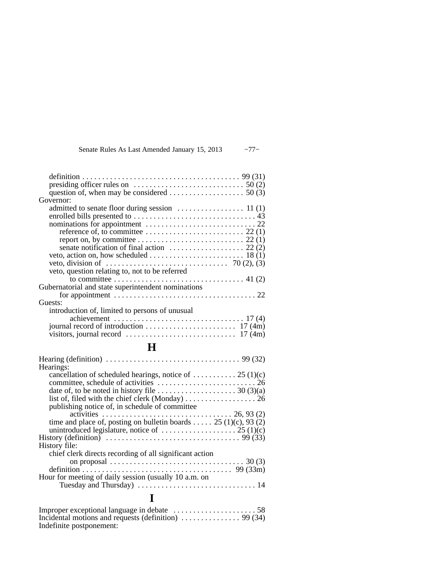| Senate Rules As Last Amended January 15, 2013 | $-77-$ |
|-----------------------------------------------|--------|
|-----------------------------------------------|--------|

| Governor:                                                                                         |
|---------------------------------------------------------------------------------------------------|
|                                                                                                   |
|                                                                                                   |
|                                                                                                   |
| reference of, to committee $\dots \dots \dots \dots \dots \dots \dots \dots \dots \dots 22(1)$    |
|                                                                                                   |
| senate notification of final action $\dots \dots \dots \dots \dots \dots 22(2)$                   |
|                                                                                                   |
|                                                                                                   |
| veto, question relating to, not to be referred                                                    |
|                                                                                                   |
| Gubernatorial and state superintendent nominations                                                |
|                                                                                                   |
| Guests:                                                                                           |
| introduction of, limited to persons of unusual                                                    |
| achievement $\ldots \ldots \ldots \ldots \ldots \ldots \ldots \ldots \ldots \ldots \ldots$ 17 (4) |
|                                                                                                   |
|                                                                                                   |
|                                                                                                   |
| H.                                                                                                |
|                                                                                                   |
| Hearings:                                                                                         |
| cancellation of scheduled hearings, notice of  25 (1)(c)                                          |
|                                                                                                   |
| date of, to be noted in history file $\dots \dots \dots \dots \dots \dots \dots$ 30 (3)(a)        |
|                                                                                                   |
| publishing notice of, in schedule of committee                                                    |
|                                                                                                   |
| time and place of, posting on bulletin boards 25 (1)(c), 93 (2)                                   |
| unintroduced legislature, notice of $\dots \dots \dots \dots \dots \dots \dots 25$ (1)(c)         |
|                                                                                                   |
| History file:                                                                                     |

| chief clerk directs recording of all significant action                                                  |  |
|----------------------------------------------------------------------------------------------------------|--|
| on proposal $\ldots \ldots \ldots \ldots \ldots \ldots \ldots \ldots \ldots \ldots \ldots \ldots$ 30 (3) |  |
|                                                                                                          |  |
| Hour for meeting of daily session (usually 10 a.m. on                                                    |  |
|                                                                                                          |  |

# **I**

| Incidental motions and requests (definition) $\ldots \ldots \ldots \ldots$ 99 (34) |  |
|------------------------------------------------------------------------------------|--|
| Indefinite postponement:                                                           |  |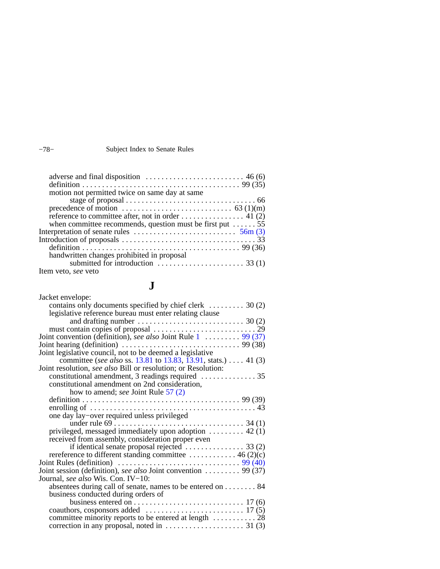#### Subject Index to Senate Rules

| definition $\ldots \ldots \ldots \ldots \ldots \ldots \ldots \ldots \ldots \ldots \ldots \ldots \ldots$ 99 (35) |  |
|-----------------------------------------------------------------------------------------------------------------|--|
| motion not permitted twice on same day at same                                                                  |  |
|                                                                                                                 |  |
| precedence of motion $\dots \dots \dots \dots \dots \dots \dots \dots \dots$ 63 (1)(m)                          |  |
|                                                                                                                 |  |
| when committee recommends, question must be first put $\dots \dots 55$                                          |  |
| Interpretation of senate rules $\dots \dots \dots \dots \dots \dots \dots \dots$ 56m (3)                        |  |
|                                                                                                                 |  |
|                                                                                                                 |  |
| handwritten changes prohibited in proposal                                                                      |  |
| submitted for introduction $\ldots \ldots \ldots \ldots \ldots \ldots$ 33 (1)                                   |  |
| Item veto, see veto                                                                                             |  |

## **J**

| Jacket envelope:                                                                                    |
|-----------------------------------------------------------------------------------------------------|
| contains only documents specified by chief clerk $\dots \dots \dots$ 30 (2)                         |
| legislative reference bureau must enter relating clause                                             |
| and drafting number $\ldots \ldots \ldots \ldots \ldots \ldots \ldots \ldots \ldots$ 30 (2)         |
|                                                                                                     |
| Joint convention (definition), see also Joint Rule 1 $\ldots$ 99 (37)                               |
| Joint hearing (definition) $\ldots \ldots \ldots \ldots \ldots \ldots \ldots \ldots \ldots$ 99 (38) |
| Joint legislative council, not to be deemed a legislative                                           |
| committee (see also ss. 13.81 to 13.83, 13.91, stats.) 41 (3)                                       |
| Joint resolution, see also Bill or resolution; or Resolution:                                       |
| constitutional amendment, 3 readings required $\dots\dots\dots\dots35$                              |
| constitutional amendment on 2nd consideration,                                                      |
| how to amend; see Joint Rule 57 (2)                                                                 |
|                                                                                                     |
|                                                                                                     |
| one day lay-over required unless privileged                                                         |
|                                                                                                     |
| privileged, messaged immediately upon adoption $\dots \dots \dots$ 42 (1)                           |
| received from assembly, consideration proper even                                                   |
|                                                                                                     |
| rereference to different standing committee $\dots \dots \dots \dots$ 46 (2)(c)                     |
|                                                                                                     |
| Joint session (definition), see also Joint convention  99 (37)                                      |
| Journal, see also Wis. Con. IV-10:                                                                  |
| absentees during call of senate, names to be entered on 84                                          |
| business conducted during orders of                                                                 |
|                                                                                                     |
|                                                                                                     |
| committee minority reports to be entered at length  28                                              |
| correction in any proposal, noted in $\dots \dots \dots \dots \dots \dots$ 31 (3)                   |

|  | ___ |
|--|-----|
|  |     |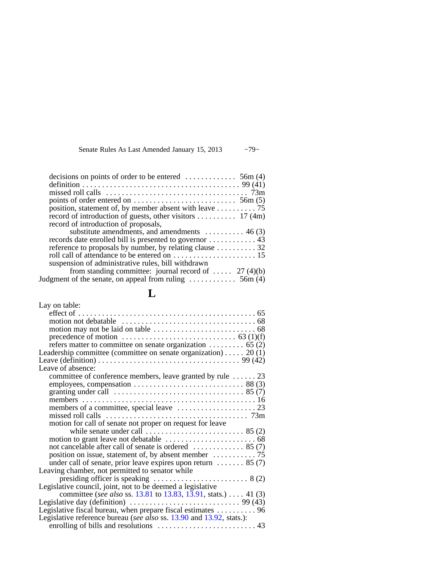|  |  | Senate Rules As Last Amended January 15, 2013 | $-79-$ |
|--|--|-----------------------------------------------|--------|
|--|--|-----------------------------------------------|--------|

| decisions on points of order to be entered $\dots \dots \dots \dots$ 56m (4)    |  |
|---------------------------------------------------------------------------------|--|
|                                                                                 |  |
|                                                                                 |  |
|                                                                                 |  |
| points of order entered on $\dots \dots \dots \dots \dots \dots \dots$ 56m (5)  |  |
|                                                                                 |  |
| record of introduction of guests, other visitors  17 (4m)                       |  |
| record of introduction of proposals,                                            |  |
| substitute amendments, and amendments $\dots \dots \dots$ 46 (3)                |  |
|                                                                                 |  |
| reference to proposals by number, by relating clause 32                         |  |
|                                                                                 |  |
| suspension of administrative rules, bill withdrawn                              |  |
| from standing committee: journal record of $27(4)(b)$                           |  |
| Judgment of the senate, on appeal from ruling $\dots \dots \dots \dots$ 56m (4) |  |
|                                                                                 |  |

### **L**

| Lay on table:                                                                                                                                 |
|-----------------------------------------------------------------------------------------------------------------------------------------------|
|                                                                                                                                               |
|                                                                                                                                               |
|                                                                                                                                               |
|                                                                                                                                               |
| refers matter to committee on senate organization 65 (2)                                                                                      |
| Leadership committee (committee on senate organization) 20 (1)                                                                                |
|                                                                                                                                               |
| Leave of absence:                                                                                                                             |
| committee of conference members, leave granted by rule  23                                                                                    |
|                                                                                                                                               |
|                                                                                                                                               |
|                                                                                                                                               |
|                                                                                                                                               |
|                                                                                                                                               |
| motion for call of senate not proper on request for leave                                                                                     |
|                                                                                                                                               |
| not cancelable after call of senate is ordered  85 (7)                                                                                        |
|                                                                                                                                               |
|                                                                                                                                               |
| under call of senate, prior leave expires upon return $\dots \dots$ 85 (7)                                                                    |
| Leaving chamber, not permitted to senator while                                                                                               |
| presiding officer is speaking $\dots \dots \dots \dots \dots \dots \dots$ 8 (2)<br>Legislative council, joint, not to be deemed a legislative |
| committee (see also ss. 13.81 to 13.83, 13.91, stats.)  41 (3)                                                                                |
| Legislative day (definition) $\ldots \ldots \ldots \ldots \ldots \ldots \ldots \ldots$ 99 (43)                                                |
| Legislative fiscal bureau, when prepare fiscal estimates  96                                                                                  |
| Legislative reference bureau (see also ss. 13.90 and 13.92, stats.):                                                                          |
|                                                                                                                                               |
|                                                                                                                                               |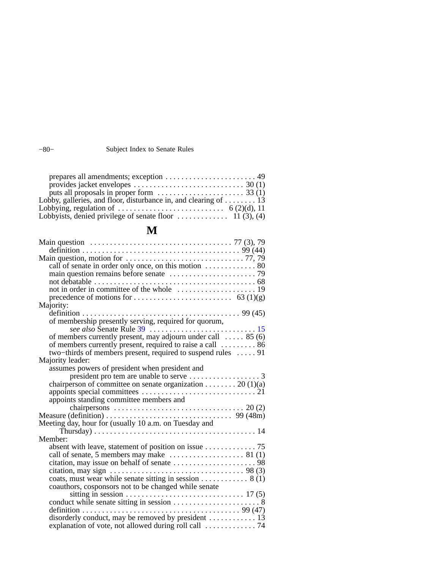−80− Subject Index to Senate Rules

| provides jacket envelopes $\dots \dots \dots \dots \dots \dots \dots \dots \dots \dots \dots$ 30 (1) |  |
|------------------------------------------------------------------------------------------------------|--|
| puts all proposals in proper form $\dots \dots \dots \dots \dots \dots \dots$ 33 (1)                 |  |
| Lobby, galleries, and floor, disturbance in, and clearing of $\dots \dots$ 13                        |  |
|                                                                                                      |  |
| Lobbyists, denied privilege of senate floor $\dots \dots \dots \dots \dots \dots$ 11 (3), (4)        |  |

## **M**

| Main question $\ldots \ldots \ldots \ldots \ldots \ldots \ldots \ldots \ldots \ldots \ldots \ldots \ldots$ 77 (3), 79 |
|-----------------------------------------------------------------------------------------------------------------------|
|                                                                                                                       |
|                                                                                                                       |
| call of senate in order only once, on this motion $\dots \dots \dots \dots$ 80                                        |
|                                                                                                                       |
|                                                                                                                       |
|                                                                                                                       |
|                                                                                                                       |
| Majority:                                                                                                             |
|                                                                                                                       |
| of membership presently serving, required for quorum,                                                                 |
|                                                                                                                       |
| of members currently present, may adjourn under call $\dots$ 85 (6)                                                   |
| of members currently present, required to raise a call  86                                                            |
| two-thirds of members present, required to suspend rules  91                                                          |
| Majority leader:                                                                                                      |
| assumes powers of president when president and                                                                        |
|                                                                                                                       |
| chairperson of committee on senate organization 20 (1)(a)                                                             |
|                                                                                                                       |
| appoints standing committee members and                                                                               |
| chairpersons $\ldots \ldots \ldots \ldots \ldots \ldots \ldots \ldots \ldots \ldots \ldots \ldots 20$ (2)             |
|                                                                                                                       |
| Meeting day, hour for (usually 10 a.m. on Tuesday and                                                                 |
| Thursday) $\ldots \ldots \ldots \ldots \ldots \ldots \ldots \ldots \ldots \ldots \ldots \ldots 14$                    |
| Member:                                                                                                               |
| absent with leave, statement of position on issue $\dots \dots \dots \dots$ 75                                        |
| call of senate, 5 members may make $\dots \dots \dots \dots \dots \dots$ 81 (1)                                       |
|                                                                                                                       |
|                                                                                                                       |
| coats, must wear while senate sitting in session $\dots \dots \dots \dots$ 8 (1)                                      |
| coauthors, cosponsors not to be changed while senate                                                                  |
|                                                                                                                       |
|                                                                                                                       |
|                                                                                                                       |
| disorderly conduct, may be removed by president  13                                                                   |
|                                                                                                                       |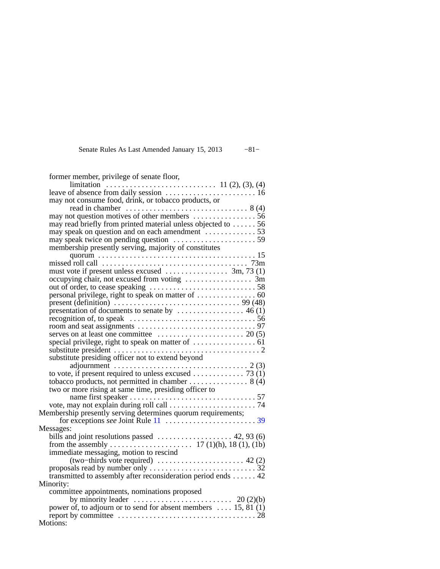#### Senate Rules As Last Amended January 15, 2013 −81−

| former member, privilege of senate floor,                                                                                                             |
|-------------------------------------------------------------------------------------------------------------------------------------------------------|
| limitation $\ldots$ is a set of absence from daily session $\ldots$ and $\ldots$ is a set of absence from daily session $\ldots$ is a set of $\ldots$ |
|                                                                                                                                                       |
| may not consume food, drink, or tobacco products, or                                                                                                  |
|                                                                                                                                                       |
|                                                                                                                                                       |
| may read briefly from printed material unless objected to  56                                                                                         |
| may speak on question and on each amendment  53                                                                                                       |
|                                                                                                                                                       |
| membership presently serving, majority of constitutes                                                                                                 |
|                                                                                                                                                       |
|                                                                                                                                                       |
| must vote if present unless excused $\dots \dots \dots \dots$ 3m, 73 (1)                                                                              |
|                                                                                                                                                       |
|                                                                                                                                                       |
|                                                                                                                                                       |
| present (definition) $\ldots \ldots \ldots \ldots \ldots \ldots \ldots \ldots \ldots \ldots \ldots$ 99 (48)                                           |
| presentation of documents to senate by $\dots \dots \dots \dots \dots \dots$ 46 (1)                                                                   |
|                                                                                                                                                       |
|                                                                                                                                                       |
|                                                                                                                                                       |
|                                                                                                                                                       |
| substitute presiding officer not to extend beyond                                                                                                     |
| adjournment $\ldots \ldots \ldots \ldots \ldots \ldots \ldots \ldots \ldots \ldots \ldots \ldots \ldots$ 2 (3)                                        |
|                                                                                                                                                       |
|                                                                                                                                                       |
| two or more rising at same time, presiding officer to                                                                                                 |
|                                                                                                                                                       |
|                                                                                                                                                       |
| Membership presently serving determines quorum requirements;                                                                                          |
|                                                                                                                                                       |
| Messages:                                                                                                                                             |
| bills and joint resolutions passed  42, 93 (6)                                                                                                        |
|                                                                                                                                                       |
| immediate messaging, motion to rescind                                                                                                                |
|                                                                                                                                                       |
|                                                                                                                                                       |
| transmitted to assembly after reconsideration period ends  42                                                                                         |
| Minority:                                                                                                                                             |
| committee appointments, nominations proposed                                                                                                          |
| by minority leader $\ldots \ldots \ldots \ldots \ldots \ldots \ldots \ldots$ 20 (2)(b)                                                                |
| power of, to adjourn or to send for absent members  15, 81 (1)                                                                                        |
| Motions:                                                                                                                                              |
|                                                                                                                                                       |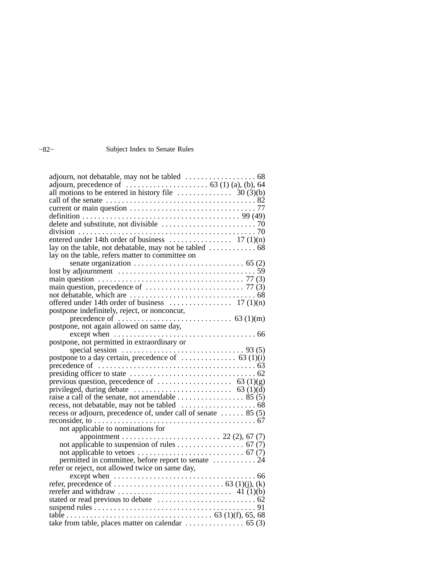### −82− Subject Index to Senate Rules

| adjourn, not debatable, may not be tabled $\dots \dots \dots \dots \dots \dots$ 68<br>adjourn, precedence of $\dots \dots \dots \dots \dots \dots \dots$ 63 (1) (a), (b), 64 |  |
|------------------------------------------------------------------------------------------------------------------------------------------------------------------------------|--|
|                                                                                                                                                                              |  |
| all motions to be entered in history file $\ldots \ldots \ldots \ldots \ldots$ 30 (3)(b)                                                                                     |  |
|                                                                                                                                                                              |  |
|                                                                                                                                                                              |  |
|                                                                                                                                                                              |  |
|                                                                                                                                                                              |  |
|                                                                                                                                                                              |  |
|                                                                                                                                                                              |  |
|                                                                                                                                                                              |  |
| lay on the table, refers matter to committee on                                                                                                                              |  |
|                                                                                                                                                                              |  |
|                                                                                                                                                                              |  |
| main question $\ldots \ldots \ldots \ldots \ldots \ldots \ldots \ldots \ldots \ldots \ldots \ldots$ 77 (3)                                                                   |  |
|                                                                                                                                                                              |  |
|                                                                                                                                                                              |  |
|                                                                                                                                                                              |  |
| postpone indefinitely, reject, or nonconcur,                                                                                                                                 |  |
|                                                                                                                                                                              |  |
|                                                                                                                                                                              |  |
|                                                                                                                                                                              |  |
| postpone, not permitted in extraordinary or                                                                                                                                  |  |
| special session $\ldots \ldots \ldots \ldots \ldots \ldots \ldots \ldots \ldots$ 93 (5)                                                                                      |  |
|                                                                                                                                                                              |  |
|                                                                                                                                                                              |  |
|                                                                                                                                                                              |  |
|                                                                                                                                                                              |  |
|                                                                                                                                                                              |  |
|                                                                                                                                                                              |  |
|                                                                                                                                                                              |  |
| recess or adjourn, precedence of, under call of senate  85 (5)                                                                                                               |  |
|                                                                                                                                                                              |  |
| not applicable to nominations for                                                                                                                                            |  |
|                                                                                                                                                                              |  |
|                                                                                                                                                                              |  |
|                                                                                                                                                                              |  |
| permitted in committee, before report to senate  24                                                                                                                          |  |
| refer or reject, not allowed twice on same day,                                                                                                                              |  |
|                                                                                                                                                                              |  |
|                                                                                                                                                                              |  |
|                                                                                                                                                                              |  |
|                                                                                                                                                                              |  |
|                                                                                                                                                                              |  |
|                                                                                                                                                                              |  |
| take from table, places matter on calendar $\dots \dots \dots \dots \dots$ 65 (3)                                                                                            |  |
|                                                                                                                                                                              |  |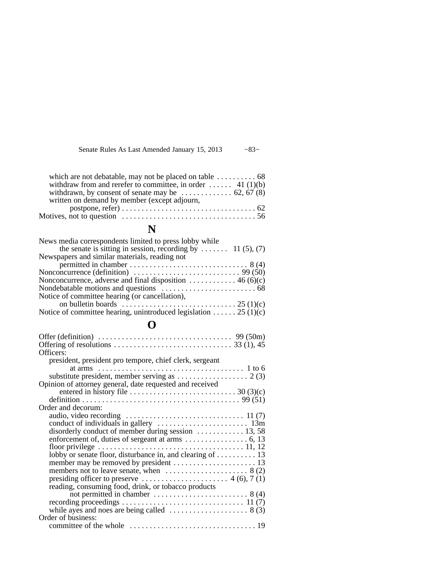Senate Rules As Last Amended January 15, 2013 −83−

| which are not debatable, may not be placed on table $\dots \dots \dots$ 68  |  |
|-----------------------------------------------------------------------------|--|
| withdraw from and rerefer to committee, in order  41 (1)(b)                 |  |
| withdrawn, by consent of senate may be $\dots \dots \dots \dots$ 62, 67 (8) |  |
| written on demand by member (except adjourn,                                |  |
|                                                                             |  |
|                                                                             |  |
|                                                                             |  |

## **N**

| News media correspondents limited to press lobby while                                      |
|---------------------------------------------------------------------------------------------|
| the senate is sitting in session, recording by  11 (5), (7)                                 |
| Newspapers and similar materials, reading not                                               |
|                                                                                             |
| Nonconcurrence (definition) $\dots \dots \dots \dots \dots \dots \dots \dots \dots$ 99 (50) |
| Nonconcurrence, adverse and final disposition $\dots \dots \dots \dots$ 46 (6)(c)           |
|                                                                                             |
| Notice of committee hearing (or cancellation),                                              |
|                                                                                             |
| Notice of committee hearing, unintroduced legislation 25 (1)(c)                             |

## **O**

| Offer (definition) $\ldots \ldots \ldots \ldots \ldots \ldots \ldots \ldots \ldots \ldots$ 99 (50m)               |
|-------------------------------------------------------------------------------------------------------------------|
|                                                                                                                   |
| Officers:                                                                                                         |
| president, president pro tempore, chief clerk, sergeant                                                           |
| at arms $\ldots \ldots \ldots \ldots \ldots \ldots \ldots \ldots \ldots \ldots \ldots \ldots \ldots \quad 1$ to 6 |
| substitute president, member serving as $\dots \dots \dots \dots \dots \dots$ 2(3)                                |
| Opinion of attorney general, date requested and received                                                          |
| entered in history file $\dots \dots \dots \dots \dots \dots \dots \dots \dots \dots 30$ (3)(c)                   |
|                                                                                                                   |
| Order and decorum:                                                                                                |
|                                                                                                                   |
|                                                                                                                   |
| disorderly conduct of member during session  13, 58                                                               |
|                                                                                                                   |
|                                                                                                                   |
| lobby or senate floor, disturbance in, and clearing of 13                                                         |
|                                                                                                                   |
| members not to leave senate, when $\dots \dots \dots \dots \dots \dots \dots$ 8 (2)                               |
|                                                                                                                   |
| reading, consuming food, drink, or tobacco products                                                               |
| not permitted in chamber $\dots \dots \dots \dots \dots \dots \dots \dots$ 8 (4)                                  |
|                                                                                                                   |
| while ayes and noes are being called $\dots \dots \dots \dots \dots \dots$ 8 (3)                                  |
| Order of business:                                                                                                |
|                                                                                                                   |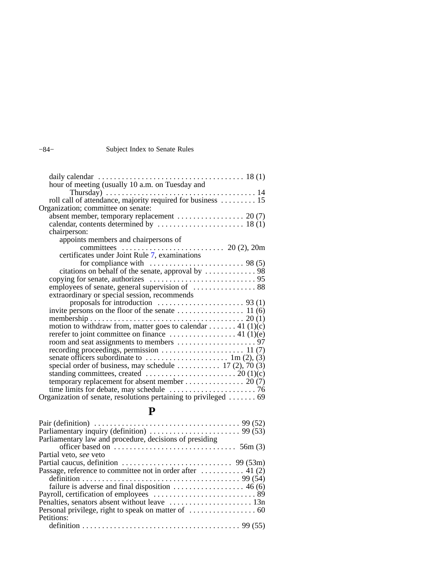#### −84− Subject Index to Senate Rules

| Thursday) $\ldots \ldots \ldots \ldots \ldots \ldots \ldots \ldots \ldots \ldots \ldots \ldots 14$                   |  |
|----------------------------------------------------------------------------------------------------------------------|--|
| roll call of attendance, majority required for business  15                                                          |  |
| Organization; committee on senate:                                                                                   |  |
| absent member, temporary replacement $\dots \dots \dots \dots \dots \dots$ 20 (7)                                    |  |
| calendar, contents determined by $\dots \dots \dots \dots \dots \dots \dots \dots \dots$ 18 (1)                      |  |
| chairperson:                                                                                                         |  |
| appoints members and chairpersons of                                                                                 |  |
|                                                                                                                      |  |
| certificates under Joint Rule 7, examinations                                                                        |  |
|                                                                                                                      |  |
|                                                                                                                      |  |
|                                                                                                                      |  |
|                                                                                                                      |  |
| extraordinary or special session, recommends                                                                         |  |
|                                                                                                                      |  |
|                                                                                                                      |  |
|                                                                                                                      |  |
| motion to withdraw from, matter goes to calendar 41 (1)(c)                                                           |  |
|                                                                                                                      |  |
| rerefer to joint committee on finance $\dots \dots \dots \dots \dots \dots$ 41 (1)(e)                                |  |
|                                                                                                                      |  |
|                                                                                                                      |  |
| senate officers subordinate to $\dots \dots \dots \dots \dots \dots \dots \dots \dots \dots \dots \dots$ 1m (2), (3) |  |
| special order of business, may schedule $\dots \dots \dots \dots 17$ (2), 70 (3)                                     |  |
| standing committees, created $\dots \dots \dots \dots \dots \dots \dots \dots \dots 20$ (1)(c)                       |  |
| temporary replacement for absent member 20 (7)                                                                       |  |
| time limits for debate, may schedule $\dots \dots \dots \dots \dots \dots \dots \dots$ 76                            |  |
| Organization of senate, resolutions pertaining to privileged $\dots \dots$ 69                                        |  |
|                                                                                                                      |  |

## **P**

| Parliamentary law and procedure, decisions of presiding                               |  |
|---------------------------------------------------------------------------------------|--|
|                                                                                       |  |
| Partial veto, see veto                                                                |  |
| Partial caucus, definition $\dots \dots \dots \dots \dots \dots \dots \dots$ 99 (53m) |  |
| Passage, reference to committee not in order after $\dots \dots \dots$ 41 (2)         |  |
|                                                                                       |  |
| failure is adverse and final disposition $\dots \dots \dots \dots \dots \dots$ 46 (6) |  |
|                                                                                       |  |
|                                                                                       |  |
|                                                                                       |  |
| Petitions:                                                                            |  |
|                                                                                       |  |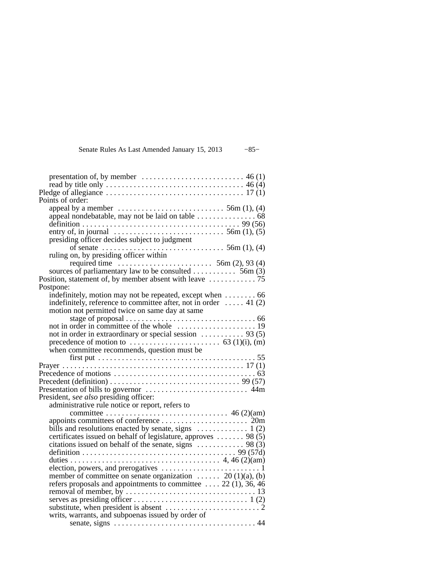| Senate Rules As Last Amended January 15, 2013 | $-85-$ |
|-----------------------------------------------|--------|
|-----------------------------------------------|--------|

| Points of order:                                                                                                   |
|--------------------------------------------------------------------------------------------------------------------|
| appeal by a member $\dots\dots\dots\dots\dots\dots\dots\dots\dots$ 56m (1), (4)                                    |
|                                                                                                                    |
|                                                                                                                    |
|                                                                                                                    |
| presiding officer decides subject to judgment                                                                      |
|                                                                                                                    |
| of senate $\dots$ $\dots$ $\dots$ $\dots$ $\dots$ $\dots$ $56m (1), (4)$<br>ruling on, by presiding officer within |
| required time $\dots \dots \dots \dots \dots \dots \dots$ 56m (2), 93 (4)                                          |
|                                                                                                                    |
|                                                                                                                    |
| Postpone:                                                                                                          |
| indefinitely, motion may not be repeated, except when $\dots \dots 66$                                             |
| indefinitely, reference to committee after, not in order $\dots$ 41 (2)                                            |
| motion not permitted twice on same day at same                                                                     |
|                                                                                                                    |
|                                                                                                                    |
| not in order in extraordinary or special session $\dots \dots \dots$ 93 (5)                                        |
| precedence of motion to $\dots \dots \dots \dots \dots \dots \dots$ 63 (1)(i), (m)                                 |
| when committee recommends, question must be                                                                        |
| first put $\dots \dots \dots \dots \dots \dots \dots \dots \dots \dots \dots \dots \dots \dots 55$                 |
|                                                                                                                    |
|                                                                                                                    |
| Precedent (definition) $\ldots \ldots \ldots \ldots \ldots \ldots \ldots \ldots \ldots \ldots$ 99 (57)             |
|                                                                                                                    |
| President, see also presiding officer:                                                                             |
| administrative rule notice or report, refers to                                                                    |
|                                                                                                                    |
|                                                                                                                    |
| bills and resolutions enacted by senate, signs $\dots \dots \dots \dots \dots$ 1 (2)                               |
| certificates issued on behalf of legislature, approves  98 (5)                                                     |
|                                                                                                                    |
|                                                                                                                    |
|                                                                                                                    |
|                                                                                                                    |
| member of committee on senate organization $\dots \dots$ 20 (1)(a), (b)                                            |
| refers proposals and appointments to committee $22$ (1), 36, 46                                                    |
|                                                                                                                    |
|                                                                                                                    |
| substitute, when president is absent $\dots \dots \dots \dots \dots \dots \dots$                                   |
| writs, warrants, and subpoenas issued by order of                                                                  |
|                                                                                                                    |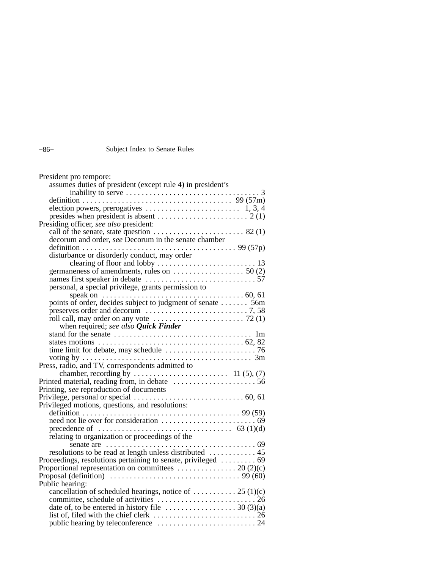#### −86− Subject Index to Senate Rules

| President pro tempore:                                                                                       |  |
|--------------------------------------------------------------------------------------------------------------|--|
| assumes duties of president (except rule 4) in president's                                                   |  |
|                                                                                                              |  |
|                                                                                                              |  |
|                                                                                                              |  |
|                                                                                                              |  |
| Presiding officer, see also president:                                                                       |  |
|                                                                                                              |  |
| decorum and order, see Decorum in the senate chamber                                                         |  |
|                                                                                                              |  |
| disturbance or disorderly conduct, may order                                                                 |  |
|                                                                                                              |  |
| germaneness of amendments, rules on $\dots \dots \dots \dots \dots$ 50 (2)                                   |  |
|                                                                                                              |  |
| personal, a special privilege, grants permission to                                                          |  |
| points of order, decides subject to judgment of senate  56m                                                  |  |
| preserves order and decorum $\ldots \ldots \ldots \ldots \ldots \ldots \ldots \ldots$ 7, 58                  |  |
| roll call, may order on any vote $\dots\dots\dots\dots\dots\dots\dots$ 72 (1)                                |  |
| when required; see also Quick Finder                                                                         |  |
|                                                                                                              |  |
|                                                                                                              |  |
|                                                                                                              |  |
|                                                                                                              |  |
| Press, radio, and TV, correspondents admitted to                                                             |  |
|                                                                                                              |  |
|                                                                                                              |  |
|                                                                                                              |  |
|                                                                                                              |  |
| Privileged motions, questions, and resolutions:                                                              |  |
|                                                                                                              |  |
|                                                                                                              |  |
|                                                                                                              |  |
| relating to organization or proceedings of the                                                               |  |
|                                                                                                              |  |
| resolutions to be read at length unless distributed  45                                                      |  |
| Proceedings, resolutions pertaining to senate, privileged  69                                                |  |
|                                                                                                              |  |
| Proposal (definition) $\ldots \ldots \ldots \ldots \ldots \ldots \ldots \ldots \ldots \ldots \ldots$ 99 (60) |  |
| Public hearing:                                                                                              |  |
| cancellation of scheduled hearings, notice of  25 (1)(c)                                                     |  |
|                                                                                                              |  |
|                                                                                                              |  |
|                                                                                                              |  |
|                                                                                                              |  |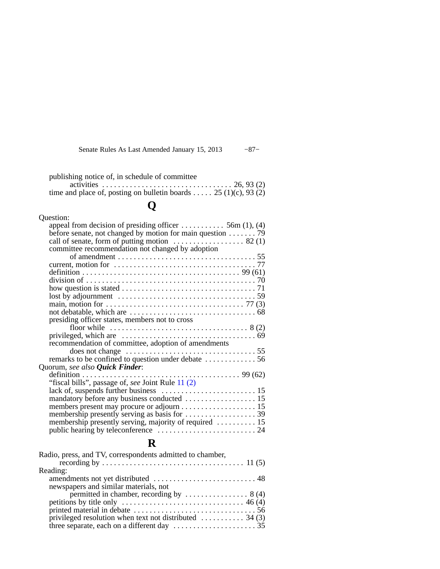Senate Rules As Last Amended January 15, 2013 −87−

| publishing notice of, in schedule of committee                   |  |
|------------------------------------------------------------------|--|
|                                                                  |  |
| time and place of, posting on bulletin boards $25(1)(c)$ , 93(2) |  |

# **Q**

## **R**

| Radio, press, and TV, correspondents admitted to chamber,                  |  |
|----------------------------------------------------------------------------|--|
|                                                                            |  |
| Reading:                                                                   |  |
|                                                                            |  |
| newspapers and similar materials, not                                      |  |
| permitted in chamber, recording by $\dots \dots \dots \dots \dots$ 8 (4)   |  |
|                                                                            |  |
|                                                                            |  |
| privileged resolution when text not distributed $\dots \dots \dots$ 34 (3) |  |
|                                                                            |  |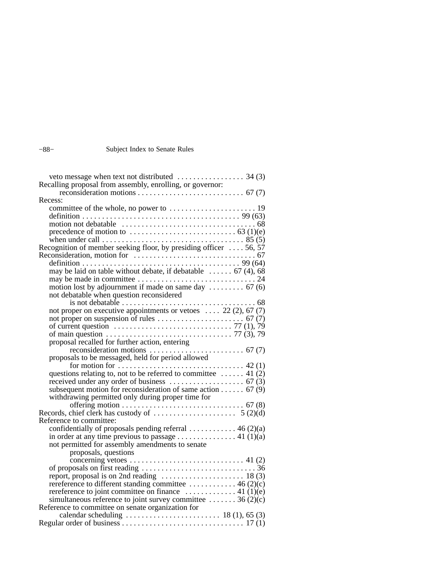#### −88− Subject Index to Senate Rules

| Recalling proposal from assembly, enrolling, or governor:                                                  |  |
|------------------------------------------------------------------------------------------------------------|--|
|                                                                                                            |  |
| Recess:                                                                                                    |  |
|                                                                                                            |  |
|                                                                                                            |  |
|                                                                                                            |  |
| precedence of motion to $\dots \dots \dots \dots \dots \dots \dots \dots \dots$ 63 (1)(e)                  |  |
|                                                                                                            |  |
| Recognition of member seeking floor, by presiding officer  56, 57                                          |  |
|                                                                                                            |  |
|                                                                                                            |  |
| may be laid on table without debate, if debatable $\dots \dots$ 67 (4), 68                                 |  |
|                                                                                                            |  |
|                                                                                                            |  |
| not debatable when question reconsidered                                                                   |  |
|                                                                                                            |  |
| not proper on executive appointments or vetoes $22(2)$ , 67(7)                                             |  |
|                                                                                                            |  |
| of current question $\ldots \ldots \ldots \ldots \ldots \ldots \ldots \ldots \ldots \ldots$ 77 (1), 79     |  |
| of main question $\ldots \ldots \ldots \ldots \ldots \ldots \ldots \ldots \ldots \ldots \ldots$ 77 (3), 79 |  |
|                                                                                                            |  |
|                                                                                                            |  |
| proposals to be messaged, held for period allowed                                                          |  |
| for motion for $\dots \dots \dots \dots \dots \dots \dots \dots \dots \dots \dots \dots$ 42 (1)            |  |
| questions relating to, not to be referred to committee  41 $(2)$                                           |  |
|                                                                                                            |  |
| subsequent motion for reconsideration of same action 67 (9)                                                |  |
| withdrawing permitted only during proper time for                                                          |  |
|                                                                                                            |  |
|                                                                                                            |  |
| Reference to committee:                                                                                    |  |
| confidentially of proposals pending referral  46 (2)(a)                                                    |  |
| in order at any time previous to passage 41 (1)(a)                                                         |  |
| not permitted for assembly amendments to senate                                                            |  |
| proposals, questions                                                                                       |  |
|                                                                                                            |  |
|                                                                                                            |  |
| report, proposal is on 2nd reading  18(3)                                                                  |  |
| rereference to different standing committee  46 (2)(c)                                                     |  |
| rereference to joint committee on finance $\dots \dots \dots \dots$ 41 (1)(e)                              |  |
| simultaneous reference to joint survey committee  36 (2)(c)                                                |  |
| Reference to committee on senate organization for                                                          |  |
| calendar scheduling $\ldots \ldots \ldots \ldots \ldots \ldots \ldots \ldots$ 18 (1), 65 (3)               |  |
|                                                                                                            |  |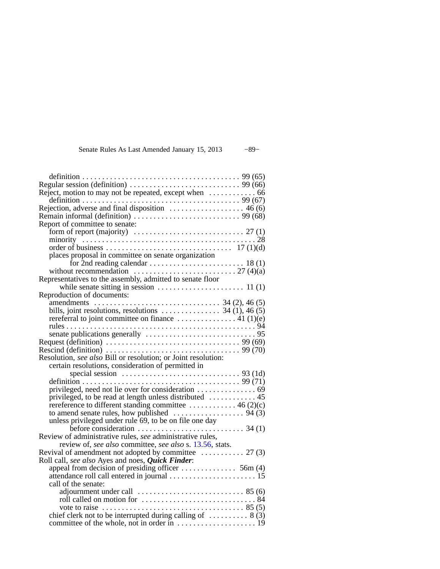| Senate Rules As Last Amended January 15, 2013 | $-89-$ |  |
|-----------------------------------------------|--------|--|
|-----------------------------------------------|--------|--|

| Regular session (definition) $\ldots \ldots \ldots \ldots \ldots \ldots \ldots \ldots$ 99 (66)                                                                                                                                                                                                                                        |
|---------------------------------------------------------------------------------------------------------------------------------------------------------------------------------------------------------------------------------------------------------------------------------------------------------------------------------------|
|                                                                                                                                                                                                                                                                                                                                       |
| definition $\ldots \ldots \ldots \ldots \ldots \ldots \ldots \ldots \ldots \ldots \ldots \ldots \ldots$ 99 (67)                                                                                                                                                                                                                       |
| Rejection, adverse and final disposition $\dots \dots \dots \dots \dots \dots$ 46 (6)                                                                                                                                                                                                                                                 |
|                                                                                                                                                                                                                                                                                                                                       |
|                                                                                                                                                                                                                                                                                                                                       |
|                                                                                                                                                                                                                                                                                                                                       |
|                                                                                                                                                                                                                                                                                                                                       |
|                                                                                                                                                                                                                                                                                                                                       |
|                                                                                                                                                                                                                                                                                                                                       |
| places proposal in committee on senate organization                                                                                                                                                                                                                                                                                   |
|                                                                                                                                                                                                                                                                                                                                       |
| without recommendation $\ldots \ldots \ldots \ldots \ldots \ldots \ldots \ldots \ldots$ 27 (4)(a)                                                                                                                                                                                                                                     |
| Representatives to the assembly, admitted to senate floor                                                                                                                                                                                                                                                                             |
|                                                                                                                                                                                                                                                                                                                                       |
| Reproduction of documents:                                                                                                                                                                                                                                                                                                            |
| amendments $\ldots$ $\ldots$ $\ldots$ $\ldots$ $\ldots$ $\ldots$ $\ldots$ $\ldots$ $\ldots$ $\ldots$ $\ldots$ $\ldots$ $\ldots$ $\ldots$ $\ldots$ $\ldots$ $\ldots$ $\ldots$ $\ldots$ $\ldots$ $\ldots$ $\ldots$ $\ldots$ $\ldots$ $\ldots$ $\ldots$ $\ldots$ $\ldots$ $\ldots$ $\ldots$ $\ldots$ $\ldots$ $\ldots$ $\ldots$ $\ldots$ |
|                                                                                                                                                                                                                                                                                                                                       |
| rereferral to joint committee on finance $\dots \dots \dots \dots \dots$ 41 (1)(e)                                                                                                                                                                                                                                                    |
|                                                                                                                                                                                                                                                                                                                                       |
|                                                                                                                                                                                                                                                                                                                                       |
|                                                                                                                                                                                                                                                                                                                                       |
| Rescind (definition) $\ldots \ldots \ldots \ldots \ldots \ldots \ldots \ldots \ldots \ldots \ldots$ 99 (70)                                                                                                                                                                                                                           |
| Resolution, see also Bill or resolution; or Joint resolution:                                                                                                                                                                                                                                                                         |
| certain resolutions, consideration of permitted in                                                                                                                                                                                                                                                                                    |
| special session $\ldots \ldots \ldots \ldots \ldots \ldots \ldots \ldots \ldots$ 93 (1d)                                                                                                                                                                                                                                              |
|                                                                                                                                                                                                                                                                                                                                       |
|                                                                                                                                                                                                                                                                                                                                       |
| privileged, to be read at length unless distributed  45                                                                                                                                                                                                                                                                               |
| rereference to different standing committee  46 (2)(c)                                                                                                                                                                                                                                                                                |
|                                                                                                                                                                                                                                                                                                                                       |
| unless privileged under rule 69, to be on file one day                                                                                                                                                                                                                                                                                |
| before consideration $\ldots \ldots \ldots \ldots \ldots \ldots$ 34 (1)                                                                                                                                                                                                                                                               |
| Review of administrative rules, see administrative rules,                                                                                                                                                                                                                                                                             |
| review of, see also committee, see also s. 13.56, stats.                                                                                                                                                                                                                                                                              |
| Revival of amendment not adopted by committee  27 (3)                                                                                                                                                                                                                                                                                 |
| Roll call, see also Ayes and noes, Quick Finder:                                                                                                                                                                                                                                                                                      |
|                                                                                                                                                                                                                                                                                                                                       |
|                                                                                                                                                                                                                                                                                                                                       |
| call of the senate:                                                                                                                                                                                                                                                                                                                   |
|                                                                                                                                                                                                                                                                                                                                       |
|                                                                                                                                                                                                                                                                                                                                       |
|                                                                                                                                                                                                                                                                                                                                       |
| chief clerk not to be interrupted during calling of $\dots \dots \dots$ 8 (3)                                                                                                                                                                                                                                                         |
|                                                                                                                                                                                                                                                                                                                                       |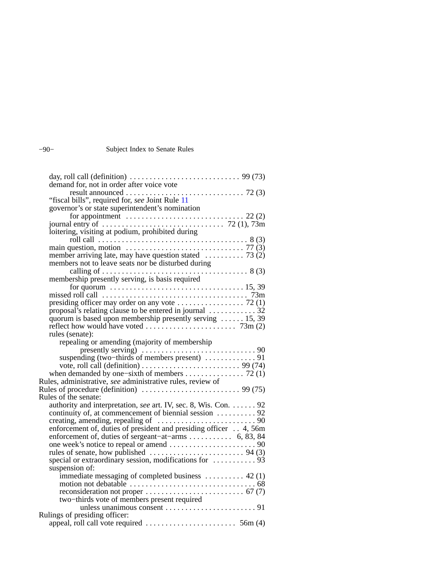#### −90− Subject Index to Senate Rules

| "fiscal bills", required for, see Joint Rule 11                                                                                               |
|-----------------------------------------------------------------------------------------------------------------------------------------------|
| governor's or state superintendent's nomination                                                                                               |
|                                                                                                                                               |
| journal entry of $\dots \dots \dots \dots \dots \dots \dots \dots \dots$ 72 (1), 73m                                                          |
| loitering, visiting at podium, prohibited during                                                                                              |
|                                                                                                                                               |
| main question, motion $\dots \dots \dots \dots \dots \dots \dots \dots \dots \dots \dots$ 77 (3)                                              |
| member arriving late, may have question stated $\ldots \ldots \ldots$ 73 (2)                                                                  |
| members not to leave seats nor be disturbed during                                                                                            |
|                                                                                                                                               |
|                                                                                                                                               |
| for quorum $\dots \dots \dots \dots \dots \dots \dots \dots \dots \dots \dots \dots \dots \dots 15, 39$                                       |
| missed roll call $\dots \dots \dots \dots \dots \dots \dots \dots \dots \dots \dots \dots \dots$ 73m                                          |
| presiding officer may order on any vote $\dots \dots \dots \dots \dots$ 72 (1)                                                                |
| proposal's relating clause to be entered in journal $\dots \dots \dots \dots$ 32                                                              |
| quorum is based upon membership presently serving  15, 39<br>reflect how would have voted $\ldots \ldots \ldots \ldots \ldots \ldots$ 73m (2) |
| rules (senate):                                                                                                                               |
|                                                                                                                                               |
| repealing or amending (majority of membership                                                                                                 |
|                                                                                                                                               |
| vote, roll call (definition) $\ldots \ldots \ldots \ldots \ldots \ldots \ldots \ldots$ 99 (74)                                                |
| when demanded by one–sixth of members 72 $(1)$                                                                                                |
| Rules, administrative, see administrative rules, review of                                                                                    |
|                                                                                                                                               |
| Rules of the senate:                                                                                                                          |
| authority and interpretation, see art. IV, sec. 8, Wis. Con. 92                                                                               |
| continuity of, at commencement of biennial session  92                                                                                        |
|                                                                                                                                               |
| enforcement of, duties of president and presiding officer 4, 56m                                                                              |
| enforcement of, duties of sergeant-at-arms 6, 83, 84                                                                                          |
|                                                                                                                                               |
|                                                                                                                                               |
|                                                                                                                                               |
| suspension of:                                                                                                                                |
| immediate messaging of completed business $\dots \dots \dots$ 42 (1)                                                                          |
|                                                                                                                                               |
|                                                                                                                                               |
|                                                                                                                                               |
|                                                                                                                                               |
| Rulings of presiding officer:                                                                                                                 |
|                                                                                                                                               |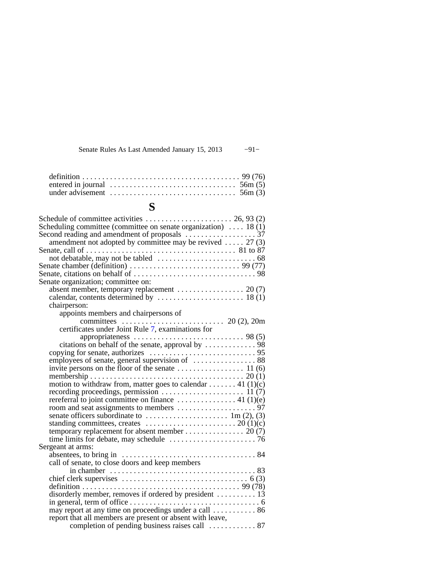| Senate Rules As Last Amended January 15, 2013 |  |  |  |  | $-91-$ |
|-----------------------------------------------|--|--|--|--|--------|
|-----------------------------------------------|--|--|--|--|--------|

| entered in journal $\ldots \ldots \ldots \ldots \ldots \ldots \ldots \ldots \ldots \ldots$ 56m (5) |  |  |  |  |  |  |  |  |  |  |  |
|----------------------------------------------------------------------------------------------------|--|--|--|--|--|--|--|--|--|--|--|
| under advisement $\dots \dots \dots \dots \dots \dots \dots \dots \dots \dots$ 56m (3)             |  |  |  |  |  |  |  |  |  |  |  |

# **S**

| Schedule of committee activities $\dots \dots \dots \dots \dots \dots \dots \dots$ 26, 93 (2)            |
|----------------------------------------------------------------------------------------------------------|
| Scheduling committee (committee on senate organization) $\dots$ 18 (1)                                   |
| amendment not adopted by committee may be revived  27 (3)                                                |
|                                                                                                          |
|                                                                                                          |
| Senate chamber (definition) $\ldots \ldots \ldots \ldots \ldots \ldots \ldots \ldots \ldots$ 99 (77)     |
|                                                                                                          |
| Senate organization; committee on:                                                                       |
| absent member, temporary replacement  20(7)                                                              |
| calendar, contents determined by $\dots \dots \dots \dots \dots \dots \dots \dots \dots$ 18 (1)          |
| chairperson:                                                                                             |
| appoints members and chairpersons of                                                                     |
| committees $\ldots \ldots \ldots \ldots \ldots \ldots \ldots$ 20 (2), 20m                                |
| certificates under Joint Rule 7, examinations for                                                        |
|                                                                                                          |
| citations on behalf of the senate, approval by $\dots \dots \dots \dots$ . 98                            |
|                                                                                                          |
| employees of senate, general supervision of  88                                                          |
|                                                                                                          |
|                                                                                                          |
| motion to withdraw from, matter goes to calendar 41 (1)(c)                                               |
|                                                                                                          |
| rereferral to joint committee on finance $\dots \dots \dots \dots \dots$ 41 (1)(e)                       |
|                                                                                                          |
| senate officers subordinate to $\dots \dots \dots \dots \dots \dots \dots \dots \dots \dots$ 1m (2), (3) |
| standing committees, creates $\dots \dots \dots \dots \dots \dots \dots \dots \dots 20$ (1)(c)           |
| temporary replacement for absent member $\dots \dots \dots \dots \dots \dots$ 20 (7)                     |
|                                                                                                          |
| Sergeant at arms:                                                                                        |
|                                                                                                          |
| call of senate, to close doors and keep members                                                          |
| in chamber $\ldots \ldots \ldots \ldots \ldots \ldots \ldots \ldots \ldots \ldots \ldots \ldots 83$      |
|                                                                                                          |
|                                                                                                          |
| disorderly member, removes if ordered by president  13                                                   |
| in general, term of office $\dots \dots \dots \dots \dots \dots \dots \dots \dots \dots \dots \dots$     |
| may report at any time on proceedings under a call  86                                                   |
| report that all members are present or absent with leave,                                                |
| completion of pending business raises call  87                                                           |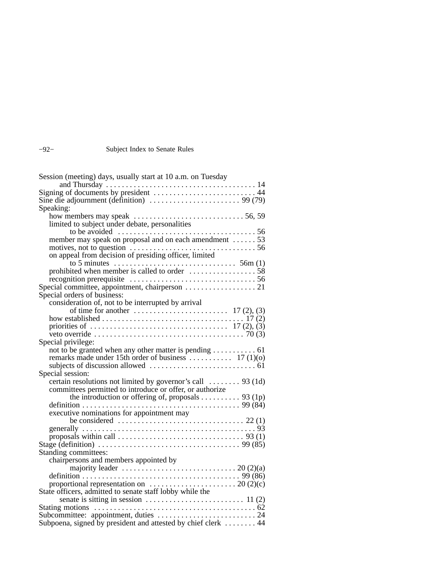#### Subject Index to Senate Rules

| Session (meeting) days, usually start at 10 a.m. on Tuesday                                                             |
|-------------------------------------------------------------------------------------------------------------------------|
|                                                                                                                         |
| Signing of documents by president  44                                                                                   |
|                                                                                                                         |
| Speaking:                                                                                                               |
|                                                                                                                         |
| limited to subject under debate, personalities                                                                          |
| to be avoided $\ldots \ldots \ldots \ldots \ldots \ldots \ldots \ldots \ldots \ldots \ldots$                            |
| member may speak on proposal and on each amendment  53                                                                  |
|                                                                                                                         |
| on appeal from decision of presiding officer, limited                                                                   |
| prohibited when member is called to order $\dots \dots \dots \dots \dots \dots$ 58                                      |
|                                                                                                                         |
|                                                                                                                         |
|                                                                                                                         |
| Special orders of business:                                                                                             |
| consideration of, not to be interrupted by arrival                                                                      |
|                                                                                                                         |
|                                                                                                                         |
|                                                                                                                         |
| Special privilege:                                                                                                      |
| not to be granted when any other matter is pending  61                                                                  |
|                                                                                                                         |
|                                                                                                                         |
| Special session:                                                                                                        |
| certain resolutions not limited by governor's call  93 (1d)                                                             |
| committees permitted to introduce or offer, or authorize                                                                |
| the introduction or offering of, proposals 93 (1p)                                                                      |
|                                                                                                                         |
| executive nominations for appointment may                                                                               |
|                                                                                                                         |
|                                                                                                                         |
| proposals within call $\dots \dots \dots \dots \dots \dots \dots \dots \dots \dots$ 93 (1)                              |
| Stage (definition) $\ldots \ldots \ldots \ldots \ldots \ldots \ldots \ldots \ldots \ldots \ldots \ldots \ldots$ 99 (85) |
| Standing committees:                                                                                                    |
| chairpersons and members appointed by                                                                                   |
|                                                                                                                         |
|                                                                                                                         |
| proportional representation on $\dots \dots \dots \dots \dots \dots \dots \dots 20$ (2)(c)                              |
| State officers, admitted to senate staff lobby while the                                                                |
|                                                                                                                         |
|                                                                                                                         |
|                                                                                                                         |
| Subpoena, signed by president and attested by chief clerk  44                                                           |

| ۰.<br>٠ |  |
|---------|--|
|---------|--|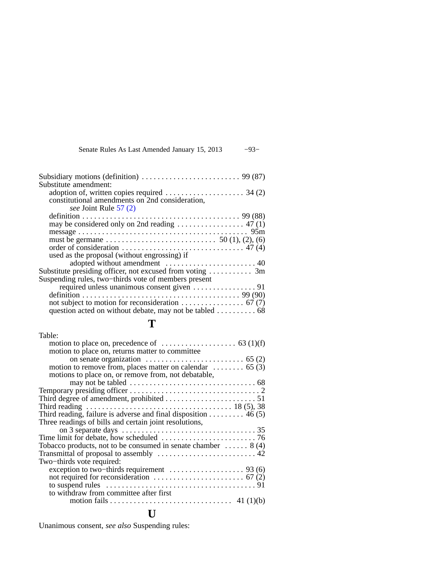| Senate Rules As Last Amended January 15, 2013 |  | $-93-$ |
|-----------------------------------------------|--|--------|
|-----------------------------------------------|--|--------|

| Subsidiary motions (definition) $\ldots \ldots \ldots \ldots \ldots \ldots \ldots$ 99 (87)  |  |
|---------------------------------------------------------------------------------------------|--|
| Substitute amendment:                                                                       |  |
| adoption of, written copies required $\dots \dots \dots \dots \dots \dots$ 34 (2)           |  |
| constitutional amendments on 2nd consideration,                                             |  |
| see Joint Rule 57 (2)                                                                       |  |
|                                                                                             |  |
| may be considered only on 2nd reading $\dots \dots \dots \dots \dots$ 47 (1)                |  |
|                                                                                             |  |
|                                                                                             |  |
| order of consideration $\dots \dots \dots \dots \dots \dots \dots \dots \dots \dots$ 47 (4) |  |
| used as the proposal (without engrossing) if                                                |  |
|                                                                                             |  |
| Substitute presiding officer, not excused from voting $\dots \dots \dots$ 3m                |  |
| Suspending rules, two-thirds vote of members present                                        |  |
|                                                                                             |  |
|                                                                                             |  |
|                                                                                             |  |
| question acted on without debate, may not be tabled $\dots \dots \dots \dots$ 68            |  |
|                                                                                             |  |

## **T**

| Table:                                                                                                                |  |
|-----------------------------------------------------------------------------------------------------------------------|--|
| motion to place on, precedence of $\dots \dots \dots \dots \dots \dots$ 63 (1)(f)                                     |  |
| motion to place on, returns matter to committee                                                                       |  |
| on senate organization $\ldots \ldots \ldots \ldots \ldots \ldots \ldots$ 65 (2)                                      |  |
| motion to remove from, places matter on calendar $\dots \dots \dots$ 65 (3)                                           |  |
| motions to place on, or remove from, not debatable,                                                                   |  |
|                                                                                                                       |  |
|                                                                                                                       |  |
|                                                                                                                       |  |
| Third reading $\ldots \ldots \ldots \ldots \ldots \ldots \ldots \ldots \ldots \ldots \ldots \ldots \ldots$ 18 (5), 38 |  |
| Third reading, failure is adverse and final disposition 46 (5)                                                        |  |
| Three readings of bills and certain joint resolutions,                                                                |  |
|                                                                                                                       |  |
|                                                                                                                       |  |
| Tobacco products, not to be consumed in senate chamber $\dots \dots 8(4)$                                             |  |
|                                                                                                                       |  |
| Two-thirds vote required:                                                                                             |  |
| exception to two-thirds requirement $\dots \dots \dots \dots \dots \dots$ 93 (6)                                      |  |
|                                                                                                                       |  |
|                                                                                                                       |  |
| to withdraw from committee after first                                                                                |  |
|                                                                                                                       |  |

## **U**

Unanimous consent, *see also* Suspending rules: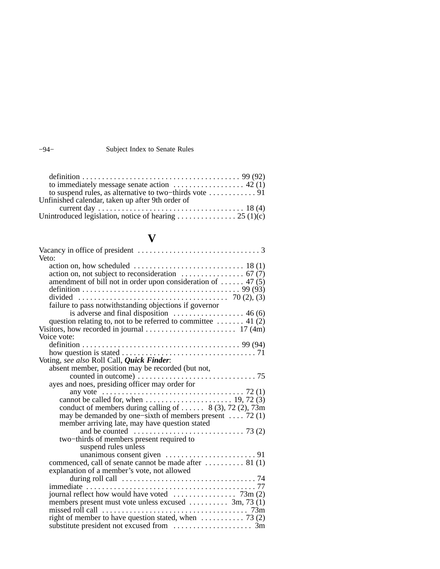#### −94− Subject Index to Senate Rules

| to immediately message senate action $\dots \dots \dots \dots \dots \dots$ 42 (1) |  |
|-----------------------------------------------------------------------------------|--|
| to suspend rules, as alternative to two-thirds vote $\dots \dots \dots \dots$ 91  |  |
| Unfinished calendar, taken up after 9th order of                                  |  |
|                                                                                   |  |
|                                                                                   |  |

## **V**

| Veto:                                                                                                        |  |
|--------------------------------------------------------------------------------------------------------------|--|
|                                                                                                              |  |
| action on, not subject to reconsideration $\ldots \ldots \ldots \ldots \ldots$ 67 (7)                        |  |
| amendment of bill not in order upon consideration of  47 (5)                                                 |  |
|                                                                                                              |  |
|                                                                                                              |  |
| failure to pass notwithstanding objections if governor                                                       |  |
| is adverse and final disposition $\ldots \ldots \ldots \ldots \ldots$ 46 (6)                                 |  |
| question relating to, not to be referred to committee  41 (2)                                                |  |
|                                                                                                              |  |
| Voice vote:                                                                                                  |  |
|                                                                                                              |  |
|                                                                                                              |  |
| Voting, see also Roll Call, Quick Finder:                                                                    |  |
| absent member, position may be recorded (but not,                                                            |  |
|                                                                                                              |  |
| ayes and noes, presiding officer may order for                                                               |  |
| any vote $\ldots \ldots \ldots \ldots \ldots \ldots \ldots \ldots \ldots \ldots \ldots \ldots \ldots$ 72 (1) |  |
|                                                                                                              |  |
| conduct of members during calling of $8(3)$ , 72 $(2)$ , 73m                                                 |  |
| may be demanded by one–sixth of members present  72 (1)                                                      |  |
| member arriving late, may have question stated                                                               |  |
| and be counted $\ldots \ldots \ldots \ldots \ldots \ldots \ldots \ldots \ldots$ 73 (2)                       |  |
| two-thirds of members present required to                                                                    |  |
| suspend rules unless                                                                                         |  |
|                                                                                                              |  |
| commenced, call of senate cannot be made after $\dots \dots \dots$ 81 (1)                                    |  |
| explanation of a member's vote, not allowed                                                                  |  |
|                                                                                                              |  |
|                                                                                                              |  |
|                                                                                                              |  |
| members present must vote unless excused  3m, 73 (1)                                                         |  |
|                                                                                                              |  |
| right of member to have question stated, when $\dots \dots \dots \dots$ 73 (2)                               |  |
|                                                                                                              |  |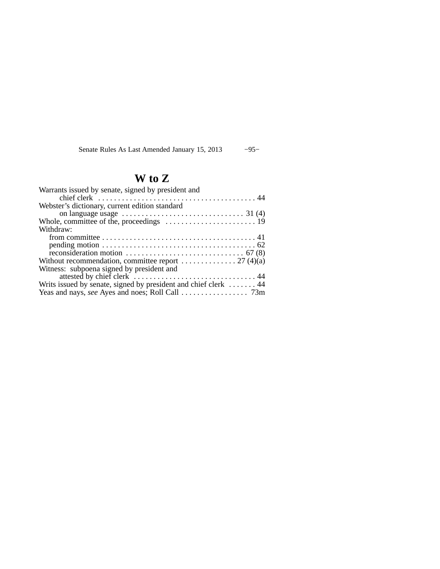Senate Rules As Last Amended January 15, 2013 −95−

# **W to Z**

| Warrants issued by senate, signed by president and                                             |  |
|------------------------------------------------------------------------------------------------|--|
| chief clerk $\ldots \ldots \ldots \ldots \ldots \ldots \ldots \ldots \ldots \ldots \ldots$     |  |
| Webster's dictionary, current edition standard                                                 |  |
| on language usage $\dots \dots \dots \dots \dots \dots \dots \dots \dots \dots \dots$ 31 (4)   |  |
|                                                                                                |  |
| Withdraw:                                                                                      |  |
|                                                                                                |  |
|                                                                                                |  |
| reconsideration motion $\ldots \ldots \ldots \ldots \ldots \ldots \ldots \ldots \ldots$ 67 (8) |  |
| Without recommendation, committee report $\dots \dots \dots \dots 27$ (4)(a)                   |  |
| Witness: subpoena signed by president and                                                      |  |
|                                                                                                |  |
| Writs issued by senate, signed by president and chief clerk  44                                |  |
|                                                                                                |  |
|                                                                                                |  |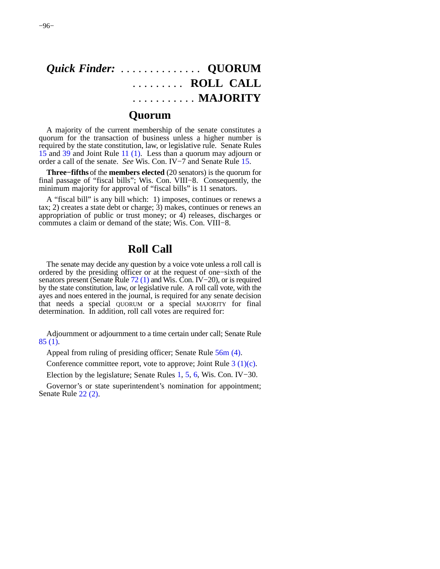# *Quick Finder:* . . . . . . . . . . . . . . **QUORUM** . . . . . . . . . **ROLL CALL** . . . . . . . . . . . **MAJORITY**

### **Quorum**

A majority of the current membership of the senate constitutes a quorum for the transaction of business unless a higher number is required by the state constitution, law, or legislative rule. Senate Rules [15](https://docs.legis.wisconsin.gov/document/legislativerules/2013/sr15) and [39](https://docs.legis.wisconsin.gov/document/legislativerules/2013/sr39) and Joint Rule [11 \(1\)](https://docs.legis.wisconsin.gov/document/legislativerules/2013/jr11(1)). Less than a quorum may adjourn or order a call of the senate. *See* Wis. Con. IV−7 and Senate Rule [15](https://docs.legis.wisconsin.gov/document/legislativerules/2013/sr15).

**Three−fifths** of the **members elected** (20 senators) is the quorum for final passage of "fiscal bills"; Wis. Con. VIII−8. Consequently, the minimum majority for approval of "fiscal bills" is 11 senators.

A "fiscal bill" is any bill which: 1) imposes, continues or renews a tax; 2) creates a state debt or charge; 3) makes, continues or renews an appropriation of public or trust money; or 4) releases, discharges or commutes a claim or demand of the state; Wis. Con. VIII−8.

### **Roll Call**

The senate may decide any question by a voice vote unless a roll call is ordered by the presiding officer or at the request of one−sixth of the senators present (Senate Rule [72 \(1\)](https://docs.legis.wisconsin.gov/document/legislativerules/2013/sr72(1)) and Wis. Con. IV−20), or is required by the state constitution, law, or legislative rule. A roll call vote, with the ayes and noes entered in the journal, is required for any senate decision that needs a special QUORUM or a special MAJORITY for final determination. In addition, roll call votes are required for:

Adjournment or adjournment to a time certain under call; Senate Rule [85 \(1\).](https://docs.legis.wisconsin.gov/document/legislativerules/2013/sr85(1))

Appeal from ruling of presiding officer; Senate Rule [56m \(4\).](https://docs.legis.wisconsin.gov/document/legislativerules/2013/sr56m(4))

Conference committee report, vote to approve; Joint Rule [3 \(1\)\(c\)](https://docs.legis.wisconsin.gov/document/legislativerules/2013/jr3(1)(c)).

Election by the legislature; Senate Rules [1](https://docs.legis.wisconsin.gov/document/legislativerules/2013/sr1), [5,](https://docs.legis.wisconsin.gov/document/legislativerules/2013/sr5) [6,](https://docs.legis.wisconsin.gov/document/legislativerules/2013/sr6) Wis. Con. IV−30.

Governor's or state superintendent's nomination for appointment; Senate Rule [22 \(2\).](https://docs.legis.wisconsin.gov/document/legislativerules/2013/sr22(2))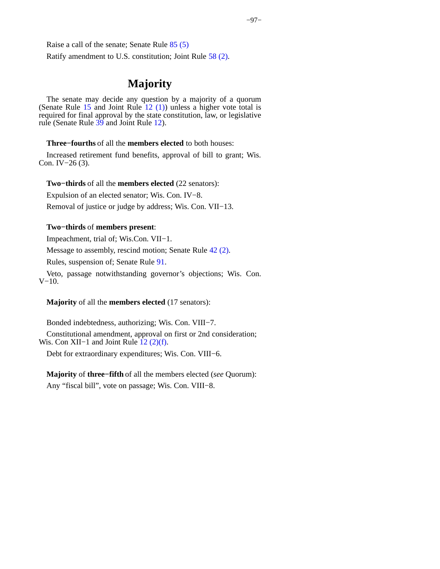Ratify amendment to U.S. constitution; Joint Rule [58 \(2\)](https://docs.legis.wisconsin.gov/document/legislativerules/2013/jr58(2)).

### **Majority**

The senate may decide any question by a majority of a quorum (Senate Rule  $15$  and Joint Rule  $12$  (1)) unless a higher vote total is required for final approval by the state constitution, law, or legislative rule (Senate Rule [39](https://docs.legis.wisconsin.gov/document/legislativerules/2013/sr39) and Joint Rule [12](https://docs.legis.wisconsin.gov/document/legislativerules/2013/jr12)).

#### **Three−fourths** of all the **members elected** to both houses:

Increased retirement fund benefits, approval of bill to grant; Wis. Con. IV−26 (3).

#### **Two−thirds** of all the **members elected** (22 senators):

Expulsion of an elected senator; Wis. Con. IV−8.

Removal of justice or judge by address; Wis. Con. VII−13.

#### **Two−thirds** of **members present**:

Impeachment, trial of; Wis.Con. VII−1.

Message to assembly, rescind motion; Senate Rule [42 \(2\)](https://docs.legis.wisconsin.gov/document/legislativerules/2013/sr42(2)).

Rules, suspension of; Senate Rule [91](https://docs.legis.wisconsin.gov/document/legislativerules/2013/sr91).

Veto, passage notwithstanding governor's objections; Wis. Con. V−10.

#### **Majority** of all the **members elected** (17 senators):

Bonded indebtedness, authorizing; Wis. Con. VIII−7.

Constitutional amendment, approval on first or 2nd consideration; Wis. Con XII–1 and Joint Rule  $(2)(f)$ .

Debt for extraordinary expenditures; Wis. Con. VIII−6.

**Majority** of **three−fifth** of all the members elected (*see* Quorum): Any "fiscal bill", vote on passage; Wis. Con. VIII−8.